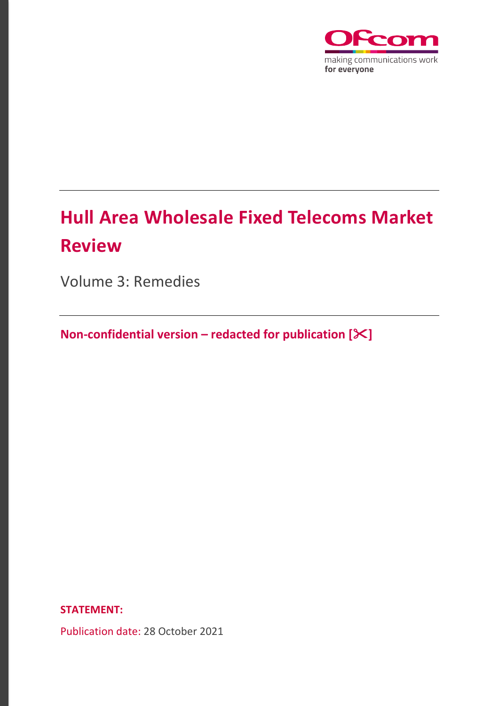

# **Hull Area Wholesale Fixed Telecoms Market Review**

Volume 3: Remedies

**Non-confidential version – redacted for publication []**

**STATEMENT:**

Publication date: 28 October 2021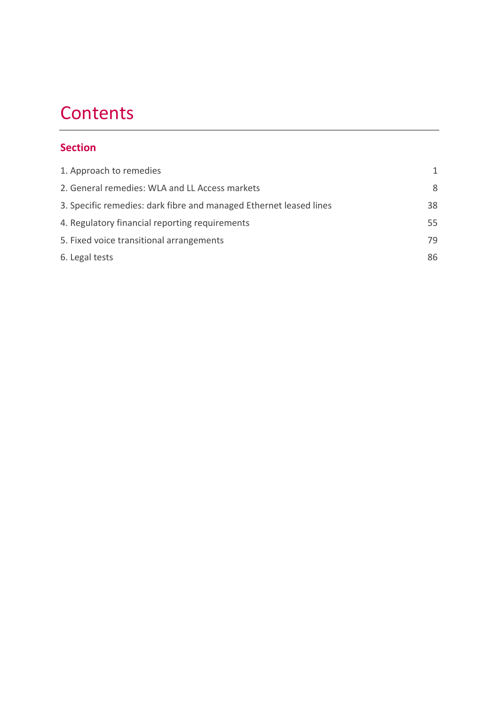# **Contents**

# **Section**

| 1. Approach to remedies                                            | 1  |
|--------------------------------------------------------------------|----|
| 2. General remedies: WLA and LL Access markets                     | 8  |
| 3. Specific remedies: dark fibre and managed Ethernet leased lines | 38 |
| 4. Regulatory financial reporting requirements                     | 55 |
| 5. Fixed voice transitional arrangements                           | 79 |
| 6. Legal tests                                                     | 86 |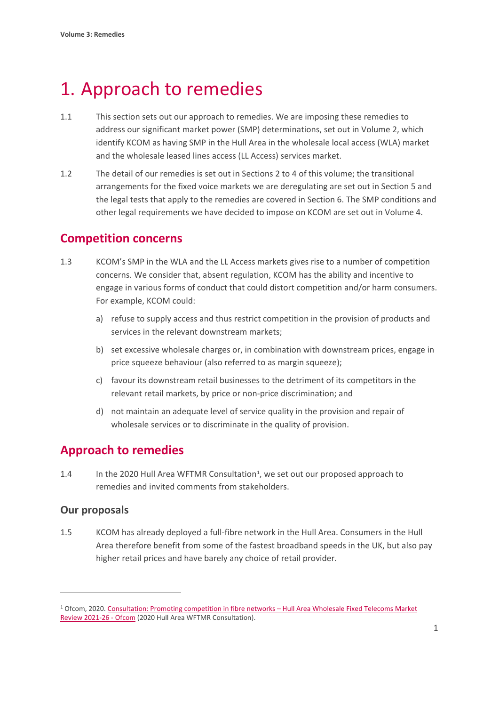# <span id="page-2-0"></span>1. Approach to remedies

- 1.1 This section sets out our approach to remedies. We are imposing these remedies to address our significant market power (SMP) determinations, set out in Volume 2, which identify KCOM as having SMP in the Hull Area in the wholesale local access (WLA) market and the wholesale leased lines access (LL Access) services market.
- 1.2 The detail of our remedies is set out in Sections 2 to 4 of this volume; the transitional arrangements for the fixed voice markets we are deregulating are set out in Section 5 and the legal tests that apply to the remedies are covered in Section 6. The SMP conditions and other legal requirements we have decided to impose on KCOM are set out in Volume 4.

# **Competition concerns**

- 1.3 KCOM's SMP in the WLA and the LL Access markets gives rise to a number of competition concerns. We consider that, absent regulation, KCOM has the ability and incentive to engage in various forms of conduct that could distort competition and/or harm consumers. For example, KCOM could:
	- a) refuse to supply access and thus restrict competition in the provision of products and services in the relevant downstream markets;
	- b) set excessive wholesale charges or, in combination with downstream prices, engage in price squeeze behaviour (also referred to as margin squeeze);
	- c) favour its downstream retail businesses to the detriment of its competitors in the relevant retail markets, by price or non-price discrimination; and
	- d) not maintain an adequate level of service quality in the provision and repair of wholesale services or to discriminate in the quality of provision.

# **Approach to remedies**

1.4 In the 2020 Hull Area WFTMR Consultation[1,](#page-2-1) we set out our proposed approach to remedies and invited comments from stakeholders.

# **Our proposals**

1.5 KCOM has already deployed a full-fibre network in the Hull Area. Consumers in the Hull Area therefore benefit from some of the fastest broadband speeds in the UK, but also pay higher retail prices and have barely any choice of retail provider.

<span id="page-2-1"></span><sup>1</sup> Ofcom, 2020[. Consultation: Promoting competition in fibre networks –](https://www.ofcom.org.uk/consultations-and-statements/category-1/2021-26-hull-area-wholesale-fixed-telecoms-market-review?showall=1) Hull Area Wholesale Fixed Telecoms Market [Review 2021-26 -](https://www.ofcom.org.uk/consultations-and-statements/category-1/2021-26-hull-area-wholesale-fixed-telecoms-market-review?showall=1) Ofcom (2020 Hull Area WFTMR Consultation).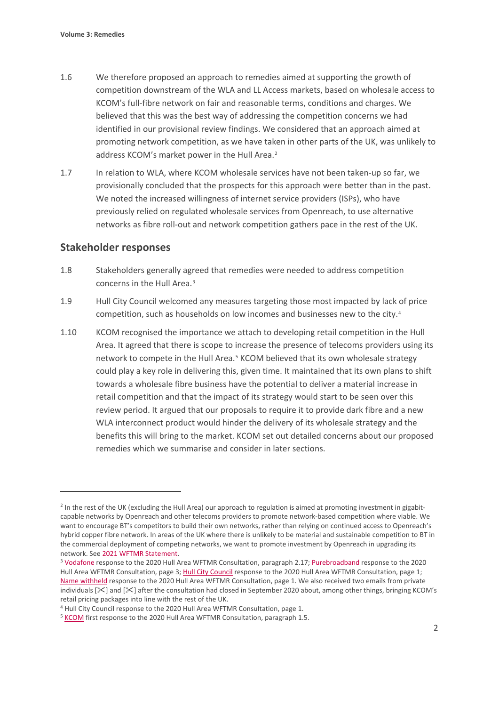- 1.6 We therefore proposed an approach to remedies aimed at supporting the growth of competition downstream of the WLA and LL Access markets, based on wholesale access to KCOM's full-fibre network on fair and reasonable terms, conditions and charges. We believed that this was the best way of addressing the competition concerns we had identified in our provisional review findings. We considered that an approach aimed at promoting network competition, as we have taken in other parts of the UK, was unlikely to address KCOM's market power in the Hull Area.<sup>[2](#page-3-0)</sup>
- 1.7 In relation to WLA, where KCOM wholesale services have not been taken-up so far, we provisionally concluded that the prospects for this approach were better than in the past. We noted the increased willingness of internet service providers (ISPs), who have previously relied on regulated wholesale services from Openreach, to use alternative networks as fibre roll-out and network competition gathers pace in the rest of the UK.

## **Stakeholder responses**

- 1.8 Stakeholders generally agreed that remedies were needed to address competition concerns in the Hull Area<sup>[3](#page-3-1)</sup>
- 1.9 Hull City Council welcomed any measures targeting those most impacted by lack of price competition, such as households on low incomes and businesses new to the city.[4](#page-3-2)
- 1.10 KCOM recognised the importance we attach to developing retail competition in the Hull Area. It agreed that there is scope to increase the presence of telecoms providers using its network to compete in the Hull Area.<sup>[5](#page-3-3)</sup> KCOM believed that its own wholesale strategy could play a key role in delivering this, given time. It maintained that its own plans to shift towards a wholesale fibre business have the potential to deliver a material increase in retail competition and that the impact of its strategy would start to be seen over this review period. It argued that our proposals to require it to provide dark fibre and a new WLA interconnect product would hinder the delivery of its wholesale strategy and the benefits this will bring to the market. KCOM set out detailed concerns about our proposed remedies which we summarise and consider in later sections.

<span id="page-3-0"></span><sup>&</sup>lt;sup>2</sup> In the rest of the UK (excluding the Hull Area) our approach to regulation is aimed at promoting investment in gigabitcapable networks by Openreach and other telecoms providers to promote network-based competition where viable. We want to encourage BT's competitors to build their own networks, rather than relying on continued access to Openreach's hybrid copper fibre network. In areas of the UK where there is unlikely to be material and sustainable competition to BT in the commercial deployment of competing networks, we want to promote investment by Openreach in upgrading its network. Se[e 2021 WFTMR Statement.](https://www.ofcom.org.uk/consultations-and-statements/category-1/2021-26-wholesale-fixed-telecoms-market-review)

<span id="page-3-1"></span><sup>3</sup> [Vodafone](https://www.ofcom.org.uk/__data/assets/pdf_file/0028/208729/vodafone.pdf) response to the 2020 Hull Area WFTMR Consultation, paragraph 2.17[; Purebroadband](https://www.ofcom.org.uk/__data/assets/pdf_file/0027/208728/pure-broadband.pdf) response to the 2020 Hull Area WFTMR Consultation, page 3[; Hull City Council](https://www.ofcom.org.uk/__data/assets/pdf_file/0024/208725/hull-city-council.pdf) response to the 2020 Hull Area WFTMR Consultation, page 1; [Name withheld](https://www.ofcom.org.uk/__data/assets/pdf_file/0026/208727/name-withheld-1.pdf) response to the 2020 Hull Area WFTMR Consultation, page 1. We also received two emails from private individuals [ $\ge$ ] and [ $\ge$ ] after the consultation had closed in September 2020 about, among other things, bringing KCOM's retail pricing packages into line with the rest of the UK.

<span id="page-3-3"></span><span id="page-3-2"></span><sup>&</sup>lt;sup>4</sup> Hull City Council response to the 2020 Hull Area WFTMR Consultation, page 1.<br><sup>5</sup> [KCOM](https://www.ofcom.org.uk/__data/assets/pdf_file/0025/208726/kcom.pdf) first response to the 2020 Hull Area WFTMR Consultation, paragraph 1.5.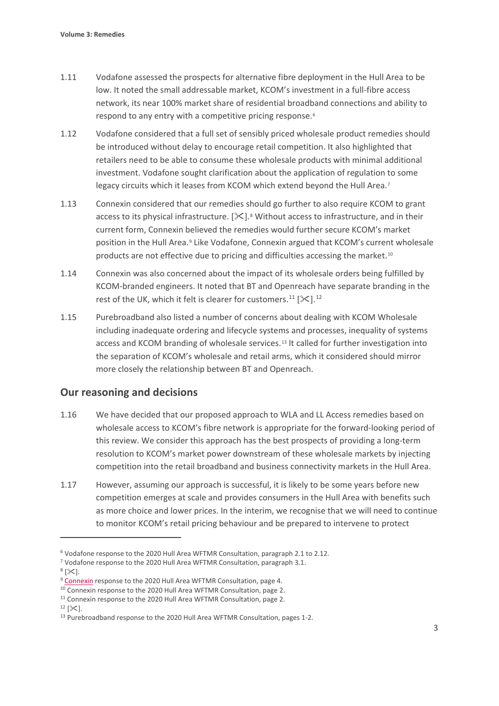- 1.11 Vodafone assessed the prospects for alternative fibre deployment in the Hull Area to be low. It noted the small addressable market, KCOM's investment in a full-fibre access network, its near 100% market share of residential broadband connections and ability to respond to any entry with a competitive pricing response.[6](#page-4-0)
- 1.12 Vodafone considered that a full set of sensibly priced wholesale product remedies should be introduced without delay to encourage retail competition. It also highlighted that retailers need to be able to consume these wholesale products with minimal additional investment. Vodafone sought clarification about the application of regulation to some legacy circuits which it leases from KCOM which extend beyond the Hull Area.<sup>[7](#page-4-1)</sup>
- 1.13 Connexin considered that our remedies should go further to also require KCOM to grant access to its physical infrastructure.  $[\frac{1}{2}]$ .<sup>[8](#page-4-2)</sup> Without access to infrastructure, and in their current form, Connexin believed the remedies would further secure KCOM's market position in the Hull Area.<sup>[9](#page-4-3)</sup> Like Vodafone, Connexin argued that KCOM's current wholesale products are not effective due to pricing and difficulties accessing the market.<sup>[10](#page-4-4)</sup>
- 1.14 Connexin was also concerned about the impact of its wholesale orders being fulfilled by KCOM-branded engineers. It noted that BT and Openreach have separate branding in the rest of the UK, which it felt is clearer for customers.<sup>[11](#page-4-5)</sup> [ $\ll$ ].<sup>[12](#page-4-6)</sup>
- 1.15 Purebroadband also listed a number of concerns about dealing with KCOM Wholesale including inadequate ordering and lifecycle systems and processes, inequality of systems access and KCOM branding of wholesale services.[13](#page-4-7) It called for further investigation into the separation of KCOM's wholesale and retail arms, which it considered should mirror more closely the relationship between BT and Openreach.

# **Our reasoning and decisions**

- 1.16 We have decided that our proposed approach to WLA and LL Access remedies based on wholesale access to KCOM's fibre network is appropriate for the forward-looking period of this review. We consider this approach has the best prospects of providing a long-term resolution to KCOM's market power downstream of these wholesale markets by injecting competition into the retail broadband and business connectivity markets in the Hull Area.
- 1.17 However, assuming our approach is successful, it is likely to be some years before new competition emerges at scale and provides consumers in the Hull Area with benefits such as more choice and lower prices. In the interim, we recognise that we will need to continue to monitor KCOM's retail pricing behaviour and be prepared to intervene to protect

<span id="page-4-1"></span><span id="page-4-0"></span><sup>&</sup>lt;sup>6</sup> Vodafone response to the 2020 Hull Area WFTMR Consultation, paragraph 2.1 to 2.12.<br><sup>7</sup> Vodafone response to the 2020 Hull Area WFTMR Consultation, paragraph 3.1.<br><sup>8</sup> [ $\&$ ].

<span id="page-4-3"></span><span id="page-4-2"></span><sup>&</sup>lt;sup>9</sup> [Connexin](https://www.ofcom.org.uk/__data/assets/pdf_file/0029/213689/connexin.pdf) response to the 2020 Hull Area WFTMR Consultation, page 4.

<span id="page-4-4"></span><sup>&</sup>lt;sup>10</sup> Connexin response to the 2020 Hull Area WFTMR Consultation, page 2.

<span id="page-4-6"></span><span id="page-4-5"></span><sup>&</sup>lt;sup>11</sup> Connexin response to the 2020 Hull Area WFTMR Consultation, page 2.<br><sup>12</sup> [ $\times$ ].

<span id="page-4-7"></span><sup>&</sup>lt;sup>13</sup> Purebroadband response to the 2020 Hull Area WFTMR Consultation, pages 1-2.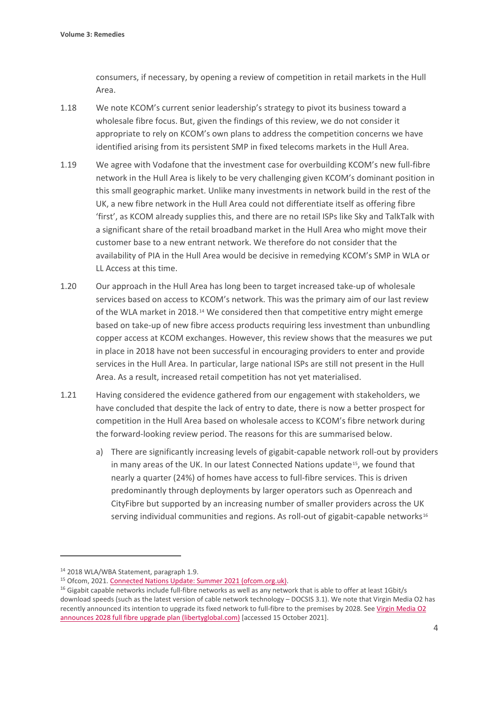consumers, if necessary, by opening a review of competition in retail markets in the Hull Area.

- 1.18 We note KCOM's current senior leadership's strategy to pivot its business toward a wholesale fibre focus. But, given the findings of this review, we do not consider it appropriate to rely on KCOM's own plans to address the competition concerns we have identified arising from its persistent SMP in fixed telecoms markets in the Hull Area.
- 1.19 We agree with Vodafone that the investment case for overbuilding KCOM's new full-fibre network in the Hull Area is likely to be very challenging given KCOM's dominant position in this small geographic market. Unlike many investments in network build in the rest of the UK, a new fibre network in the Hull Area could not differentiate itself as offering fibre 'first', as KCOM already supplies this, and there are no retail ISPs like Sky and TalkTalk with a significant share of the retail broadband market in the Hull Area who might move their customer base to a new entrant network. We therefore do not consider that the availability of PIA in the Hull Area would be decisive in remedying KCOM's SMP in WLA or LL Access at this time.
- 1.20 Our approach in the Hull Area has long been to target increased take-up of wholesale services based on access to KCOM's network. This was the primary aim of our last review of the WLA market in 2018.[14](#page-5-0) We considered then that competitive entry might emerge based on take-up of new fibre access products requiring less investment than unbundling copper access at KCOM exchanges. However, this review shows that the measures we put in place in 2018 have not been successful in encouraging providers to enter and provide services in the Hull Area. In particular, large national ISPs are still not present in the Hull Area. As a result, increased retail competition has not yet materialised.
- 1.21 Having considered the evidence gathered from our engagement with stakeholders, we have concluded that despite the lack of entry to date, there is now a better prospect for competition in the Hull Area based on wholesale access to KCOM's fibre network during the forward-looking review period. The reasons for this are summarised below.
	- a) There are significantly increasing levels of gigabit-capable network roll-out by providers in many areas of the UK. In our latest Connected Nations update<sup>15</sup>, we found that nearly a quarter (24%) of homes have access to full-fibre services. This is driven predominantly through deployments by larger operators such as Openreach and CityFibre but supported by an increasing number of smaller providers across the UK serving individual communities and regions. As roll-out of gigabit-capable networks $16$

<span id="page-5-0"></span><sup>14</sup> 2018 WLA/WBA Statement, paragraph 1.9.

<span id="page-5-1"></span><sup>15</sup> Ofcom, 2021[. Connected Nations Update: Summer 2021 \(ofcom.org.uk\).](https://www.ofcom.org.uk/__data/assets/pdf_file/0013/224212/connected-nations-summer-2021.pdf)

<span id="page-5-2"></span> $16$  Gigabit capable networks include full-fibre networks as well as any network that is able to offer at least 1Gbit/s download speeds (such as the latest version of cable network technology – DOCSIS 3.1). We note that Virgin Media O2 has recently announced its intention to upgrade its fixed network to full-fibre to the premises by 2028. Se[e Virgin Media O2](https://www.libertyglobal.com/virgin-media-o2-announces-2028-full-fibre-upgrade-plan/)  [announces 2028 full fibre upgrade plan \(libertyglobal.com\)](https://www.libertyglobal.com/virgin-media-o2-announces-2028-full-fibre-upgrade-plan/) [accessed 15 October 2021].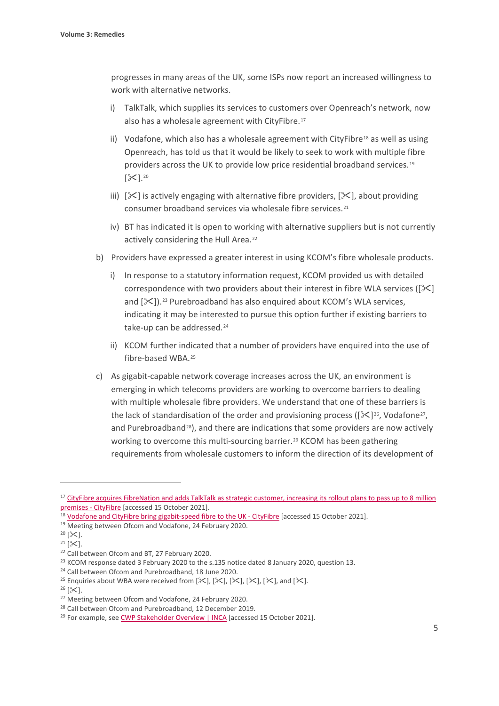progresses in many areas of the UK, some ISPs now report an increased willingness to work with alternative networks.

- i) TalkTalk, which supplies its services to customers over Openreach's network, now also has a wholesale agreement with CityFibre.<sup>[17](#page-6-0)</sup>
- ii) Vodafone, which also has a wholesale agreement with CityFibre<sup>[18](#page-6-1)</sup> as well as using Openreach, has told us that it would be likely to seek to work with multiple fibre providers across the UK to provide low price residential broadband services.[19](#page-6-2)  $[\mathcal{K}]$ .<sup>[20](#page-6-3)</sup>
- iii)  $[\mathcal{K}]$  is actively engaging with alternative fibre providers,  $[\mathcal{K}]$ , about providing consumer broadband services via wholesale fibre services.[21](#page-6-4)
- iv) BT has indicated it is open to working with alternative suppliers but is not currently actively considering the Hull Area.<sup>[22](#page-6-5)</sup>
- b) Providers have expressed a greater interest in using KCOM's fibre wholesale products.
	- i) In response to a statutory information request, KCOM provided us with detailed correspondence with two providers about their interest in fibre WLA services ( $[\times]$ and  $[\mathcal{K}]$ ).<sup>[23](#page-6-6)</sup> Purebroadband has also enquired about KCOM's WLA services, indicating it may be interested to pursue this option further if existing barriers to take-up can be addressed.<sup>[24](#page-6-7)</sup>
	- ii) KCOM further indicated that a number of providers have enquired into the use of fibre-based WBA.[25](#page-6-8)
- c) As gigabit-capable network coverage increases across the UK, an environment is emerging in which telecoms providers are working to overcome barriers to dealing with multiple wholesale fibre providers. We understand that one of these barriers is the lack of standardisation of the order and provisioning process ( $[\frac{1}{2}]^{26}$  $[\frac{1}{2}]^{26}$  $[\frac{1}{2}]^{26}$ , Vodafone<sup>27</sup>, and Purebroadband<sup>[28](#page-6-11)</sup>), and there are indications that some providers are now actively working to overcome this multi-sourcing barrier.<sup>[29](#page-6-12)</sup> KCOM has been gathering requirements from wholesale customers to inform the direction of its development of

<span id="page-6-0"></span><sup>&</sup>lt;sup>17</sup> CityFibre acquires FibreNation and adds TalkTalk as strategic customer, increasing its rollout plans to pass up to 8 million [premises -](https://www.cityfibre.com/news/cityfibre-acquires-fibrenation-adds-talktalk-strategic-customer-increasing-rollout-plans-pass-8-million-premises/) CityFibre [accessed 15 October 2021].

<span id="page-6-1"></span><sup>&</sup>lt;sup>18</sup> [Vodafone and CityFibre bring gigabit-speed fibre to the UK -](https://www.cityfibre.com/news/vodafone-cityfibre-bring-gigabit-speed-fibre-uk/) CityFibre [accessed 15 October 2021].

<span id="page-6-2"></span><sup>19</sup> Meeting between Ofcom and Vodafone, 24 February 2020.

<span id="page-6-3"></span> $20 [3]$ .

<span id="page-6-4"></span> $21$  [ $\times$ ].

<span id="page-6-5"></span><sup>&</sup>lt;sup>22</sup> Call between Ofcom and BT, 27 February 2020.

<span id="page-6-7"></span><span id="page-6-6"></span><sup>&</sup>lt;sup>23</sup> KCOM response dated 3 February 2020 to the s.135 notice dated 8 January 2020, question 13.<br><sup>24</sup> Call between Ofcom and Purebroadband, 18 June 2020.

<span id="page-6-8"></span><sup>&</sup>lt;sup>25</sup> Enquiries about WBA were received from  $[\mathcal{X}]$ ,  $[\mathcal{X}]$ ,  $[\mathcal{X}]$ ,  $[\mathcal{X}]$ ,  $[\mathcal{X}]$ , and  $[\mathcal{X}]$ .

<span id="page-6-9"></span> $26$  [ $\&$ ].

<span id="page-6-10"></span><sup>&</sup>lt;sup>27</sup> Meeting between Ofcom and Vodafone, 24 February 2020.

<span id="page-6-11"></span><sup>&</sup>lt;sup>28</sup> Call between Ofcom and Purebroadband, 12 December 2019.

<span id="page-6-12"></span><sup>&</sup>lt;sup>29</sup> For example, se[e CWP Stakeholder Overview | INCA](https://www.inca.coop/cwp-stakeholder-overview) [accessed 15 October 2021].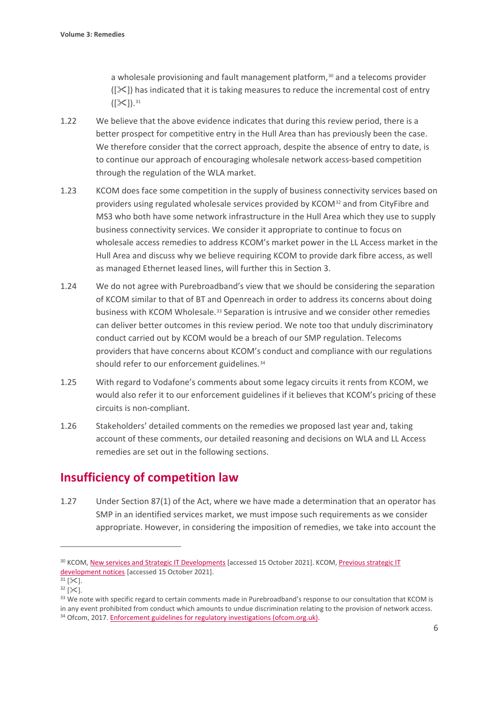a wholesale provisioning and fault management platform,<sup>[30](#page-7-0)</sup> and a telecoms provider  $(|\mathcal{X}|)$  has indicated that it is taking measures to reduce the incremental cost of entry  $([X])$ . [31](#page-7-1)

- 1.22 We believe that the above evidence indicates that during this review period, there is a better prospect for competitive entry in the Hull Area than has previously been the case. We therefore consider that the correct approach, despite the absence of entry to date, is to continue our approach of encouraging wholesale network access-based competition through the regulation of the WLA market.
- 1.23 KCOM does face some competition in the supply of business connectivity services based on providers using regulated wholesale services provided by KCOM[32](#page-7-2) and from CityFibre and MS3 who both have some network infrastructure in the Hull Area which they use to supply business connectivity services. We consider it appropriate to continue to focus on wholesale access remedies to address KCOM's market power in the LL Access market in the Hull Area and discuss why we believe requiring KCOM to provide dark fibre access, as well as managed Ethernet leased lines, will further this in Section 3.
- 1.24 We do not agree with Purebroadband's view that we should be considering the separation of KCOM similar to that of BT and Openreach in order to address its concerns about doing business with KCOM Wholesale.[33](#page-7-3) Separation is intrusive and we consider other remedies can deliver better outcomes in this review period. We note too that unduly discriminatory conduct carried out by KCOM would be a breach of our SMP regulation. Telecoms providers that have concerns about KCOM's conduct and compliance with our regulations should refer to our enforcement guidelines.<sup>[34](#page-7-4)</sup>
- 1.25 With regard to Vodafone's comments about some legacy circuits it rents from KCOM, we would also refer it to our enforcement guidelines if it believes that KCOM's pricing of these circuits is non-compliant.
- 1.26 Stakeholders' detailed comments on the remedies we proposed last year and, taking account of these comments, our detailed reasoning and decisions on WLA and LL Access remedies are set out in the following sections.

# **Insufficiency of competition law**

1.27 Under Section 87(1) of the Act, where we have made a determination that an operator has SMP in an identified services market, we must impose such requirements as we consider appropriate. However, in considering the imposition of remedies, we take into account the

<span id="page-7-0"></span><sup>&</sup>lt;sup>30</sup> KCOM[, New services and Strategic IT Developments](https://www.kcom.com/wholesale/products/service-information/new-services-and-strategic-it-developments/) [accessed 15 October 2021]. KCOM, Previous strategic IT [development notices](https://www.kcomgroupltd.com/regulatory/kcom-wholesale/service-information/previous-notices-new-services/) [accessed 15 October 2021].

<span id="page-7-1"></span> $31$  [ $\times$ ].

<span id="page-7-3"></span><span id="page-7-2"></span> $32$  [ $\ge$ ].<br>33 We note with specific regard to certain comments made in Purebroadband's response to our consultation that KCOM is in any event prohibited from conduct which amounts to undue discrimination relating to the provision of network access.

<span id="page-7-4"></span><sup>34</sup> Ofcom, 2017[. Enforcement guidelines for regulatory investigations \(ofcom.org.uk\).](https://www.ofcom.org.uk/__data/assets/pdf_file/0015/102516/Enforcement-guidelines-for-regulatory-investigations.pdf)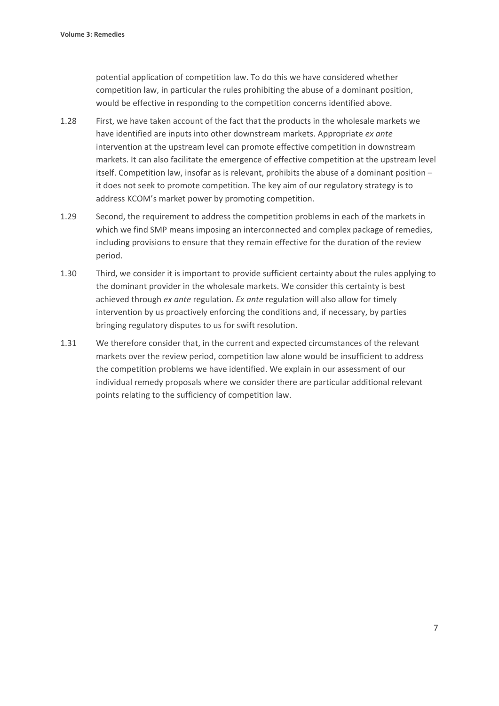potential application of competition law. To do this we have considered whether competition law, in particular the rules prohibiting the abuse of a dominant position, would be effective in responding to the competition concerns identified above.

- 1.28 First, we have taken account of the fact that the products in the wholesale markets we have identified are inputs into other downstream markets. Appropriate *ex ante* intervention at the upstream level can promote effective competition in downstream markets. It can also facilitate the emergence of effective competition at the upstream level itself. Competition law, insofar as is relevant, prohibits the abuse of a dominant position – it does not seek to promote competition. The key aim of our regulatory strategy is to address KCOM's market power by promoting competition.
- 1.29 Second, the requirement to address the competition problems in each of the markets in which we find SMP means imposing an interconnected and complex package of remedies, including provisions to ensure that they remain effective for the duration of the review period.
- 1.30 Third, we consider it is important to provide sufficient certainty about the rules applying to the dominant provider in the wholesale markets. We consider this certainty is best achieved through *ex ante* regulation. *Ex ante* regulation will also allow for timely intervention by us proactively enforcing the conditions and, if necessary, by parties bringing regulatory disputes to us for swift resolution.
- 1.31 We therefore consider that, in the current and expected circumstances of the relevant markets over the review period, competition law alone would be insufficient to address the competition problems we have identified. We explain in our assessment of our individual remedy proposals where we consider there are particular additional relevant points relating to the sufficiency of competition law.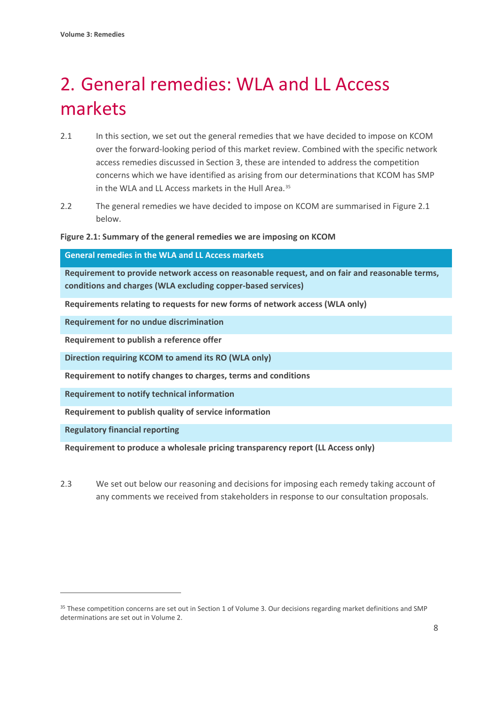# <span id="page-9-0"></span>2. General remedies: WLA and LL Access markets

- 2.1 In this section, we set out the general remedies that we have decided to impose on KCOM over the forward-looking period of this market review. Combined with the specific network access remedies discussed in Section 3, these are intended to address the competition concerns which we have identified as arising from our determinations that KCOM has SMP in the WLA and LL Access markets in the Hull Area.<sup>[35](#page-9-1)</sup>
- 2.2 The general remedies we have decided to impose on KCOM are summarised in Figure 2.1 below.

### **Figure 2.1: Summary of the general remedies we are imposing on KCOM**

| <b>General remedies in the WLA and LL Access markets</b>                                                                                                       |
|----------------------------------------------------------------------------------------------------------------------------------------------------------------|
| Requirement to provide network access on reasonable request, and on fair and reasonable terms,<br>conditions and charges (WLA excluding copper-based services) |
| Requirements relating to requests for new forms of network access (WLA only)                                                                                   |
| <b>Requirement for no undue discrimination</b>                                                                                                                 |
| Requirement to publish a reference offer                                                                                                                       |
| Direction requiring KCOM to amend its RO (WLA only)                                                                                                            |
| Requirement to notify changes to charges, terms and conditions                                                                                                 |
| <b>Requirement to notify technical information</b>                                                                                                             |
| Requirement to publish quality of service information                                                                                                          |
| <b>Regulatory financial reporting</b>                                                                                                                          |

**Requirement to produce a wholesale pricing transparency report (LL Access only)**

2.3 We set out below our reasoning and decisions for imposing each remedy taking account of any comments we received from stakeholders in response to our consultation proposals.

<span id="page-9-1"></span><sup>&</sup>lt;sup>35</sup> These competition concerns are set out in Section 1 of Volume 3. Our decisions regarding market definitions and SMP determinations are set out in Volume 2.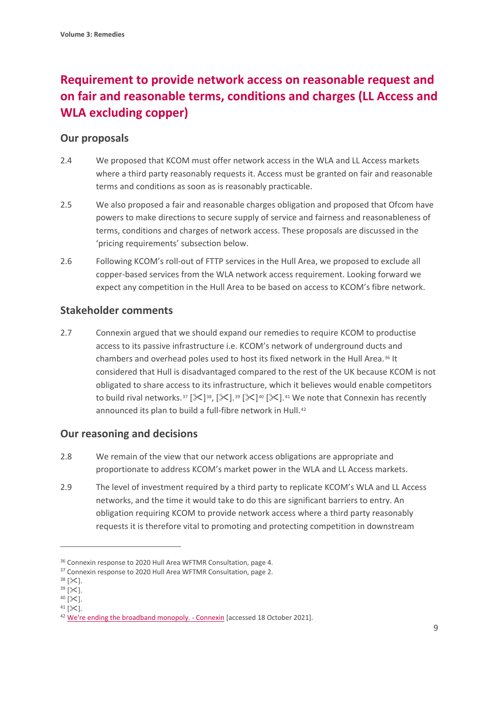# **Requirement to provide network access on reasonable request and on fair and reasonable terms, conditions and charges (LL Access and WLA excluding copper)**

# **Our proposals**

- 2.4 We proposed that KCOM must offer network access in the WLA and LL Access markets where a third party reasonably requests it. Access must be granted on fair and reasonable terms and conditions as soon as is reasonably practicable.
- 2.5 We also proposed a fair and reasonable charges obligation and proposed that Ofcom have powers to make directions to secure supply of service and fairness and reasonableness of terms, conditions and charges of network access. These proposals are discussed in the 'pricing requirements' subsection below.
- 2.6 Following KCOM's roll-out of FTTP services in the Hull Area, we proposed to exclude all copper-based services from the WLA network access requirement. Looking forward we expect any competition in the Hull Area to be based on access to KCOM's fibre network.

# **Stakeholder comments**

2.7 Connexin argued that we should expand our remedies to require KCOM to productise access to its passive infrastructure i.e. KCOM's network of underground ducts and chambers and overhead poles used to host its fixed network in the Hull Area.[36](#page-10-0) It considered that Hull is disadvantaged compared to the rest of the UK because KCOM is not obligated to share access to its infrastructure, which it believes would enable competitors to build rival networks.<sup>[37](#page-10-1)</sup> [ $\mathcal{S}$ ]<sup>38</sup>, [ $\mathcal{S}$ ].<sup>[39](#page-10-3)</sup> [ $\mathcal{S}$ ].<sup>[41](#page-10-5)</sup> We note that Connexin has recently announced its plan to build a full-fibre network in Hull.<sup>[42](#page-10-6)</sup>

# **Our reasoning and decisions**

- 2.8 We remain of the view that our network access obligations are appropriate and proportionate to address KCOM's market power in the WLA and LL Access markets.
- 2.9 The level of investment required by a third party to replicate KCOM's WLA and LL Access networks, and the time it would take to do this are significant barriers to entry. An obligation requiring KCOM to provide network access where a third party reasonably requests it is therefore vital to promoting and protecting competition in downstream

<span id="page-10-0"></span><sup>&</sup>lt;sup>36</sup> Connexin response to 2020 Hull Area WFTMR Consultation, page 4.

<span id="page-10-1"></span><sup>&</sup>lt;sup>37</sup> Connexin response to 2020 Hull Area WFTMR Consultation, page 2.  $38$  [ $\ge$ 1.

<span id="page-10-3"></span><span id="page-10-2"></span> $^{39}$  [ $\!\times$  ].

<span id="page-10-5"></span><span id="page-10-4"></span> $40$  [ $\&$ ].  $41$  [ $\&$ ].

<span id="page-10-6"></span><sup>&</sup>lt;sup>42</sup> [We're ending the broadband monopoly. -](https://www.connexin.co.uk/newsroom/connexin-fibre-announcement/) Connexin [accessed 18 October 2021].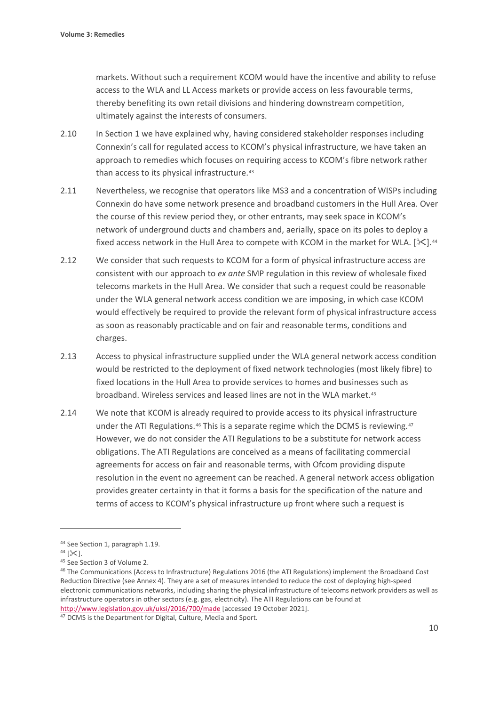markets. Without such a requirement KCOM would have the incentive and ability to refuse access to the WLA and LL Access markets or provide access on less favourable terms, thereby benefiting its own retail divisions and hindering downstream competition, ultimately against the interests of consumers.

- 2.10 In Section 1 we have explained why, having considered stakeholder responses including Connexin's call for regulated access to KCOM's physical infrastructure, we have taken an approach to remedies which focuses on requiring access to KCOM's fibre network rather than access to its physical infrastructure.<sup>[43](#page-11-0)</sup>
- 2.11 Nevertheless, we recognise that operators like MS3 and a concentration of WISPs including Connexin do have some network presence and broadband customers in the Hull Area. Over the course of this review period they, or other entrants, may seek space in KCOM's network of underground ducts and chambers and, aerially, space on its poles to deploy a fixed access network in the Hull Area to compete with KCOM in the market for WLA. [ $\ll$ ].<sup>[44](#page-11-1)</sup>
- 2.12 We consider that such requests to KCOM for a form of physical infrastructure access are consistent with our approach to *ex ante* SMP regulation in this review of wholesale fixed telecoms markets in the Hull Area. We consider that such a request could be reasonable under the WLA general network access condition we are imposing, in which case KCOM would effectively be required to provide the relevant form of physical infrastructure access as soon as reasonably practicable and on fair and reasonable terms, conditions and charges.
- 2.13 Access to physical infrastructure supplied under the WLA general network access condition would be restricted to the deployment of fixed network technologies (most likely fibre) to fixed locations in the Hull Area to provide services to homes and businesses such as broadband. Wireless services and leased lines are not in the WLA market.[45](#page-11-2)
- 2.14 We note that KCOM is already required to provide access to its physical infrastructure under the ATI Regulations.<sup>[46](#page-11-3)</sup> This is a separate regime which the DCMS is reviewing.<sup>[47](#page-11-4)</sup> However, we do not consider the ATI Regulations to be a substitute for network access obligations. The ATI Regulations are conceived as a means of facilitating commercial agreements for access on fair and reasonable terms, with Ofcom providing dispute resolution in the event no agreement can be reached. A general network access obligation provides greater certainty in that it forms a basis for the specification of the nature and terms of access to KCOM's physical infrastructure up front where such a request is

<span id="page-11-0"></span><sup>&</sup>lt;sup>43</sup> See Section 1, paragraph 1.19.<br><sup>44</sup> [ $\ll$ ].

<span id="page-11-1"></span>

<span id="page-11-2"></span><sup>&</sup>lt;sup>45</sup> See Section 3 of Volume 2.

<span id="page-11-3"></span><sup>&</sup>lt;sup>46</sup> The Communications (Access to Infrastructure) Regulations 2016 (the ATI Regulations) implement the Broadband Cost Reduction Directive (see Annex 4). They are a set of measures intended to reduce the cost of deploying high-speed electronic communications networks, including sharing the physical infrastructure of telecoms network providers as well as infrastructure operators in other sectors (e.g. gas, electricity). The ATI Regulations can be found at <http://www.legislation.gov.uk/uksi/2016/700/made> [accessed 19 October 2021].

<span id="page-11-4"></span><sup>47</sup> DCMS is the Department for Digital, Culture, Media and Sport.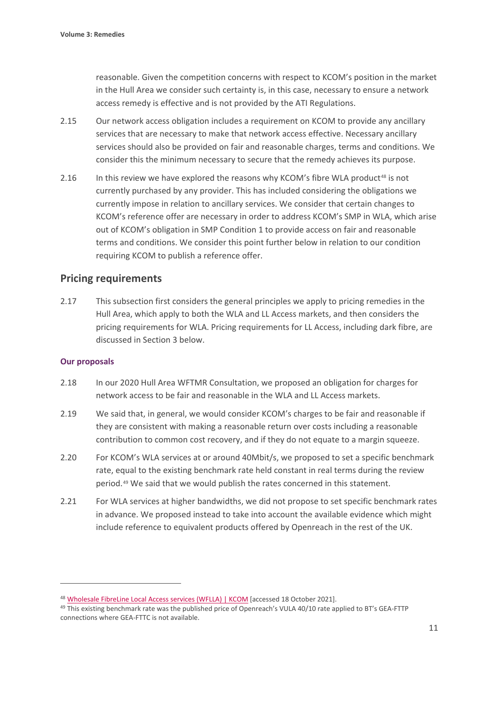reasonable. Given the competition concerns with respect to KCOM's position in the market in the Hull Area we consider such certainty is, in this case, necessary to ensure a network access remedy is effective and is not provided by the ATI Regulations.

- 2.15 Our network access obligation includes a requirement on KCOM to provide any ancillary services that are necessary to make that network access effective. Necessary ancillary services should also be provided on fair and reasonable charges, terms and conditions. We consider this the minimum necessary to secure that the remedy achieves its purpose.
- 2.16 In this review we have explored the reasons why KCOM's fibre WLA product<sup>[48](#page-12-0)</sup> is not currently purchased by any provider. This has included considering the obligations we currently impose in relation to ancillary services. We consider that certain changes to KCOM's reference offer are necessary in order to address KCOM's SMP in WLA, which arise out of KCOM's obligation in SMP Condition 1 to provide access on fair and reasonable terms and conditions. We consider this point further below in relation to our condition requiring KCOM to publish a reference offer.

## **Pricing requirements**

2.17 This subsection first considers the general principles we apply to pricing remedies in the Hull Area, which apply to both the WLA and LL Access markets, and then considers the pricing requirements for WLA. Pricing requirements for LL Access, including dark fibre, are discussed in Section 3 below.

#### **Our proposals**

- 2.18 In our 2020 Hull Area WFTMR Consultation, we proposed an obligation for charges for network access to be fair and reasonable in the WLA and LL Access markets.
- 2.19 We said that, in general, we would consider KCOM's charges to be fair and reasonable if they are consistent with making a reasonable return over costs including a reasonable contribution to common cost recovery, and if they do not equate to a margin squeeze.
- 2.20 For KCOM's WLA services at or around 40Mbit/s, we proposed to set a specific benchmark rate, equal to the existing benchmark rate held constant in real terms during the review period.[49](#page-12-1) We said that we would publish the rates concerned in this statement.
- 2.21 For WLA services at higher bandwidths, we did not propose to set specific benchmark rates in advance. We proposed instead to take into account the available evidence which might include reference to equivalent products offered by Openreach in the rest of the UK.

<span id="page-12-0"></span><sup>48</sup> [Wholesale FibreLine Local Access services \(WFLLA\) | KCOM](https://www.kcom.com/wholesale/products/broadband-and-internet/wholesale-fibreline-local-access-services-wflla/) [accessed 18 October 2021].

<span id="page-12-1"></span><sup>&</sup>lt;sup>49</sup> This existing benchmark rate was the published price of Openreach's VULA 40/10 rate applied to BT's GEA-FTTP connections where GEA-FTTC is not available.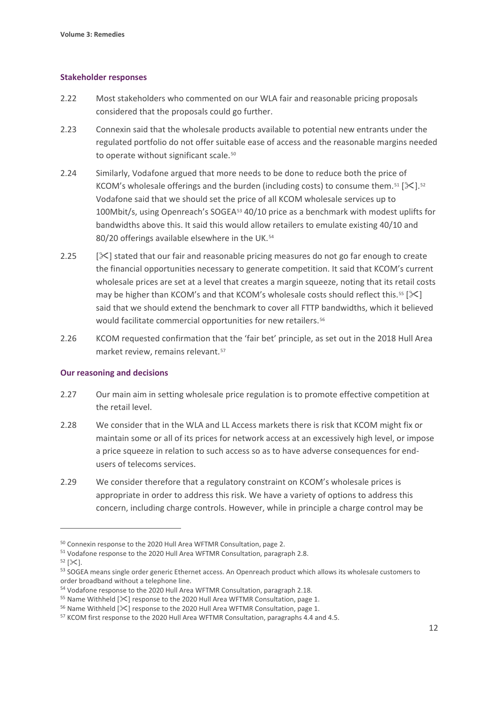#### **Stakeholder responses**

- 2.22 Most stakeholders who commented on our WLA fair and reasonable pricing proposals considered that the proposals could go further.
- 2.23 Connexin said that the wholesale products available to potential new entrants under the regulated portfolio do not offer suitable ease of access and the reasonable margins needed to operate without significant scale.<sup>[50](#page-13-0)</sup>
- 2.24 Similarly, Vodafone argued that more needs to be done to reduce both the price of KCOM's wholesale offerings and the burden (including costs) to consume them.<sup>[51](#page-13-1)</sup> [ $\ge$ ].<sup>[52](#page-13-2)</sup> Vodafone said that we should set the price of all KCOM wholesale services up to 100Mbit/s, using Openreach's SOGEA<sup>[53](#page-13-3)</sup> 40/10 price as a benchmark with modest uplifts for bandwidths above this. It said this would allow retailers to emulate existing 40/10 and 80/20 offerings available elsewhere in the UK.<sup>[54](#page-13-4)</sup>
- 2.25  $\sqrt{2}$  stated that our fair and reasonable pricing measures do not go far enough to create the financial opportunities necessary to generate competition. It said that KCOM's current wholesale prices are set at a level that creates a margin squeeze, noting that its retail costs may be higher than KCOM's and that KCOM's wholesale costs should reflect this.<sup>[55](#page-13-5)</sup> [ $\ll$ ] said that we should extend the benchmark to cover all FTTP bandwidths, which it believed would facilitate commercial opportunities for new retailers.<sup>[56](#page-13-6)</sup>
- 2.26 KCOM requested confirmation that the 'fair bet' principle, as set out in the 2018 Hull Area market review, remains relevant.[57](#page-13-7)

#### **Our reasoning and decisions**

- 2.27 Our main aim in setting wholesale price regulation is to promote effective competition at the retail level.
- 2.28 We consider that in the WLA and LL Access markets there is risk that KCOM might fix or maintain some or all of its prices for network access at an excessively high level, or impose a price squeeze in relation to such access so as to have adverse consequences for endusers of telecoms services.
- 2.29 We consider therefore that a regulatory constraint on KCOM's wholesale prices is appropriate in order to address this risk. We have a variety of options to address this concern, including charge controls. However, while in principle a charge control may be

<span id="page-13-2"></span> $52$  [ $\&$ ].

<span id="page-13-1"></span><span id="page-13-0"></span><sup>&</sup>lt;sup>50</sup> Connexin response to the 2020 Hull Area WFTMR Consultation, page 2.<br><sup>51</sup> Vodafone response to the 2020 Hull Area WFTMR Consultation, paragraph 2.8.

<span id="page-13-3"></span><sup>53</sup> SOGEA means single order generic Ethernet access. An Openreach product which allows its wholesale customers to order broadband without a telephone line.

<span id="page-13-4"></span><sup>54</sup> Vodafone response to the 2020 Hull Area WFTMR Consultation, paragraph 2.18.

<span id="page-13-6"></span><span id="page-13-5"></span><sup>&</sup>lt;sup>55</sup> Name Withheld [ $\ll$ ] response to the 2020 Hull Area WFTMR Consultation, page 1.<br><sup>56</sup> Name Withheld [ $\ll$ ] response to the 2020 Hull Area WFTMR Consultation, page 1.<br><sup>57</sup> KCOM first response to the 2020 Hull Area WFTM

<span id="page-13-7"></span>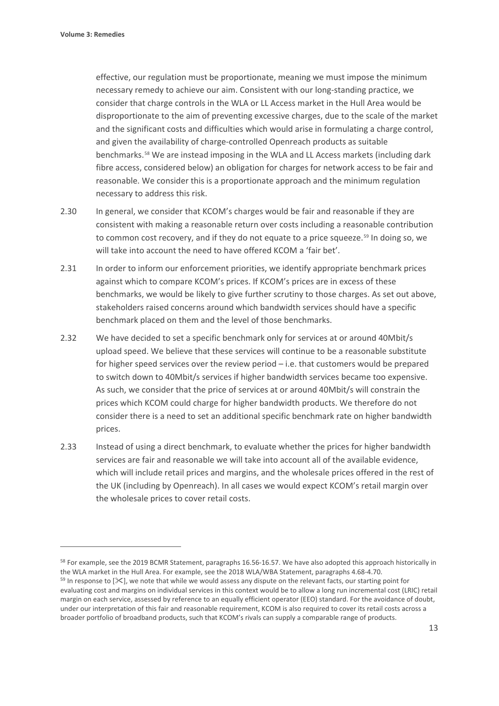effective, our regulation must be proportionate, meaning we must impose the minimum necessary remedy to achieve our aim. Consistent with our long-standing practice, we consider that charge controls in the WLA or LL Access market in the Hull Area would be disproportionate to the aim of preventing excessive charges, due to the scale of the market and the significant costs and difficulties which would arise in formulating a charge control, and given the availability of charge-controlled Openreach products as suitable benchmarks.[58](#page-14-0) We are instead imposing in the WLA and LL Access markets (including dark fibre access, considered below) an obligation for charges for network access to be fair and reasonable. We consider this is a proportionate approach and the minimum regulation necessary to address this risk.

- 2.30 In general, we consider that KCOM's charges would be fair and reasonable if they are consistent with making a reasonable return over costs including a reasonable contribution to common cost recovery, and if they do not equate to a price squeeze.<sup>[59](#page-14-1)</sup> In doing so, we will take into account the need to have offered KCOM a 'fair bet'.
- 2.31 In order to inform our enforcement priorities, we identify appropriate benchmark prices against which to compare KCOM's prices. If KCOM's prices are in excess of these benchmarks, we would be likely to give further scrutiny to those charges. As set out above, stakeholders raised concerns around which bandwidth services should have a specific benchmark placed on them and the level of those benchmarks.
- 2.32 We have decided to set a specific benchmark only for services at or around 40Mbit/s upload speed. We believe that these services will continue to be a reasonable substitute for higher speed services over the review period – i.e. that customers would be prepared to switch down to 40Mbit/s services if higher bandwidth services became too expensive. As such, we consider that the price of services at or around 40Mbit/s will constrain the prices which KCOM could charge for higher bandwidth products. We therefore do not consider there is a need to set an additional specific benchmark rate on higher bandwidth prices.
- 2.33 Instead of using a direct benchmark, to evaluate whether the prices for higher bandwidth services are fair and reasonable we will take into account all of the available evidence, which will include retail prices and margins, and the wholesale prices offered in the rest of the UK (including by Openreach). In all cases we would expect KCOM's retail margin over the wholesale prices to cover retail costs.

<span id="page-14-0"></span><sup>&</sup>lt;sup>58</sup> For example, see the 2019 BCMR Statement, paragraphs 16.56-16.57. We have also adopted this approach historically in the WLA market in the Hull Area. For example, see the 2018 WLA/WBA Statement, paragraphs 4.68-4.70.

<span id="page-14-1"></span> $59$  In response to  $[\times]$ , we note that while we would assess any dispute on the relevant facts, our starting point for evaluating cost and margins on individual services in this context would be to allow a long run incremental cost (LRIC) retail margin on each service, assessed by reference to an equally efficient operator (EEO) standard. For the avoidance of doubt, under our interpretation of this fair and reasonable requirement, KCOM is also required to cover its retail costs across a broader portfolio of broadband products, such that KCOM's rivals can supply a comparable range of products.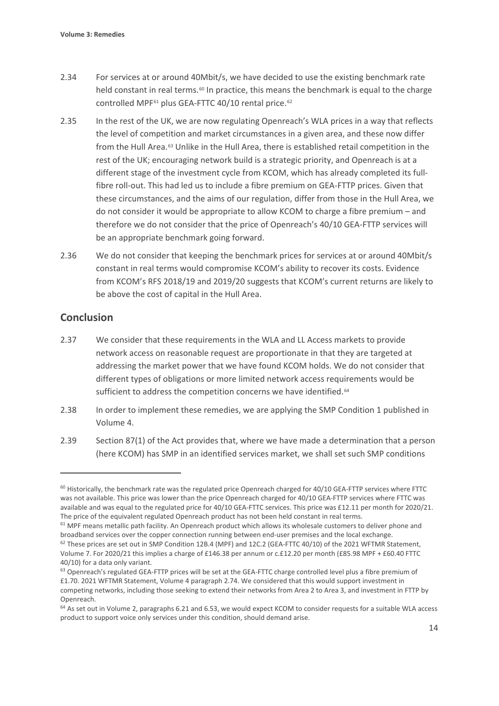- 2.34 For services at or around 40Mbit/s, we have decided to use the existing benchmark rate held constant in real terms.<sup>[60](#page-15-0)</sup> In practice, this means the benchmark is equal to the charge controlled MPF<sup>61</sup> plus GEA-FTTC 40/10 rental price.<sup>[62](#page-15-2)</sup>
- 2.35 In the rest of the UK, we are now regulating Openreach's WLA prices in a way that reflects the level of competition and market circumstances in a given area, and these now differ from the Hull Area.[63](#page-15-3) Unlike in the Hull Area, there is established retail competition in the rest of the UK; encouraging network build is a strategic priority, and Openreach is at a different stage of the investment cycle from KCOM, which has already completed its fullfibre roll-out. This had led us to include a fibre premium on GEA-FTTP prices. Given that these circumstances, and the aims of our regulation, differ from those in the Hull Area, we do not consider it would be appropriate to allow KCOM to charge a fibre premium – and therefore we do not consider that the price of Openreach's 40/10 GEA-FTTP services will be an appropriate benchmark going forward.
- 2.36 We do not consider that keeping the benchmark prices for services at or around 40Mbit/s constant in real terms would compromise KCOM's ability to recover its costs. Evidence from KCOM's RFS 2018/19 and 2019/20 suggests that KCOM's current returns are likely to be above the cost of capital in the Hull Area.

# **Conclusion**

- 2.37 We consider that these requirements in the WLA and LL Access markets to provide network access on reasonable request are proportionate in that they are targeted at addressing the market power that we have found KCOM holds. We do not consider that different types of obligations or more limited network access requirements would be sufficient to address the competition concerns we have identified.<sup>[64](#page-15-4)</sup>
- 2.38 In order to implement these remedies, we are applying the SMP Condition 1 published in Volume 4.
- 2.39 Section 87(1) of the Act provides that, where we have made a determination that a person (here KCOM) has SMP in an identified services market, we shall set such SMP conditions

<span id="page-15-0"></span><sup>&</sup>lt;sup>60</sup> Historically, the benchmark rate was the regulated price Openreach charged for 40/10 GEA-FTTP services where FTTC was not available. This price was lower than the price Openreach charged for 40/10 GEA-FTTP services where FTTC was available and was equal to the regulated price for 40/10 GEA-FTTC services. This price was £12.11 per month for 2020/21. The price of the equivalent regulated Openreach product has not been held constant in real terms.

<span id="page-15-1"></span> $61$  MPF means metallic path facility. An Openreach product which allows its wholesale customers to deliver phone and broadband services over the copper connection running between end-user premises and the local exchange.

<span id="page-15-2"></span> $62$  These prices are set out in SMP Condition 12B.4 (MPF) and 12C.2 (GEA-FTTC 40/10) of the 2021 WFTMR Statement, Volume 7. For 2020/21 this implies a charge of £146.38 per annum or c.£12.20 per month (£85.98 MPF + £60.40 FTTC 40/10) for a data only variant.

<span id="page-15-3"></span><sup>&</sup>lt;sup>63</sup> Openreach's regulated GEA-FTTP prices will be set at the GEA-FTTC charge controlled level plus a fibre premium of £1.70. 2021 WFTMR Statement, Volume 4 paragraph 2.74. We considered that this would support investment in competing networks, including those seeking to extend their networks from Area 2 to Area 3, and investment in FTTP by Openreach.

<span id="page-15-4"></span><sup>&</sup>lt;sup>64</sup> As set out in Volume 2, paragraphs 6.21 and 6.53, we would expect KCOM to consider requests for a suitable WLA access product to support voice only services under this condition, should demand arise.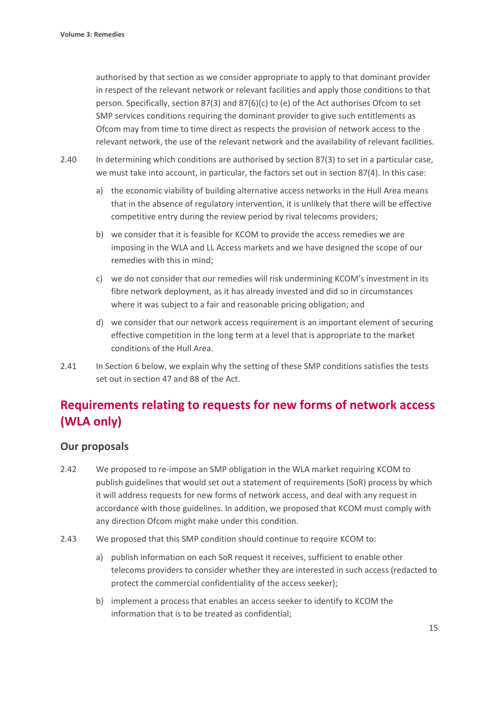authorised by that section as we consider appropriate to apply to that dominant provider in respect of the relevant network or relevant facilities and apply those conditions to that person. Specifically, section 87(3) and 87(6)(c) to (e) of the Act authorises Ofcom to set SMP services conditions requiring the dominant provider to give such entitlements as Ofcom may from time to time direct as respects the provision of network access to the relevant network, the use of the relevant network and the availability of relevant facilities.

- 2.40 In determining which conditions are authorised by section 87(3) to set in a particular case, we must take into account, in particular, the factors set out in section 87(4). In this case:
	- a) the economic viability of building alternative access networks in the Hull Area means that in the absence of regulatory intervention, it is unlikely that there will be effective competitive entry during the review period by rival telecoms providers;
	- b) we consider that it is feasible for KCOM to provide the access remedies we are imposing in the WLA and LL Access markets and we have designed the scope of our remedies with this in mind;
	- c) we do not consider that our remedies will risk undermining KCOM's investment in its fibre network deployment, as it has already invested and did so in circumstances where it was subject to a fair and reasonable pricing obligation; and
	- d) we consider that our network access requirement is an important element of securing effective competition in the long term at a level that is appropriate to the market conditions of the Hull Area.
- 2.41 In Section 6 below, we explain why the setting of these SMP conditions satisfies the tests set out in section 47 and 88 of the Act.

# **Requirements relating to requests for new forms of network access (WLA only)**

# **Our proposals**

- 2.42 We proposed to re-impose an SMP obligation in the WLA market requiring KCOM to publish guidelines that would set out a statement of requirements (SoR) process by which it will address requests for new forms of network access, and deal with any request in accordance with those guidelines. In addition, we proposed that KCOM must comply with any direction Ofcom might make under this condition.
- 2.43 We proposed that this SMP condition should continue to require KCOM to:
	- a) publish information on each SoR request it receives, sufficient to enable other telecoms providers to consider whether they are interested in such access (redacted to protect the commercial confidentiality of the access seeker);
	- b) implement a process that enables an access seeker to identify to KCOM the information that is to be treated as confidential;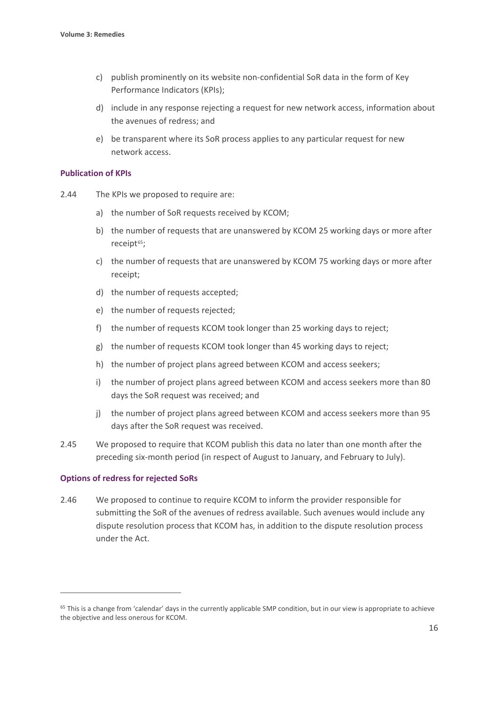- c) publish prominently on its website non-confidential SoR data in the form of Key Performance Indicators (KPIs);
- d) include in any response rejecting a request for new network access, information about the avenues of redress; and
- e) be transparent where its SoR process applies to any particular request for new network access.

#### **Publication of KPIs**

- 2.44 The KPIs we proposed to require are:
	- a) the number of SoR requests received by KCOM;
	- b) the number of requests that are unanswered by KCOM 25 working days or more after receipt<sup>65</sup>;
	- c) the number of requests that are unanswered by KCOM 75 working days or more after receipt;
	- d) the number of requests accepted;
	- e) the number of requests rejected;
	- f) the number of requests KCOM took longer than 25 working days to reject;
	- g) the number of requests KCOM took longer than 45 working days to reject;
	- h) the number of project plans agreed between KCOM and access seekers;
	- i) the number of project plans agreed between KCOM and access seekers more than 80 days the SoR request was received; and
	- j) the number of project plans agreed between KCOM and access seekers more than 95 days after the SoR request was received.
- 2.45 We proposed to require that KCOM publish this data no later than one month after the preceding six-month period (in respect of August to January, and February to July).

#### **Options of redress for rejected SoRs**

2.46 We proposed to continue to require KCOM to inform the provider responsible for submitting the SoR of the avenues of redress available. Such avenues would include any dispute resolution process that KCOM has, in addition to the dispute resolution process under the Act.

<span id="page-17-0"></span><sup>&</sup>lt;sup>65</sup> This is a change from 'calendar' days in the currently applicable SMP condition, but in our view is appropriate to achieve the objective and less onerous for KCOM.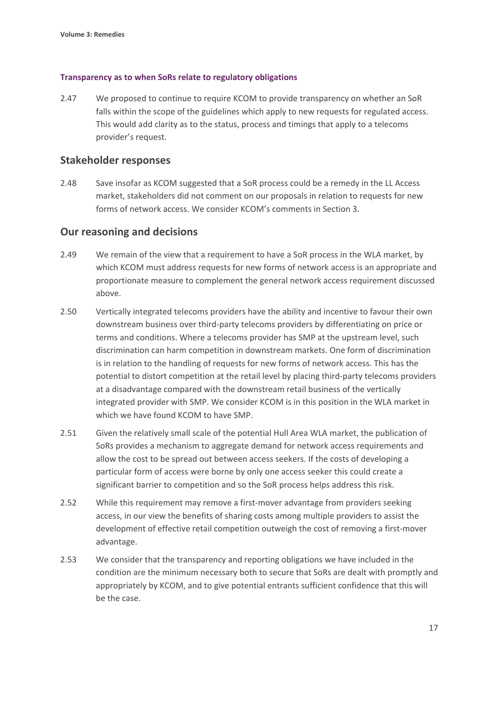#### **Transparency as to when SoRs relate to regulatory obligations**

2.47 We proposed to continue to require KCOM to provide transparency on whether an SoR falls within the scope of the guidelines which apply to new requests for regulated access. This would add clarity as to the status, process and timings that apply to a telecoms provider's request.

### **Stakeholder responses**

2.48 Save insofar as KCOM suggested that a SoR process could be a remedy in the LL Access market, stakeholders did not comment on our proposals in relation to requests for new forms of network access. We consider KCOM's comments in Section 3.

### **Our reasoning and decisions**

- 2.49 We remain of the view that a requirement to have a SoR process in the WLA market, by which KCOM must address requests for new forms of network access is an appropriate and proportionate measure to complement the general network access requirement discussed above.
- 2.50 Vertically integrated telecoms providers have the ability and incentive to favour their own downstream business over third-party telecoms providers by differentiating on price or terms and conditions. Where a telecoms provider has SMP at the upstream level, such discrimination can harm competition in downstream markets. One form of discrimination is in relation to the handling of requests for new forms of network access. This has the potential to distort competition at the retail level by placing third-party telecoms providers at a disadvantage compared with the downstream retail business of the vertically integrated provider with SMP. We consider KCOM is in this position in the WLA market in which we have found KCOM to have SMP.
- 2.51 Given the relatively small scale of the potential Hull Area WLA market, the publication of SoRs provides a mechanism to aggregate demand for network access requirements and allow the cost to be spread out between access seekers. If the costs of developing a particular form of access were borne by only one access seeker this could create a significant barrier to competition and so the SoR process helps address this risk.
- 2.52 While this requirement may remove a first-mover advantage from providers seeking access, in our view the benefits of sharing costs among multiple providers to assist the development of effective retail competition outweigh the cost of removing a first-mover advantage.
- 2.53 We consider that the transparency and reporting obligations we have included in the condition are the minimum necessary both to secure that SoRs are dealt with promptly and appropriately by KCOM, and to give potential entrants sufficient confidence that this will be the case.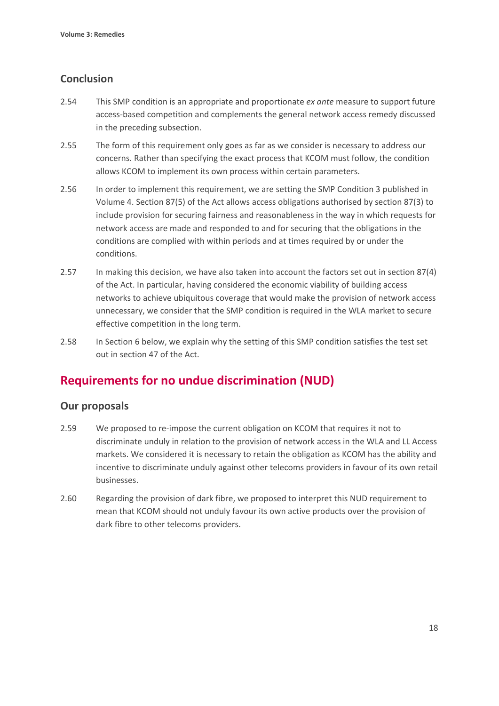# **Conclusion**

- 2.54 This SMP condition is an appropriate and proportionate *ex ante* measure to support future access-based competition and complements the general network access remedy discussed in the preceding subsection.
- 2.55 The form of this requirement only goes as far as we consider is necessary to address our concerns. Rather than specifying the exact process that KCOM must follow, the condition allows KCOM to implement its own process within certain parameters.
- 2.56 In order to implement this requirement, we are setting the SMP Condition 3 published in Volume 4. Section 87(5) of the Act allows access obligations authorised by section 87(3) to include provision for securing fairness and reasonableness in the way in which requests for network access are made and responded to and for securing that the obligations in the conditions are complied with within periods and at times required by or under the conditions.
- 2.57 In making this decision, we have also taken into account the factors set out in section 87(4) of the Act. In particular, having considered the economic viability of building access networks to achieve ubiquitous coverage that would make the provision of network access unnecessary, we consider that the SMP condition is required in the WLA market to secure effective competition in the long term.
- 2.58 In Section 6 below, we explain why the setting of this SMP condition satisfies the test set out in section 47 of the Act.

# **Requirements for no undue discrimination (NUD)**

# **Our proposals**

- 2.59 We proposed to re-impose the current obligation on KCOM that requires it not to discriminate unduly in relation to the provision of network access in the WLA and LL Access markets. We considered it is necessary to retain the obligation as KCOM has the ability and incentive to discriminate unduly against other telecoms providers in favour of its own retail businesses.
- 2.60 Regarding the provision of dark fibre, we proposed to interpret this NUD requirement to mean that KCOM should not unduly favour its own active products over the provision of dark fibre to other telecoms providers.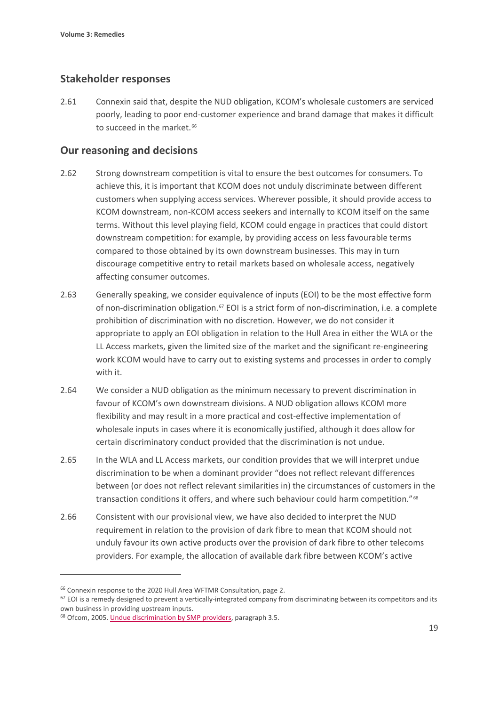# **Stakeholder responses**

2.61 Connexin said that, despite the NUD obligation, KCOM's wholesale customers are serviced poorly, leading to poor end-customer experience and brand damage that makes it difficult to succeed in the market.<sup>[66](#page-20-0)</sup>

## **Our reasoning and decisions**

- 2.62 Strong downstream competition is vital to ensure the best outcomes for consumers. To achieve this, it is important that KCOM does not unduly discriminate between different customers when supplying access services. Wherever possible, it should provide access to KCOM downstream, non-KCOM access seekers and internally to KCOM itself on the same terms. Without this level playing field, KCOM could engage in practices that could distort downstream competition: for example, by providing access on less favourable terms compared to those obtained by its own downstream businesses. This may in turn discourage competitive entry to retail markets based on wholesale access, negatively affecting consumer outcomes.
- 2.63 Generally speaking, we consider equivalence of inputs (EOI) to be the most effective form of non-discrimination obligation.[67](#page-20-1) EOI is a strict form of non-discrimination, i.e. a complete prohibition of discrimination with no discretion. However, we do not consider it appropriate to apply an EOI obligation in relation to the Hull Area in either the WLA or the LL Access markets, given the limited size of the market and the significant re-engineering work KCOM would have to carry out to existing systems and processes in order to comply with it.
- 2.64 We consider a NUD obligation as the minimum necessary to prevent discrimination in favour of KCOM's own downstream divisions. A NUD obligation allows KCOM more flexibility and may result in a more practical and cost-effective implementation of wholesale inputs in cases where it is economically justified, although it does allow for certain discriminatory conduct provided that the discrimination is not undue.
- 2.65 In the WLA and LL Access markets, our condition provides that we will interpret undue discrimination to be when a dominant provider "does not reflect relevant differences between (or does not reflect relevant similarities in) the circumstances of customers in the transaction conditions it offers, and where such behaviour could harm competition."[68](#page-20-2)
- 2.66 Consistent with our provisional view, we have also decided to interpret the NUD requirement in relation to the provision of dark fibre to mean that KCOM should not unduly favour its own active products over the provision of dark fibre to other telecoms providers. For example, the allocation of available dark fibre between KCOM's active

<span id="page-20-1"></span><span id="page-20-0"></span><sup>&</sup>lt;sup>66</sup> Connexin response to the 2020 Hull Area WFTMR Consultation, page 2.<br><sup>67</sup> EOI is a remedy designed to prevent a vertically-integrated company from discriminating between its competitors and its own business in providing upstream inputs.

<span id="page-20-2"></span><sup>68</sup> Ofcom, 2005[. Undue discrimination by SMP providers,](https://www.ofcom.org.uk/__data/assets/pdf_file/0021/46038/contraventions4.pdf) paragraph 3.5.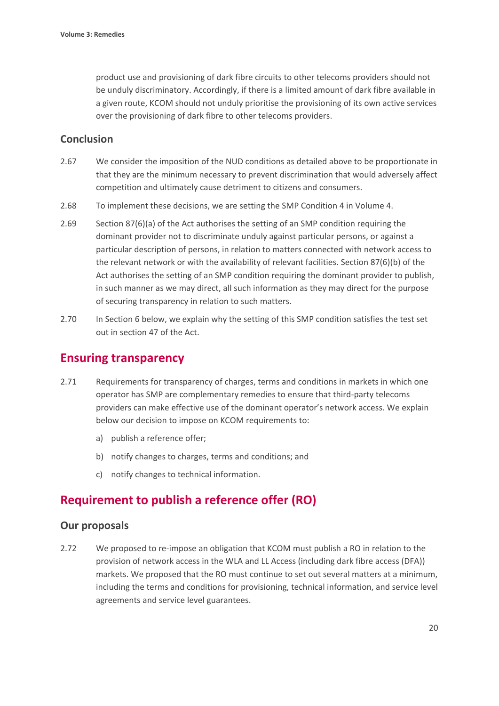product use and provisioning of dark fibre circuits to other telecoms providers should not be unduly discriminatory. Accordingly, if there is a limited amount of dark fibre available in a given route, KCOM should not unduly prioritise the provisioning of its own active services over the provisioning of dark fibre to other telecoms providers.

## **Conclusion**

- 2.67 We consider the imposition of the NUD conditions as detailed above to be proportionate in that they are the minimum necessary to prevent discrimination that would adversely affect competition and ultimately cause detriment to citizens and consumers.
- 2.68 To implement these decisions, we are setting the SMP Condition 4 in Volume 4.
- 2.69 Section 87(6)(a) of the Act authorises the setting of an SMP condition requiring the dominant provider not to discriminate unduly against particular persons, or against a particular description of persons, in relation to matters connected with network access to the relevant network or with the availability of relevant facilities. Section 87(6)(b) of the Act authorises the setting of an SMP condition requiring the dominant provider to publish, in such manner as we may direct, all such information as they may direct for the purpose of securing transparency in relation to such matters.
- 2.70 In Section 6 below, we explain why the setting of this SMP condition satisfies the test set out in section 47 of the Act.

# **Ensuring transparency**

- 2.71 Requirements for transparency of charges, terms and conditions in markets in which one operator has SMP are complementary remedies to ensure that third-party telecoms providers can make effective use of the dominant operator's network access. We explain below our decision to impose on KCOM requirements to:
	- a) publish a reference offer;
	- b) notify changes to charges, terms and conditions; and
	- c) notify changes to technical information.

# **Requirement to publish a reference offer (RO)**

### **Our proposals**

2.72 We proposed to re-impose an obligation that KCOM must publish a RO in relation to the provision of network access in the WLA and LL Access (including dark fibre access (DFA)) markets. We proposed that the RO must continue to set out several matters at a minimum, including the terms and conditions for provisioning, technical information, and service level agreements and service level guarantees.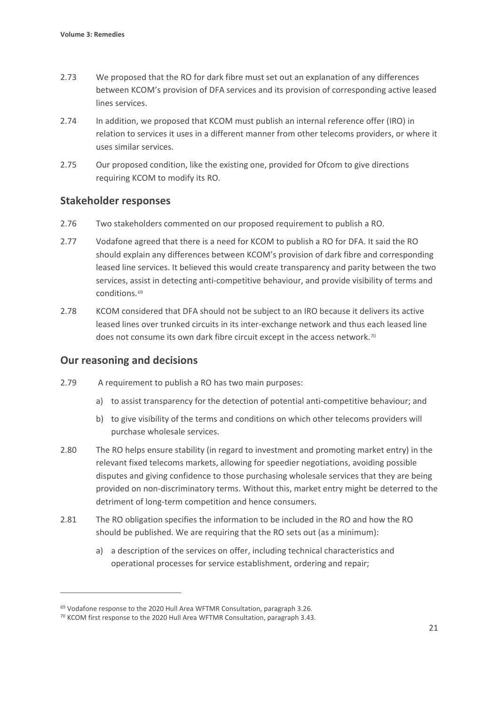- 2.73 We proposed that the RO for dark fibre must set out an explanation of any differences between KCOM's provision of DFA services and its provision of corresponding active leased lines services.
- 2.74 In addition, we proposed that KCOM must publish an internal reference offer (IRO) in relation to services it uses in a different manner from other telecoms providers, or where it uses similar services.
- 2.75 Our proposed condition, like the existing one, provided for Ofcom to give directions requiring KCOM to modify its RO.

# **Stakeholder responses**

- 2.76 Two stakeholders commented on our proposed requirement to publish a RO.
- 2.77 Vodafone agreed that there is a need for KCOM to publish a RO for DFA. It said the RO should explain any differences between KCOM's provision of dark fibre and corresponding leased line services. It believed this would create transparency and parity between the two services, assist in detecting anti-competitive behaviour, and provide visibility of terms and conditions.[69](#page-22-0)
- 2.78 KCOM considered that DFA should not be subject to an IRO because it delivers its active leased lines over trunked circuits in its inter-exchange network and thus each leased line does not consume its own dark fibre circuit except in the access network.<sup>[70](#page-22-1)</sup>

# **Our reasoning and decisions**

- 2.79 A requirement to publish a RO has two main purposes:
	- a) to assist transparency for the detection of potential anti-competitive behaviour; and
	- b) to give visibility of the terms and conditions on which other telecoms providers will purchase wholesale services.
- 2.80 The RO helps ensure stability (in regard to investment and promoting market entry) in the relevant fixed telecoms markets, allowing for speedier negotiations, avoiding possible disputes and giving confidence to those purchasing wholesale services that they are being provided on non-discriminatory terms. Without this, market entry might be deterred to the detriment of long-term competition and hence consumers.
- 2.81 The RO obligation specifies the information to be included in the RO and how the RO should be published. We are requiring that the RO sets out (as a minimum):
	- a) a description of the services on offer, including technical characteristics and operational processes for service establishment, ordering and repair;

<span id="page-22-0"></span><sup>&</sup>lt;sup>69</sup> Vodafone response to the 2020 Hull Area WFTMR Consultation, paragraph 3.26.

<span id="page-22-1"></span><sup>70</sup> KCOM first response to the 2020 Hull Area WFTMR Consultation, paragraph 3.43.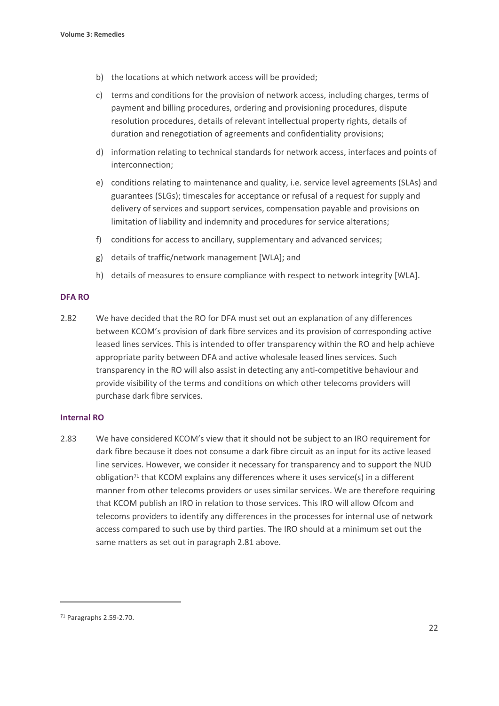- b) the locations at which network access will be provided;
- c) terms and conditions for the provision of network access, including charges, terms of payment and billing procedures, ordering and provisioning procedures, dispute resolution procedures, details of relevant intellectual property rights, details of duration and renegotiation of agreements and confidentiality provisions;
- d) information relating to technical standards for network access, interfaces and points of interconnection;
- e) conditions relating to maintenance and quality, i.e. service level agreements (SLAs) and guarantees (SLGs); timescales for acceptance or refusal of a request for supply and delivery of services and support services, compensation payable and provisions on limitation of liability and indemnity and procedures for service alterations;
- f) conditions for access to ancillary, supplementary and advanced services;
- g) details of traffic/network management [WLA]; and
- h) details of measures to ensure compliance with respect to network integrity [WLA].

#### **DFA RO**

2.82 We have decided that the RO for DFA must set out an explanation of any differences between KCOM's provision of dark fibre services and its provision of corresponding active leased lines services. This is intended to offer transparency within the RO and help achieve appropriate parity between DFA and active wholesale leased lines services. Such transparency in the RO will also assist in detecting any anti-competitive behaviour and provide visibility of the terms and conditions on which other telecoms providers will purchase dark fibre services.

#### **Internal RO**

2.83 We have considered KCOM's view that it should not be subject to an IRO requirement for dark fibre because it does not consume a dark fibre circuit as an input for its active leased line services. However, we consider it necessary for transparency and to support the NUD obligation<sup>[71](#page-23-0)</sup> that KCOM explains any differences where it uses service(s) in a different manner from other telecoms providers or uses similar services. We are therefore requiring that KCOM publish an IRO in relation to those services. This IRO will allow Ofcom and telecoms providers to identify any differences in the processes for internal use of network access compared to such use by third parties. The IRO should at a minimum set out the same matters as set out in paragraph 2.81 above.

<span id="page-23-0"></span><sup>71</sup> Paragraphs 2.59-2.70.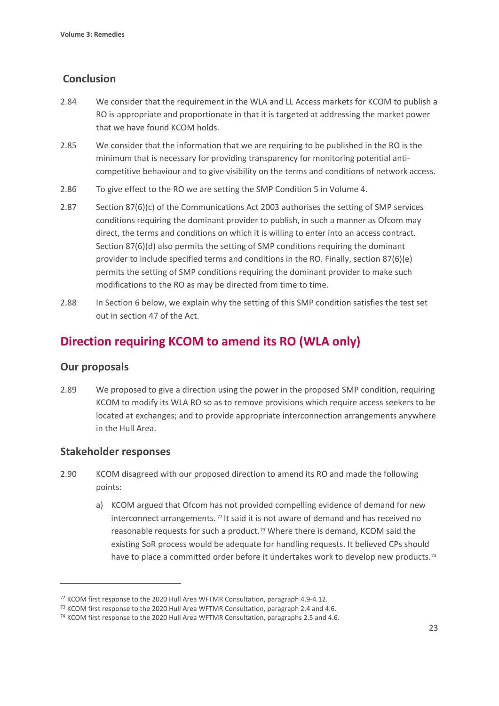# **Conclusion**

- 2.84 We consider that the requirement in the WLA and LL Access markets for KCOM to publish a RO is appropriate and proportionate in that it is targeted at addressing the market power that we have found KCOM holds.
- 2.85 We consider that the information that we are requiring to be published in the RO is the minimum that is necessary for providing transparency for monitoring potential anticompetitive behaviour and to give visibility on the terms and conditions of network access.
- 2.86 To give effect to the RO we are setting the SMP Condition 5 in Volume 4.
- 2.87 Section 87(6)(c) of the Communications Act 2003 authorises the setting of SMP services conditions requiring the dominant provider to publish, in such a manner as Ofcom may direct, the terms and conditions on which it is willing to enter into an access contract. Section 87(6)(d) also permits the setting of SMP conditions requiring the dominant provider to include specified terms and conditions in the RO. Finally, section 87(6)(e) permits the setting of SMP conditions requiring the dominant provider to make such modifications to the RO as may be directed from time to time.
- 2.88 In Section 6 below, we explain why the setting of this SMP condition satisfies the test set out in section 47 of the Act.

# **Direction requiring KCOM to amend its RO (WLA only)**

# **Our proposals**

2.89 We proposed to give a direction using the power in the proposed SMP condition, requiring KCOM to modify its WLA RO so as to remove provisions which require access seekers to be located at exchanges; and to provide appropriate interconnection arrangements anywhere in the Hull Area.

# **Stakeholder responses**

- 2.90 KCOM disagreed with our proposed direction to amend its RO and made the following points:
	- a) KCOM argued that Ofcom has not provided compelling evidence of demand for new interconnect arrangements. [72](#page-24-0) It said it is not aware of demand and has received no reasonable requests for such a product.<sup>[73](#page-24-1)</sup> Where there is demand, KCOM said the existing SoR process would be adequate for handling requests. It believed CPs should have to place a committed order before it undertakes work to develop new products.<sup>[74](#page-24-2)</sup>

<span id="page-24-0"></span><sup>72</sup> KCOM first response to the 2020 Hull Area WFTMR Consultation, paragraph 4.9-4.12.

<span id="page-24-2"></span><span id="page-24-1"></span><sup>&</sup>lt;sup>73</sup> KCOM first response to the 2020 Hull Area WFTMR Consultation, paragraph 2.4 and 4.6.  $^{74}$  KCOM first response to the 2020 Hull Area WFTMR Consultation, paragraphs 2.5 and 4.6.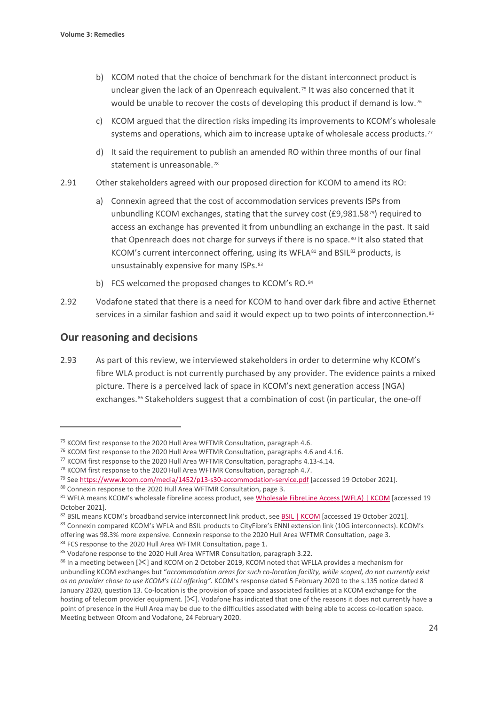- b) KCOM noted that the choice of benchmark for the distant interconnect product is unclear given the lack of an Openreach equivalent.<sup>[75](#page-25-0)</sup> It was also concerned that it would be unable to recover the costs of developing this product if demand is low.<sup>[76](#page-25-1)</sup>
- c) KCOM argued that the direction risks impeding its improvements to KCOM's wholesale systems and operations, which aim to increase uptake of wholesale access products.<sup>[77](#page-25-2)</sup>
- d) It said the requirement to publish an amended RO within three months of our final statement is unreasonable.<sup>[78](#page-25-3)</sup>
- 2.91 Other stakeholders agreed with our proposed direction for KCOM to amend its RO:
	- a) Connexin agreed that the cost of accommodation services prevents ISPs from unbundling KCOM exchanges, stating that the survey cost (£9,981.58<sup>79</sup>) required to access an exchange has prevented it from unbundling an exchange in the past. It said that Openreach does not charge for surveys if there is no space.<sup>[80](#page-25-5)</sup> It also stated that KCOM's current interconnect offering, using its WFLA<sup>[81](#page-25-6)</sup> and BSIL<sup>[82](#page-25-7)</sup> products, is unsustainably expensive for many ISPs.<sup>[83](#page-25-8)</sup>
	- b) FCS welcomed the proposed changes to KCOM's RO.[84](#page-25-9)
- 2.92 Vodafone stated that there is a need for KCOM to hand over dark fibre and active Ethernet services in a similar fashion and said it would expect up to two points of interconnection.<sup>[85](#page-25-10)</sup>

# **Our reasoning and decisions**

2.93 As part of this review, we interviewed stakeholders in order to determine why KCOM's fibre WLA product is not currently purchased by any provider. The evidence paints a mixed picture. There is a perceived lack of space in KCOM's next generation access (NGA) exchanges.<sup>[86](#page-25-11)</sup> Stakeholders suggest that a combination of cost (in particular, the one-off

<span id="page-25-0"></span><sup>&</sup>lt;sup>75</sup> KCOM first response to the 2020 Hull Area WFTMR Consultation, paragraph 4.6.

<span id="page-25-2"></span><span id="page-25-1"></span><sup>&</sup>lt;sup>76</sup> KCOM first response to the 2020 Hull Area WFTMR Consultation, paragraphs 4.6 and 4.16.

<sup>77</sup> KCOM first response to the 2020 Hull Area WFTMR Consultation, paragraphs 4.13-4.14.

<span id="page-25-3"></span><sup>&</sup>lt;sup>78</sup> KCOM first response to the 2020 Hull Area WFTMR Consultation, paragraph 4.7.

<span id="page-25-4"></span><sup>&</sup>lt;sup>79</sup> Se[e https://www.kcom.com/media/1452/p13-s30-accommodation-service.pdf](https://www.kcom.com/media/1452/p13-s30-accommodation-service.pdf) [accessed 19 October 2021].

<span id="page-25-6"></span><span id="page-25-5"></span><sup>&</sup>lt;sup>80</sup> Connexin response to the 2020 Hull Area WFTMR Consultation, page 3.<br><sup>81</sup> WFLA means KCOM's wholesale fibreline access product, see <u>Wholesale FibreLine Access (WFLA) | KCOM</u> [accessed 19 October 2021].

<span id="page-25-7"></span><sup>82</sup> BSIL means KCOM's broadband service interconnect link product, se[e BSIL | KCOM](https://www.kcom.com/wholesale/products/broadband-and-internet/bsil/) [accessed 19 October 2021].

<span id="page-25-8"></span><sup>83</sup> Connexin compared KCOM's WFLA and BSIL products to CityFibre's ENNI extension link (10G interconnects). KCOM's offering was 98.3% more expensive. Connexin response to the 2020 Hull Area WFTMR Consultation, page 3.<br><sup>84</sup> FCS response to the 2020 Hull Area WFTMR Consultation, page 1.<br><sup>85</sup> Vodafone response to the 2020 Hull Area WFTMR

<span id="page-25-9"></span>

<span id="page-25-11"></span><span id="page-25-10"></span><sup>86</sup> In a meeting between [ $\ll$ ] and KCOM on 2 October 2019, KCOM noted that WFLLA provides a mechanism for unbundling KCOM exchanges but "*accommodation areas for such co-location facility, while scoped, do not currently exist as no provider chose to use KCOM's LLU offering".* KCOM's response dated 5 February 2020 to the s.135 notice dated 8 January 2020, question 13. Co-location is the provision of space and associated facilities at a KCOM exchange for the hosting of telecom provider equipment. [ $\&$ ]. Vodafone has indicated that one of the reasons it does not currently have a point of presence in the Hull Area may be due to the difficulties associated with being able to access co-location space. Meeting between Ofcom and Vodafone, 24 February 2020.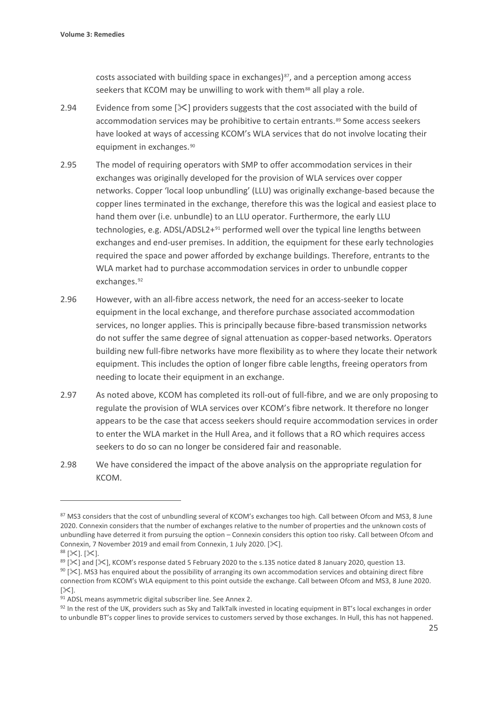costs associated with building space in exchanges) $87$ , and a perception among access seekers that KCOM may be unwilling to work with them<sup>[88](#page-26-1)</sup> all play a role.

- 2.94 Evidence from some  $[\frac{1}{2}]$  providers suggests that the cost associated with the build of accommodation services may be prohibitive to certain entrants.<sup>[89](#page-26-2)</sup> Some access seekers have looked at ways of accessing KCOM's WLA services that do not involve locating their equipment in exchanges.<sup>[90](#page-26-3)</sup>
- 2.95 The model of requiring operators with SMP to offer accommodation services in their exchanges was originally developed for the provision of WLA services over copper networks. Copper 'local loop unbundling' (LLU) was originally exchange-based because the copper lines terminated in the exchange, therefore this was the logical and easiest place to hand them over (i.e. unbundle) to an LLU operator. Furthermore, the early LLU technologies, e.g. ADSL/ADSL2+<sup>[91](#page-26-4)</sup> performed well over the typical line lengths between exchanges and end-user premises. In addition, the equipment for these early technologies required the space and power afforded by exchange buildings. Therefore, entrants to the WLA market had to purchase accommodation services in order to unbundle copper exchanges.[92](#page-26-5)
- 2.96 However, with an all-fibre access network, the need for an access-seeker to locate equipment in the local exchange, and therefore purchase associated accommodation services, no longer applies. This is principally because fibre-based transmission networks do not suffer the same degree of signal attenuation as copper-based networks. Operators building new full-fibre networks have more flexibility as to where they locate their network equipment. This includes the option of longer fibre cable lengths, freeing operators from needing to locate their equipment in an exchange.
- 2.97 As noted above, KCOM has completed its roll-out of full-fibre, and we are only proposing to regulate the provision of WLA services over KCOM's fibre network. It therefore no longer appears to be the case that access seekers should require accommodation services in order to enter the WLA market in the Hull Area, and it follows that a RO which requires access seekers to do so can no longer be considered fair and reasonable.
- 2.98 We have considered the impact of the above analysis on the appropriate regulation for KCOM.

<span id="page-26-3"></span> $90$  [ $\le$ ]. MS3 has enquired about the possibility of arranging its own accommodation services and obtaining direct fibre connection from KCOM's WLA equipment to this point outside the exchange. Call between Ofcom and MS3, 8 June 2020.  $[\times]$ .

<span id="page-26-0"></span><sup>87</sup> MS3 considers that the cost of unbundling several of KCOM's exchanges too high. Call between Ofcom and MS3, 8 June 2020. Connexin considers that the number of exchanges relative to the number of properties and the unknown costs of unbundling have deterred it from pursuing the option – Connexin considers this option too risky. Call between Ofcom and Connexin, 7 November 2019 and email from Connexin, 1 July 2020.  $[\times]$ .

<span id="page-26-1"></span> $88$  [ $\times$ ]. [ $\times$ ].

<span id="page-26-2"></span><sup>89 [</sup> $\le$ ] and [ $\le$ ], KCOM's response dated 5 February 2020 to the s.135 notice dated 8 January 2020, question 13.

<span id="page-26-4"></span><sup>91</sup> ADSL means asymmetric digital subscriber line. See Annex 2.

<span id="page-26-5"></span><sup>92</sup> In the rest of the UK, providers such as Sky and TalkTalk invested in locating equipment in BT's local exchanges in order to unbundle BT's copper lines to provide services to customers served by those exchanges. In Hull, this has not happened.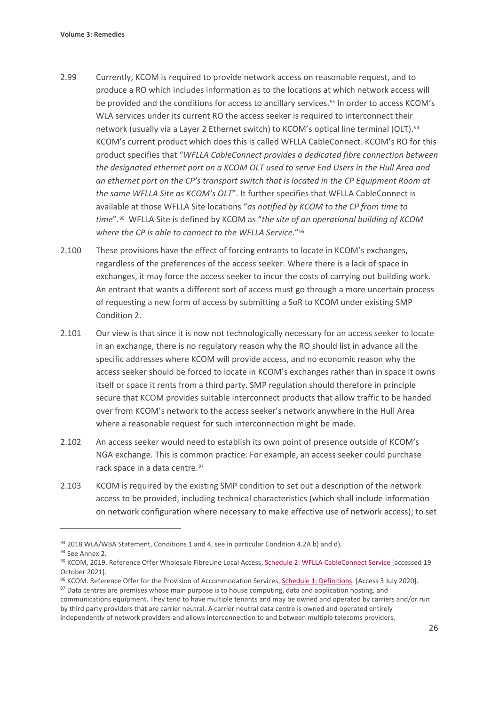- 2.99 Currently, KCOM is required to provide network access on reasonable request, and to produce a RO which includes information as to the locations at which network access will be provided and the conditions for access to ancillary services.<sup>[93](#page-27-0)</sup> In order to access KCOM's WLA services under its current RO the access seeker is required to interconnect their network (usually via a Layer 2 Ethernet switch) to KCOM's optical line terminal (OLT).[94](#page-27-1) KCOM's current product which does this is called WFLLA CableConnect. KCOM's RO for this product specifies that "*WFLLA CableConnect provides a dedicated fibre connection between the designated ethernet port on a KCOM OLT used to serve End Users in the Hull Area and an ethernet port on the CP's transport switch that is located in the CP Equipment Room at the same WFLLA Site as KCOM's OLT*". It further specifies that WFLLA CableConnect is available at those WFLLA Site locations "*as notified by KCOM to the CP from time to time*".[95](#page-27-2) WFLLA Site is defined by KCOM as "*the site of an operational building of KCOM where the CP is able to connect to the WFLLA Service*."[96](#page-27-3)
- 2.100 These provisions have the effect of forcing entrants to locate in KCOM's exchanges, regardless of the preferences of the access seeker. Where there is a lack of space in exchanges, it may force the access seeker to incur the costs of carrying out building work. An entrant that wants a different sort of access must go through a more uncertain process of requesting a new form of access by submitting a SoR to KCOM under existing SMP Condition 2.
- 2.101 Our view is that since it is now not technologically necessary for an access seeker to locate in an exchange, there is no regulatory reason why the RO should list in advance all the specific addresses where KCOM will provide access, and no economic reason why the access seeker should be forced to locate in KCOM's exchanges rather than in space it owns itself or space it rents from a third party. SMP regulation should therefore in principle secure that KCOM provides suitable interconnect products that allow traffic to be handed over from KCOM's network to the access seeker's network anywhere in the Hull Area where a reasonable request for such interconnection might be made.
- 2.102 An access seeker would need to establish its own point of presence outside of KCOM's NGA exchange. This is common practice. For example, an access seeker could purchase rack space in a data centre. [97](#page-27-4)
- 2.103 KCOM is required by the existing SMP condition to set out a description of the network access to be provided, including technical characteristics (which shall include information on network configuration where necessary to make effective use of network access); to set

communications equipment. They tend to have multiple tenants and may be owned and operated by carriers and/or run by third party providers that are carrier neutral. A carrier neutral data centre is owned and operated entirely independently of network providers and allows interconnection to and between multiple telecoms providers.

<span id="page-27-0"></span><sup>93 2018</sup> WLA/WBA Statement, Conditions 1 and 4, see in particular Condition 4.2A b) and d).

<span id="page-27-1"></span><sup>&</sup>lt;sup>94</sup> See Annex 2.

<span id="page-27-2"></span><sup>95</sup> KCOM, 2019. Reference Offer Wholesale FibreLine Local Access, [Schedule 2: WFLLA CableConnect Service](https://www.kcomgroupltd.com/media/1560/schedule-2_wflla-cableconnect-final-080719-vf.pdf) [accessed 19 October 2021].

<span id="page-27-4"></span><span id="page-27-3"></span><sup>96</sup> KCOM. Reference Offer for the Provision of Accommodation Services[, Schedule 1: Definitions.](https://www.kcomgroupltd.com/media/1452/schedule-1_definitions_accommodation-services-final-080719.pdf) [Access 3 July 2020]. <sup>97</sup> Data centres are premises whose main purpose is to house computing, data and application hosting, and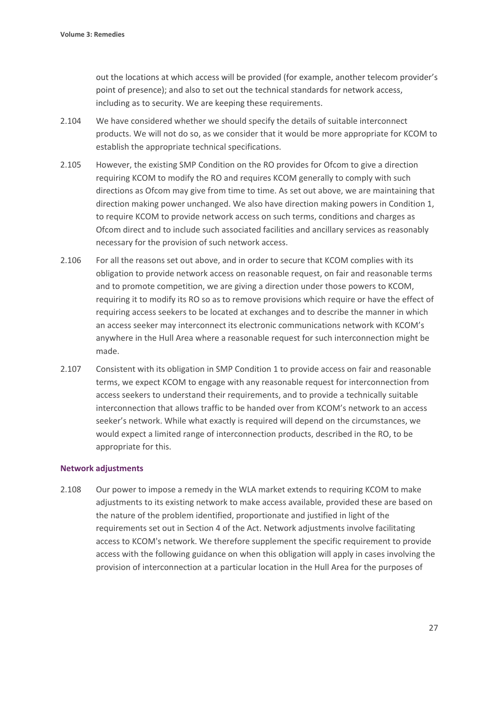out the locations at which access will be provided (for example, another telecom provider's point of presence); and also to set out the technical standards for network access, including as to security. We are keeping these requirements.

- 2.104 We have considered whether we should specify the details of suitable interconnect products. We will not do so, as we consider that it would be more appropriate for KCOM to establish the appropriate technical specifications.
- 2.105 However, the existing SMP Condition on the RO provides for Ofcom to give a direction requiring KCOM to modify the RO and requires KCOM generally to comply with such directions as Ofcom may give from time to time. As set out above, we are maintaining that direction making power unchanged. We also have direction making powers in Condition 1, to require KCOM to provide network access on such terms, conditions and charges as Ofcom direct and to include such associated facilities and ancillary services as reasonably necessary for the provision of such network access.
- 2.106 For all the reasons set out above, and in order to secure that KCOM complies with its obligation to provide network access on reasonable request, on fair and reasonable terms and to promote competition, we are giving a direction under those powers to KCOM, requiring it to modify its RO so as to remove provisions which require or have the effect of requiring access seekers to be located at exchanges and to describe the manner in which an access seeker may interconnect its electronic communications network with KCOM's anywhere in the Hull Area where a reasonable request for such interconnection might be made.
- 2.107 Consistent with its obligation in SMP Condition 1 to provide access on fair and reasonable terms, we expect KCOM to engage with any reasonable request for interconnection from access seekers to understand their requirements, and to provide a technically suitable interconnection that allows traffic to be handed over from KCOM's network to an access seeker's network. While what exactly is required will depend on the circumstances, we would expect a limited range of interconnection products, described in the RO, to be appropriate for this.

#### **Network adjustments**

2.108 Our power to impose a remedy in the WLA market extends to requiring KCOM to make adjustments to its existing network to make access available, provided these are based on the nature of the problem identified, proportionate and justified in light of the requirements set out in Section 4 of the Act. Network adjustments involve facilitating access to KCOM's network. We therefore supplement the specific requirement to provide access with the following guidance on when this obligation will apply in cases involving the provision of interconnection at a particular location in the Hull Area for the purposes of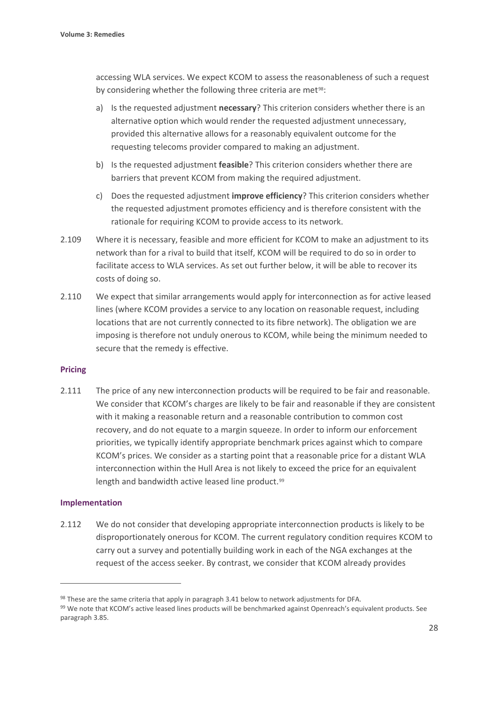accessing WLA services. We expect KCOM to assess the reasonableness of such a request by considering whether the following three criteria are met<sup>[98](#page-29-0)</sup>:

- a) Is the requested adjustment **necessary**? This criterion considers whether there is an alternative option which would render the requested adjustment unnecessary, provided this alternative allows for a reasonably equivalent outcome for the requesting telecoms provider compared to making an adjustment.
- b) Is the requested adjustment **feasible**? This criterion considers whether there are barriers that prevent KCOM from making the required adjustment.
- c) Does the requested adjustment **improve efficiency**? This criterion considers whether the requested adjustment promotes efficiency and is therefore consistent with the rationale for requiring KCOM to provide access to its network.
- 2.109 Where it is necessary, feasible and more efficient for KCOM to make an adjustment to its network than for a rival to build that itself, KCOM will be required to do so in order to facilitate access to WLA services. As set out further below, it will be able to recover its costs of doing so.
- 2.110 We expect that similar arrangements would apply for interconnection as for active leased lines (where KCOM provides a service to any location on reasonable request, including locations that are not currently connected to its fibre network). The obligation we are imposing is therefore not unduly onerous to KCOM, while being the minimum needed to secure that the remedy is effective.

#### **Pricing**

2.111 The price of any new interconnection products will be required to be fair and reasonable. We consider that KCOM's charges are likely to be fair and reasonable if they are consistent with it making a reasonable return and a reasonable contribution to common cost recovery, and do not equate to a margin squeeze. In order to inform our enforcement priorities, we typically identify appropriate benchmark prices against which to compare KCOM's prices. We consider as a starting point that a reasonable price for a distant WLA interconnection within the Hull Area is not likely to exceed the price for an equivalent length and bandwidth active leased line product.<sup>[99](#page-29-1)</sup>

#### **Implementation**

2.112 We do not consider that developing appropriate interconnection products is likely to be disproportionately onerous for KCOM. The current regulatory condition requires KCOM to carry out a survey and potentially building work in each of the NGA exchanges at the request of the access seeker. By contrast, we consider that KCOM already provides

<span id="page-29-0"></span><sup>98</sup> These are the same criteria that apply in paragraph 3.41 below to network adjustments for DFA.

<span id="page-29-1"></span><sup>99</sup> We note that KCOM's active leased lines products will be benchmarked against Openreach's equivalent products. See paragraph 3.85.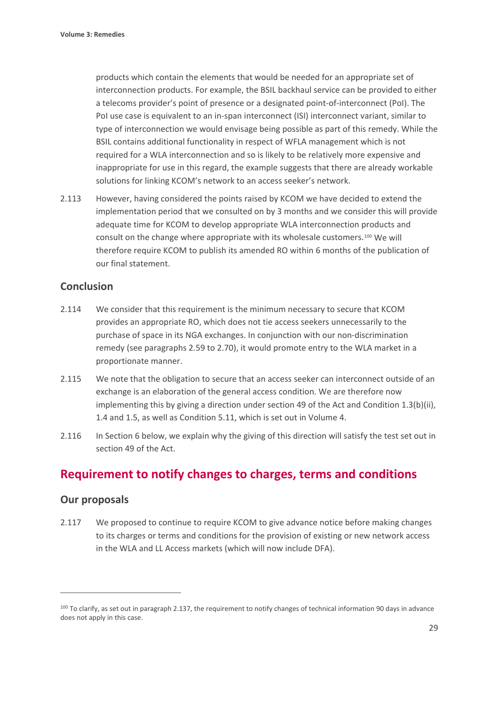products which contain the elements that would be needed for an appropriate set of interconnection products. For example, the BSIL backhaul service can be provided to either a telecoms provider's point of presence or a designated point-of-interconnect (PoI). The PoI use case is equivalent to an in-span interconnect (ISI) interconnect variant, similar to type of interconnection we would envisage being possible as part of this remedy. While the BSIL contains additional functionality in respect of WFLA management which is not required for a WLA interconnection and so is likely to be relatively more expensive and inappropriate for use in this regard, the example suggests that there are already workable solutions for linking KCOM's network to an access seeker's network.

2.113 However, having considered the points raised by KCOM we have decided to extend the implementation period that we consulted on by 3 months and we consider this will provide adequate time for KCOM to develop appropriate WLA interconnection products and consult on the change where appropriate with its wholesale customers.[100](#page-30-0) We will therefore require KCOM to publish its amended RO within 6 months of the publication of our final statement.

# **Conclusion**

- 2.114 We consider that this requirement is the minimum necessary to secure that KCOM provides an appropriate RO, which does not tie access seekers unnecessarily to the purchase of space in its NGA exchanges. In conjunction with our non-discrimination remedy (see paragraphs 2.59 to 2.70), it would promote entry to the WLA market in a proportionate manner.
- 2.115 We note that the obligation to secure that an access seeker can interconnect outside of an exchange is an elaboration of the general access condition. We are therefore now implementing this by giving a direction under section 49 of the Act and Condition 1.3(b)(ii), 1.4 and 1.5, as well as Condition 5.11, which is set out in Volume 4.
- 2.116 In Section 6 below, we explain why the giving of this direction will satisfy the test set out in section 49 of the Act.

# **Requirement to notify changes to charges, terms and conditions**

# **Our proposals**

2.117 We proposed to continue to require KCOM to give advance notice before making changes to its charges or terms and conditions for the provision of existing or new network access in the WLA and LL Access markets (which will now include DFA).

<span id="page-30-0"></span><sup>&</sup>lt;sup>100</sup> To clarify, as set out in paragraph 2.137, the requirement to notify changes of technical information 90 days in advance does not apply in this case.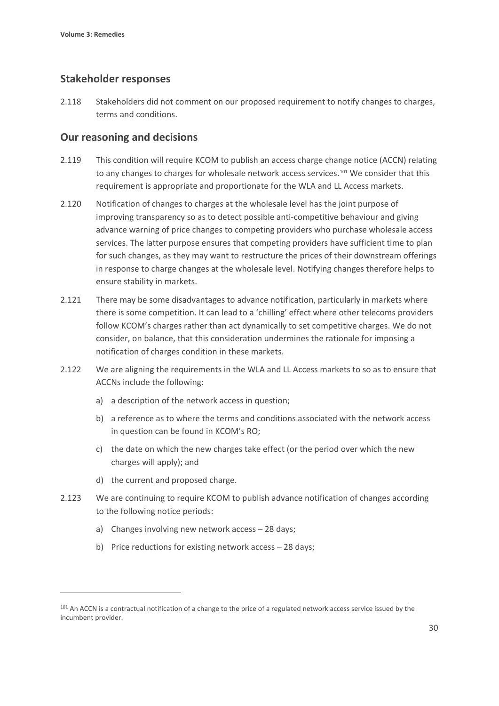## **Stakeholder responses**

2.118 Stakeholders did not comment on our proposed requirement to notify changes to charges, terms and conditions.

## **Our reasoning and decisions**

- 2.119 This condition will require KCOM to publish an access charge change notice (ACCN) relating to any changes to charges for wholesale network access services.<sup>[101](#page-31-0)</sup> We consider that this requirement is appropriate and proportionate for the WLA and LL Access markets.
- 2.120 Notification of changes to charges at the wholesale level has the joint purpose of improving transparency so as to detect possible anti-competitive behaviour and giving advance warning of price changes to competing providers who purchase wholesale access services. The latter purpose ensures that competing providers have sufficient time to plan for such changes, as they may want to restructure the prices of their downstream offerings in response to charge changes at the wholesale level. Notifying changes therefore helps to ensure stability in markets.
- 2.121 There may be some disadvantages to advance notification, particularly in markets where there is some competition. It can lead to a 'chilling' effect where other telecoms providers follow KCOM's charges rather than act dynamically to set competitive charges. We do not consider, on balance, that this consideration undermines the rationale for imposing a notification of charges condition in these markets.
- 2.122 We are aligning the requirements in the WLA and LL Access markets to so as to ensure that ACCNs include the following:
	- a) a description of the network access in question;
	- b) a reference as to where the terms and conditions associated with the network access in question can be found in KCOM's RO;
	- c) the date on which the new charges take effect (or the period over which the new charges will apply); and
	- d) the current and proposed charge.
- 2.123 We are continuing to require KCOM to publish advance notification of changes according to the following notice periods:
	- a) Changes involving new network access 28 days;
	- b) Price reductions for existing network access 28 days;

<span id="page-31-0"></span><sup>&</sup>lt;sup>101</sup> An ACCN is a contractual notification of a change to the price of a regulated network access service issued by the incumbent provider.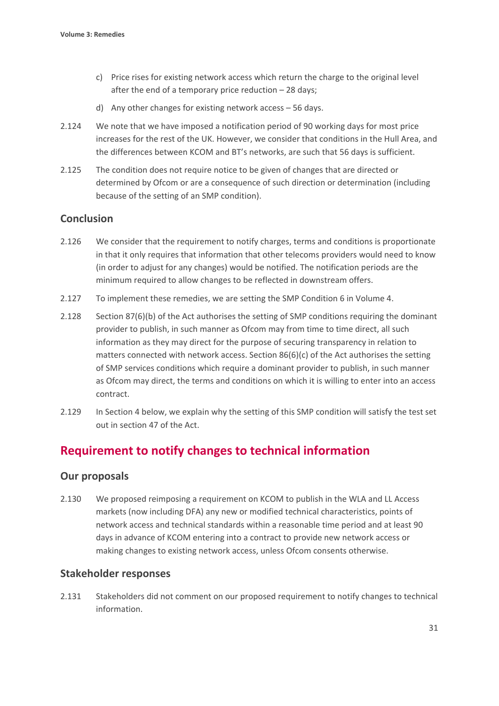- c) Price rises for existing network access which return the charge to the original level after the end of a temporary price reduction – 28 days;
- d) Any other changes for existing network access 56 days.
- 2.124 We note that we have imposed a notification period of 90 working days for most price increases for the rest of the UK. However, we consider that conditions in the Hull Area, and the differences between KCOM and BT's networks, are such that 56 days is sufficient.
- 2.125 The condition does not require notice to be given of changes that are directed or determined by Ofcom or are a consequence of such direction or determination (including because of the setting of an SMP condition).

# **Conclusion**

- 2.126 We consider that the requirement to notify charges, terms and conditions is proportionate in that it only requires that information that other telecoms providers would need to know (in order to adjust for any changes) would be notified. The notification periods are the minimum required to allow changes to be reflected in downstream offers.
- 2.127 To implement these remedies, we are setting the SMP Condition 6 in Volume 4.
- 2.128 Section 87(6)(b) of the Act authorises the setting of SMP conditions requiring the dominant provider to publish, in such manner as Ofcom may from time to time direct, all such information as they may direct for the purpose of securing transparency in relation to matters connected with network access. Section 86(6)(c) of the Act authorises the setting of SMP services conditions which require a dominant provider to publish, in such manner as Ofcom may direct, the terms and conditions on which it is willing to enter into an access contract.
- 2.129 In Section 4 below, we explain why the setting of this SMP condition will satisfy the test set out in section 47 of the Act.

# **Requirement to notify changes to technical information**

# **Our proposals**

2.130 We proposed reimposing a requirement on KCOM to publish in the WLA and LL Access markets (now including DFA) any new or modified technical characteristics, points of network access and technical standards within a reasonable time period and at least 90 days in advance of KCOM entering into a contract to provide new network access or making changes to existing network access, unless Ofcom consents otherwise.

# **Stakeholder responses**

2.131 Stakeholders did not comment on our proposed requirement to notify changes to technical information.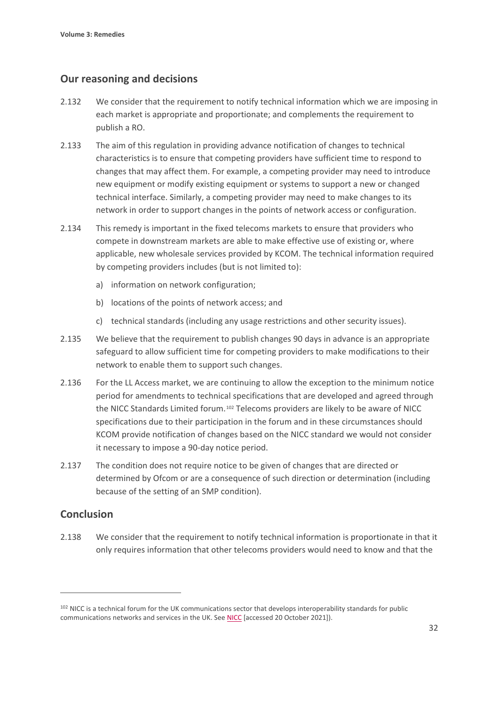# **Our reasoning and decisions**

- 2.132 We consider that the requirement to notify technical information which we are imposing in each market is appropriate and proportionate; and complements the requirement to publish a RO.
- 2.133 The aim of this regulation in providing advance notification of changes to technical characteristics is to ensure that competing providers have sufficient time to respond to changes that may affect them. For example, a competing provider may need to introduce new equipment or modify existing equipment or systems to support a new or changed technical interface. Similarly, a competing provider may need to make changes to its network in order to support changes in the points of network access or configuration.
- 2.134 This remedy is important in the fixed telecoms markets to ensure that providers who compete in downstream markets are able to make effective use of existing or, where applicable, new wholesale services provided by KCOM. The technical information required by competing providers includes (but is not limited to):
	- a) information on network configuration;
	- b) locations of the points of network access; and
	- c) technical standards (including any usage restrictions and other security issues).
- 2.135 We believe that the requirement to publish changes 90 days in advance is an appropriate safeguard to allow sufficient time for competing providers to make modifications to their network to enable them to support such changes.
- 2.136 For the LL Access market, we are continuing to allow the exception to the minimum notice period for amendments to technical specifications that are developed and agreed through the NICC Standards Limited forum.[102](#page-33-0) Telecoms providers are likely to be aware of NICC specifications due to their participation in the forum and in these circumstances should KCOM provide notification of changes based on the NICC standard we would not consider it necessary to impose a 90-day notice period.
- 2.137 The condition does not require notice to be given of changes that are directed or determined by Ofcom or are a consequence of such direction or determination (including because of the setting of an SMP condition).

# **Conclusion**

2.138 We consider that the requirement to notify technical information is proportionate in that it only requires information that other telecoms providers would need to know and that the

<span id="page-33-0"></span><sup>102</sup> NICC is a technical forum for the UK communications sector that develops interoperability standards for public communications networks and services in the UK. Se[e NICC](https://niccstandards.org.uk/) [accessed 20 October 2021]).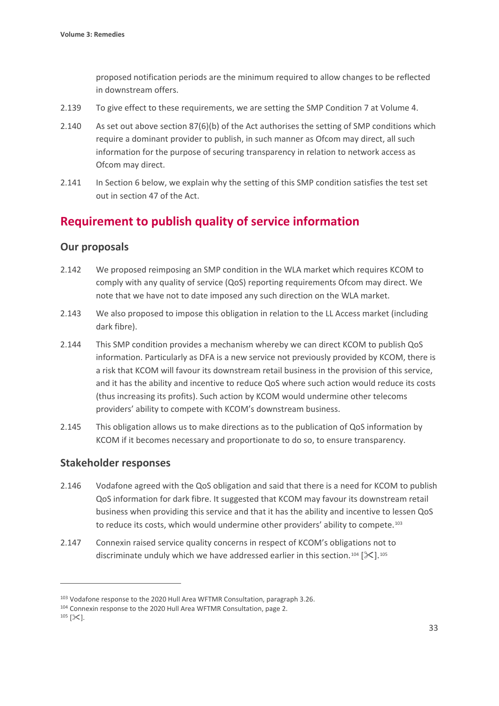proposed notification periods are the minimum required to allow changes to be reflected in downstream offers.

- 2.139 To give effect to these requirements, we are setting the SMP Condition 7 at Volume 4.
- 2.140 As set out above section 87(6)(b) of the Act authorises the setting of SMP conditions which require a dominant provider to publish, in such manner as Ofcom may direct, all such information for the purpose of securing transparency in relation to network access as Ofcom may direct.
- 2.141 In Section 6 below, we explain why the setting of this SMP condition satisfies the test set out in section 47 of the Act.

# **Requirement to publish quality of service information**

# **Our proposals**

- 2.142 We proposed reimposing an SMP condition in the WLA market which requires KCOM to comply with any quality of service (QoS) reporting requirements Ofcom may direct. We note that we have not to date imposed any such direction on the WLA market.
- 2.143 We also proposed to impose this obligation in relation to the LL Access market (including dark fibre).
- 2.144 This SMP condition provides a mechanism whereby we can direct KCOM to publish QoS information. Particularly as DFA is a new service not previously provided by KCOM, there is a risk that KCOM will favour its downstream retail business in the provision of this service, and it has the ability and incentive to reduce QoS where such action would reduce its costs (thus increasing its profits). Such action by KCOM would undermine other telecoms providers' ability to compete with KCOM's downstream business.
- 2.145 This obligation allows us to make directions as to the publication of QoS information by KCOM if it becomes necessary and proportionate to do so, to ensure transparency.

# **Stakeholder responses**

- 2.146 Vodafone agreed with the QoS obligation and said that there is a need for KCOM to publish QoS information for dark fibre. It suggested that KCOM may favour its downstream retail business when providing this service and that it has the ability and incentive to lessen QoS to reduce its costs, which would undermine other providers' ability to compete.<sup>[103](#page-34-0)</sup>
- 2.147 Connexin raised service quality concerns in respect of KCOM's obligations not to discriminate unduly which we have addressed earlier in this section.<sup>[104](#page-34-1)</sup> [ $\ll$ ].<sup>105</sup>

<span id="page-34-0"></span><sup>&</sup>lt;sup>103</sup> Vodafone response to the 2020 Hull Area WFTMR Consultation, paragraph 3.26.<br><sup>104</sup> Connexin response to the 2020 Hull Area WFTMR Consultation, page 2.

<span id="page-34-2"></span><span id="page-34-1"></span> $^{105}$  [ $\times$ ].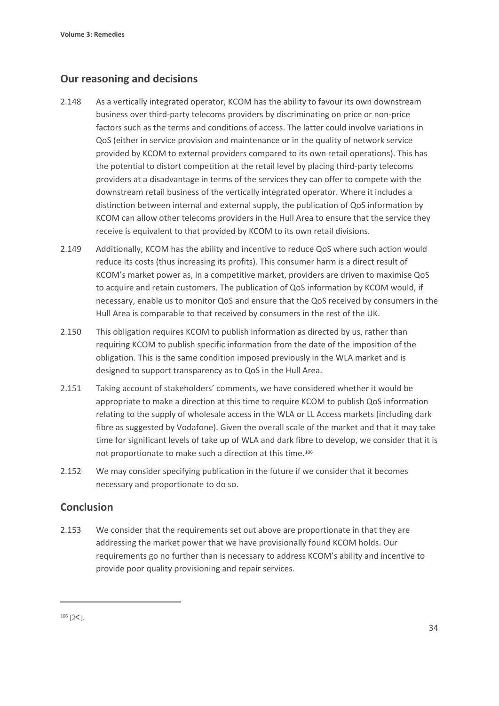# **Our reasoning and decisions**

- 2.148 As a vertically integrated operator, KCOM has the ability to favour its own downstream business over third-party telecoms providers by discriminating on price or non-price factors such as the terms and conditions of access. The latter could involve variations in QoS (either in service provision and maintenance or in the quality of network service provided by KCOM to external providers compared to its own retail operations). This has the potential to distort competition at the retail level by placing third-party telecoms providers at a disadvantage in terms of the services they can offer to compete with the downstream retail business of the vertically integrated operator. Where it includes a distinction between internal and external supply, the publication of QoS information by KCOM can allow other telecoms providers in the Hull Area to ensure that the service they receive is equivalent to that provided by KCOM to its own retail divisions.
- 2.149 Additionally, KCOM has the ability and incentive to reduce QoS where such action would reduce its costs (thus increasing its profits). This consumer harm is a direct result of KCOM's market power as, in a competitive market, providers are driven to maximise QoS to acquire and retain customers. The publication of QoS information by KCOM would, if necessary, enable us to monitor QoS and ensure that the QoS received by consumers in the Hull Area is comparable to that received by consumers in the rest of the UK.
- 2.150 This obligation requires KCOM to publish information as directed by us, rather than requiring KCOM to publish specific information from the date of the imposition of the obligation. This is the same condition imposed previously in the WLA market and is designed to support transparency as to QoS in the Hull Area.
- 2.151 Taking account of stakeholders' comments, we have considered whether it would be appropriate to make a direction at this time to require KCOM to publish QoS information relating to the supply of wholesale access in the WLA or LL Access markets (including dark fibre as suggested by Vodafone). Given the overall scale of the market and that it may take time for significant levels of take up of WLA and dark fibre to develop, we consider that it is not proportionate to make such a direction at this time.[106](#page-35-0)
- 2.152 We may consider specifying publication in the future if we consider that it becomes necessary and proportionate to do so.

# **Conclusion**

2.153 We consider that the requirements set out above are proportionate in that they are addressing the market power that we have provisionally found KCOM holds. Our requirements go no further than is necessary to address KCOM's ability and incentive to provide poor quality provisioning and repair services.

<span id="page-35-0"></span> $106$   $[\times]$ .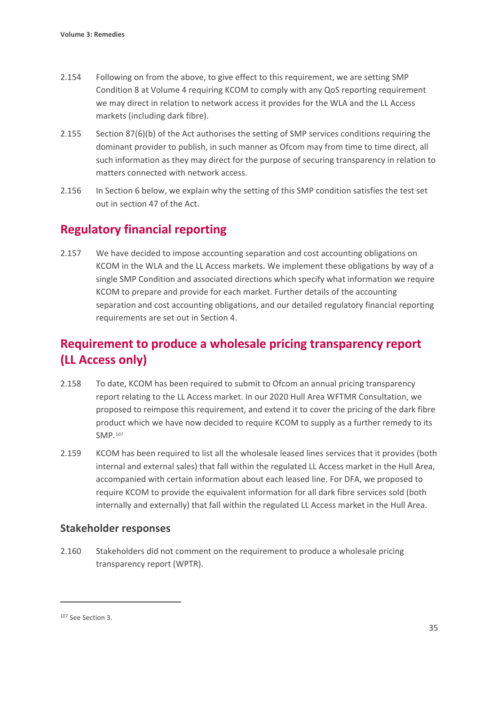- 2.154 Following on from the above, to give effect to this requirement, we are setting SMP Condition 8 at Volume 4 requiring KCOM to comply with any QoS reporting requirement we may direct in relation to network access it provides for the WLA and the LL Access markets (including dark fibre).
- 2.155 Section 87(6)(b) of the Act authorises the setting of SMP services conditions requiring the dominant provider to publish, in such manner as Ofcom may from time to time direct, all such information as they may direct for the purpose of securing transparency in relation to matters connected with network access.
- 2.156 In Section 6 below, we explain why the setting of this SMP condition satisfies the test set out in section 47 of the Act.

# **Regulatory financial reporting**

2.157 We have decided to impose accounting separation and cost accounting obligations on KCOM in the WLA and the LL Access markets. We implement these obligations by way of a single SMP Condition and associated directions which specify what information we require KCOM to prepare and provide for each market. Further details of the accounting separation and cost accounting obligations, and our detailed regulatory financial reporting requirements are set out in Section 4.

# **Requirement to produce a wholesale pricing transparency report (LL Access only)**

- 2.158 To date, KCOM has been required to submit to Ofcom an annual pricing transparency report relating to the LL Access market. In our 2020 Hull Area WFTMR Consultation, we proposed to reimpose this requirement, and extend it to cover the pricing of the dark fibre product which we have now decided to require KCOM to supply as a further remedy to its SMP.[107](#page-36-0)
- 2.159 KCOM has been required to list all the wholesale leased lines services that it provides (both internal and external sales) that fall within the regulated LL Access market in the Hull Area, accompanied with certain information about each leased line. For DFA, we proposed to require KCOM to provide the equivalent information for all dark fibre services sold (both internally and externally) that fall within the regulated LL Access market in the Hull Area.

# **Stakeholder responses**

2.160 Stakeholders did not comment on the requirement to produce a wholesale pricing transparency report (WPTR).

<span id="page-36-0"></span><sup>107</sup> See Section 3.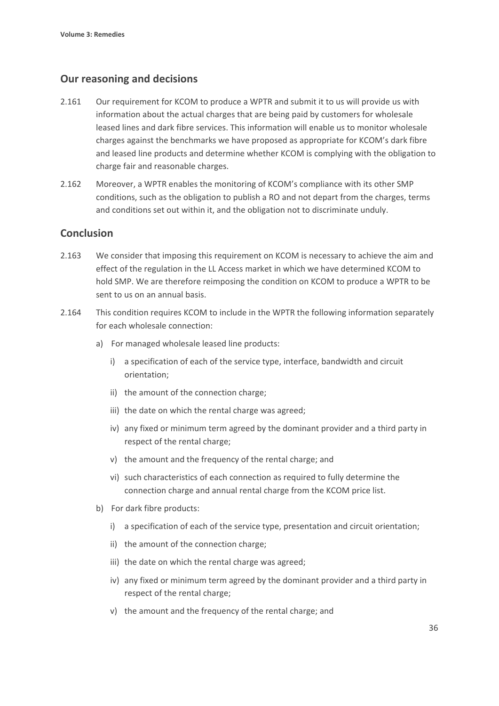## **Our reasoning and decisions**

- 2.161 Our requirement for KCOM to produce a WPTR and submit it to us will provide us with information about the actual charges that are being paid by customers for wholesale leased lines and dark fibre services. This information will enable us to monitor wholesale charges against the benchmarks we have proposed as appropriate for KCOM's dark fibre and leased line products and determine whether KCOM is complying with the obligation to charge fair and reasonable charges.
- 2.162 Moreover, a WPTR enables the monitoring of KCOM's compliance with its other SMP conditions, such as the obligation to publish a RO and not depart from the charges, terms and conditions set out within it, and the obligation not to discriminate unduly.

## **Conclusion**

- 2.163 We consider that imposing this requirement on KCOM is necessary to achieve the aim and effect of the regulation in the LL Access market in which we have determined KCOM to hold SMP. We are therefore reimposing the condition on KCOM to produce a WPTR to be sent to us on an annual basis.
- 2.164 This condition requires KCOM to include in the WPTR the following information separately for each wholesale connection:
	- a) For managed wholesale leased line products:
		- i) a specification of each of the service type, interface, bandwidth and circuit orientation;
		- ii) the amount of the connection charge;
		- iii) the date on which the rental charge was agreed;
		- iv) any fixed or minimum term agreed by the dominant provider and a third party in respect of the rental charge;
		- v) the amount and the frequency of the rental charge; and
		- vi) such characteristics of each connection as required to fully determine the connection charge and annual rental charge from the KCOM price list.
	- b) For dark fibre products:
		- i) a specification of each of the service type, presentation and circuit orientation;
		- ii) the amount of the connection charge;
		- iii) the date on which the rental charge was agreed;
		- iv) any fixed or minimum term agreed by the dominant provider and a third party in respect of the rental charge;
		- v) the amount and the frequency of the rental charge; and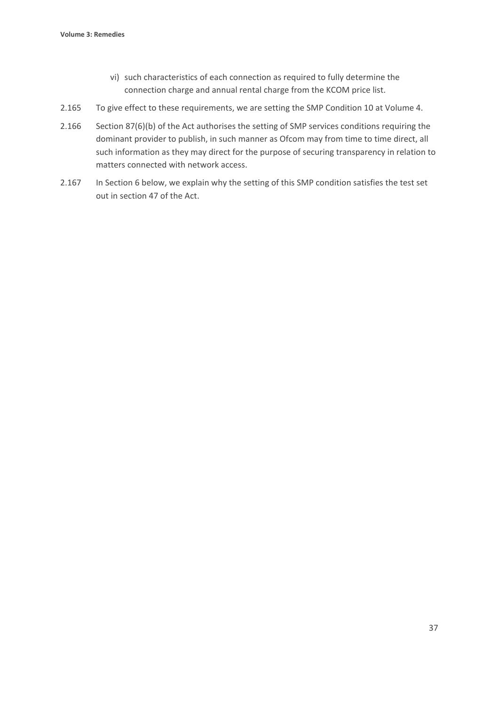- vi) such characteristics of each connection as required to fully determine the connection charge and annual rental charge from the KCOM price list.
- 2.165 To give effect to these requirements, we are setting the SMP Condition 10 at Volume 4.
- 2.166 Section 87(6)(b) of the Act authorises the setting of SMP services conditions requiring the dominant provider to publish, in such manner as Ofcom may from time to time direct, all such information as they may direct for the purpose of securing transparency in relation to matters connected with network access.
- 2.167 In Section 6 below, we explain why the setting of this SMP condition satisfies the test set out in section 47 of the Act.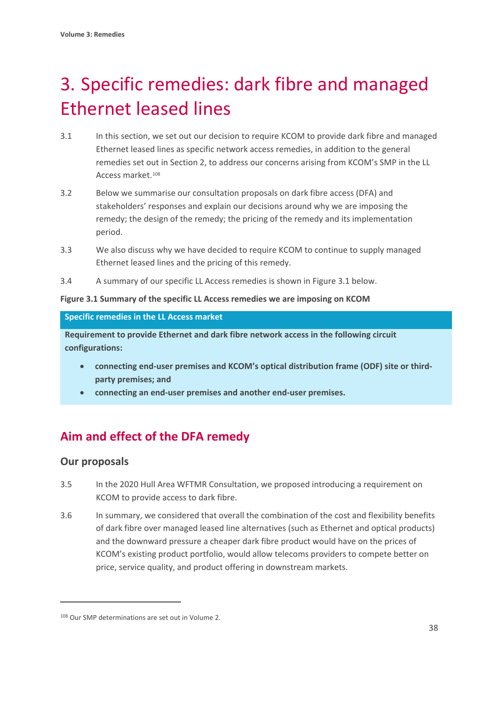# 3. Specific remedies: dark fibre and managed Ethernet leased lines

- 3.1 In this section, we set out our decision to require KCOM to provide dark fibre and managed Ethernet leased lines as specific network access remedies, in addition to the general remedies set out in Section 2, to address our concerns arising from KCOM's SMP in the LL Access market<sup>[108](#page-39-0)</sup>
- 3.2 Below we summarise our consultation proposals on dark fibre access (DFA) and stakeholders' responses and explain our decisions around why we are imposing the remedy; the design of the remedy; the pricing of the remedy and its implementation period.
- 3.3 We also discuss why we have decided to require KCOM to continue to supply managed Ethernet leased lines and the pricing of this remedy.
- 3.4 A summary of our specific LL Access remedies is shown in Figure 3.1 below.

#### **Figure 3.1 Summary of the specific LL Access remedies we are imposing on KCOM**

#### **Specific remedies in the LL Access market**

**Requirement to provide Ethernet and dark fibre network access in the following circuit configurations:**

- **connecting end-user premises and KCOM's optical distribution frame (ODF) site or thirdparty premises; and**
- **connecting an end-user premises and another end-user premises.**

# **Aim and effect of the DFA remedy**

# **Our proposals**

- 3.5 In the 2020 Hull Area WFTMR Consultation, we proposed introducing a requirement on KCOM to provide access to dark fibre.
- 3.6 In summary, we considered that overall the combination of the cost and flexibility benefits of dark fibre over managed leased line alternatives (such as Ethernet and optical products) and the downward pressure a cheaper dark fibre product would have on the prices of KCOM's existing product portfolio, would allow telecoms providers to compete better on price, service quality, and product offering in downstream markets.

<span id="page-39-0"></span><sup>108</sup> Our SMP determinations are set out in Volume 2.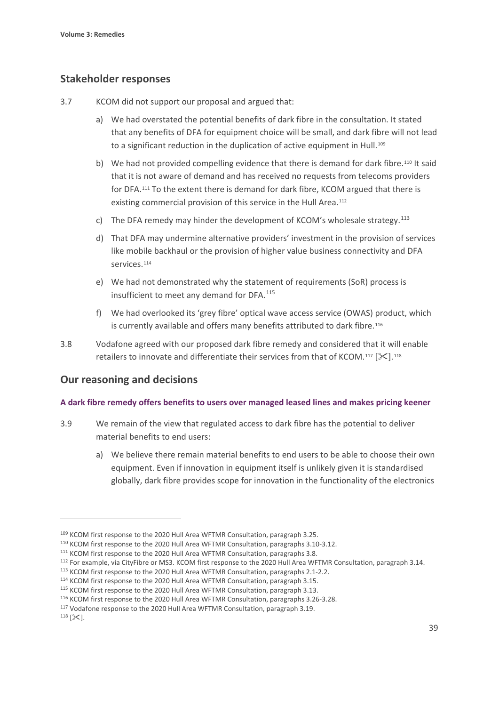## **Stakeholder responses**

- 3.7 KCOM did not support our proposal and argued that:
	- a) We had overstated the potential benefits of dark fibre in the consultation. It stated that any benefits of DFA for equipment choice will be small, and dark fibre will not lead to a significant reduction in the duplication of active equipment in Hull.<sup>[109](#page-40-0)</sup>
	- b) We had not provided compelling evidence that there is demand for dark fibre.<sup>[110](#page-40-1)</sup> It said that it is not aware of demand and has received no requests from telecoms providers for DFA.[111](#page-40-2) To the extent there is demand for dark fibre, KCOM argued that there is existing commercial provision of this service in the Hull Area.<sup>[112](#page-40-3)</sup>
	- c) The DFA remedy may hinder the development of KCOM's wholesale strategy.<sup>[113](#page-40-4)</sup>
	- d) That DFA may undermine alternative providers' investment in the provision of services like mobile backhaul or the provision of higher value business connectivity and DFA services.[114](#page-40-5)
	- e) We had not demonstrated why the statement of requirements (SoR) process is insufficient to meet any demand for DFA.<sup>[115](#page-40-6)</sup>
	- f) We had overlooked its 'grey fibre' optical wave access service (OWAS) product, which is currently available and offers many benefits attributed to dark fibre.<sup>[116](#page-40-7)</sup>
- 3.8 Vodafone agreed with our proposed dark fibre remedy and considered that it will enable retailers to innovate and differentiate their services from that of KCOM.<sup>[117](#page-40-8)</sup> [ $\ll$ ].<sup>[118](#page-40-9)</sup>

#### **Our reasoning and decisions**

#### **A dark fibre remedy offers benefits to users over managed leased lines and makes pricing keener**

- 3.9 We remain of the view that regulated access to dark fibre has the potential to deliver material benefits to end users:
	- a) We believe there remain material benefits to end users to be able to choose their own equipment. Even if innovation in equipment itself is unlikely given it is standardised globally, dark fibre provides scope for innovation in the functionality of the electronics

<span id="page-40-0"></span><sup>109</sup> KCOM first response to the 2020 Hull Area WFTMR Consultation, paragraph 3.25.

<span id="page-40-1"></span><sup>110</sup> KCOM first response to the 2020 Hull Area WFTMR Consultation, paragraphs 3.10-3.12.

<span id="page-40-2"></span><sup>&</sup>lt;sup>111</sup> KCOM first response to the 2020 Hull Area WFTMR Consultation, paragraphs 3.8.

<span id="page-40-3"></span><sup>&</sup>lt;sup>112</sup> For example, via CityFibre or MS3. KCOM first response to the 2020 Hull Area WFTMR Consultation, paragraph 3.14.

<span id="page-40-4"></span><sup>113</sup> KCOM first response to the 2020 Hull Area WFTMR Consultation, paragraphs 2.1-2.2.

<span id="page-40-5"></span><sup>114</sup> KCOM first response to the 2020 Hull Area WFTMR Consultation, paragraph 3.15.

<span id="page-40-6"></span><sup>&</sup>lt;sup>115</sup> KCOM first response to the 2020 Hull Area WFTMR Consultation, paragraph 3.13.

<span id="page-40-7"></span><sup>116</sup> KCOM first response to the 2020 Hull Area WFTMR Consultation, paragraphs 3.26-3.28.

<span id="page-40-8"></span><sup>117</sup> Vodafone response to the 2020 Hull Area WFTMR Consultation, paragraph 3.19.

<span id="page-40-9"></span> $118$  [ $\times$ ].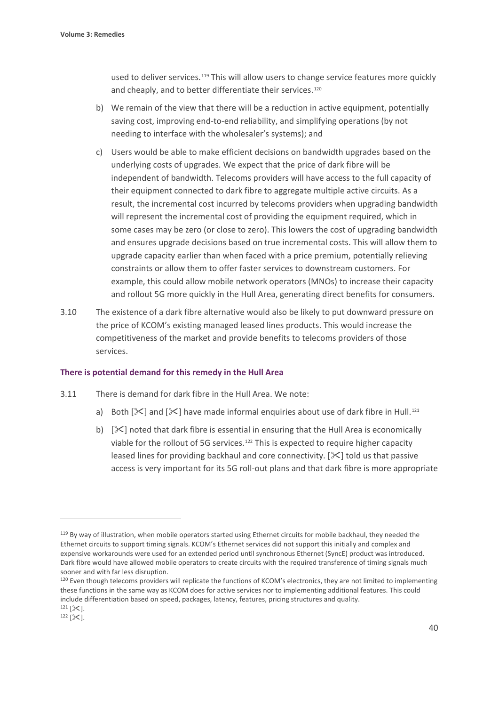used to deliver services.<sup>[119](#page-41-0)</sup> This will allow users to change service features more quickly and cheaply, and to better differentiate their services.<sup>[120](#page-41-1)</sup>

- b) We remain of the view that there will be a reduction in active equipment, potentially saving cost, improving end-to-end reliability, and simplifying operations (by not needing to interface with the wholesaler's systems); and
- c) Users would be able to make efficient decisions on bandwidth upgrades based on the underlying costs of upgrades. We expect that the price of dark fibre will be independent of bandwidth. Telecoms providers will have access to the full capacity of their equipment connected to dark fibre to aggregate multiple active circuits. As a result, the incremental cost incurred by telecoms providers when upgrading bandwidth will represent the incremental cost of providing the equipment required, which in some cases may be zero (or close to zero). This lowers the cost of upgrading bandwidth and ensures upgrade decisions based on true incremental costs. This will allow them to upgrade capacity earlier than when faced with a price premium, potentially relieving constraints or allow them to offer faster services to downstream customers. For example, this could allow mobile network operators (MNOs) to increase their capacity and rollout 5G more quickly in the Hull Area, generating direct benefits for consumers.
- 3.10 The existence of a dark fibre alternative would also be likely to put downward pressure on the price of KCOM's existing managed leased lines products. This would increase the competitiveness of the market and provide benefits to telecoms providers of those services.

#### **There is potential demand for this remedy in the Hull Area**

- 3.11 There is demand for dark fibre in the Hull Area. We note:
	- a) Both  $[\frac{1}{2}]$  and  $[\frac{1}{2}]$  have made informal enquiries about use of dark fibre in Hull.<sup>[121](#page-41-2)</sup>
	- b)  $[\times]$  noted that dark fibre is essential in ensuring that the Hull Area is economically viable for the rollout of 5G services.<sup>[122](#page-41-3)</sup> This is expected to require higher capacity leased lines for providing backhaul and core connectivity.  $[\times]$  told us that passive access is very important for its 5G roll-out plans and that dark fibre is more appropriate

<span id="page-41-0"></span><sup>&</sup>lt;sup>119</sup> By way of illustration, when mobile operators started using Ethernet circuits for mobile backhaul, they needed the Ethernet circuits to support timing signals. KCOM's Ethernet services did not support this initially and complex and expensive workarounds were used for an extended period until synchronous Ethernet (SyncE) product was introduced. Dark fibre would have allowed mobile operators to create circuits with the required transference of timing signals much sooner and with far less disruption.

<span id="page-41-1"></span><sup>&</sup>lt;sup>120</sup> Even though telecoms providers will replicate the functions of KCOM's electronics, they are not limited to implementing these functions in the same way as KCOM does for active services nor to implementing additional features. This could include differentiation based on speed, packages, latency, features, pricing structures and quality.  $^{121}$  [ $\times$ ].

<span id="page-41-3"></span><span id="page-41-2"></span> $122$  [ $\&$ ].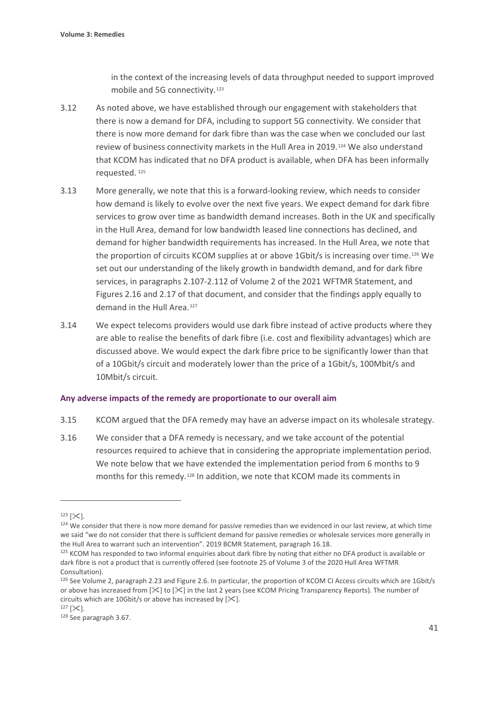in the context of the increasing levels of data throughput needed to support improved mobile and 5G connectivity.<sup>[123](#page-42-0)</sup>

- 3.12 As noted above, we have established through our engagement with stakeholders that there is now a demand for DFA, including to support 5G connectivity*.* We consider that there is now more demand for dark fibre than was the case when we concluded our last review of business connectivity markets in the Hull Area in 2019.[124](#page-42-1) We also understand that KCOM has indicated that no DFA product is available, when DFA has been informally requested. [125](#page-42-2)
- 3.13 More generally, we note that this is a forward-looking review, which needs to consider how demand is likely to evolve over the next five years. We expect demand for dark fibre services to grow over time as bandwidth demand increases. Both in the UK and specifically in the Hull Area, demand for low bandwidth leased line connections has declined, and demand for higher bandwidth requirements has increased. In the Hull Area, we note that the proportion of circuits KCOM supplies at or above 1Gbit/s is increasing over time.<sup>[126](#page-42-3)</sup> We set out our understanding of the likely growth in bandwidth demand, and for dark fibre services, in paragraphs 2.107-2.112 of Volume 2 of the 2021 WFTMR Statement, and Figures 2.16 and 2.17 of that document, and consider that the findings apply equally to demand in the Hull Area.<sup>[127](#page-42-4)</sup>
- 3.14 We expect telecoms providers would use dark fibre instead of active products where they are able to realise the benefits of dark fibre (i.e. cost and flexibility advantages) which are discussed above. We would expect the dark fibre price to be significantly lower than that of a 10Gbit/s circuit and moderately lower than the price of a 1Gbit/s, 100Mbit/s and 10Mbit/s circuit.

#### **Any adverse impacts of the remedy are proportionate to our overall aim**

- 3.15 KCOM argued that the DFA remedy may have an adverse impact on its wholesale strategy.
- 3.16 We consider that a DFA remedy is necessary, and we take account of the potential resources required to achieve that in considering the appropriate implementation period. We note below that we have extended the implementation period from 6 months to 9 months for this remedy.<sup>[128](#page-42-5)</sup> In addition, we note that KCOM made its comments in

<span id="page-42-1"></span>

<span id="page-42-0"></span><sup>&</sup>lt;sup>123</sup> [ $\times$ ].<br><sup>124</sup> We consider that there is now more demand for passive remedies than we evidenced in our last review, at which time we said "we do not consider that there is sufficient demand for passive remedies or wholesale services more generally in the Hull Area to warrant such an intervention". 2019 BCMR Statement, paragraph 16.18.

<span id="page-42-2"></span> $125$  KCOM has responded to two informal enquiries about dark fibre by noting that either no DFA product is available or dark fibre is not a product that is currently offered (see footnote 25 of Volume 3 of the 2020 Hull Area WFTMR Consultation).<br><sup>126</sup> See Volume 2, paragraph 2.23 and Figure 2.6. In particular, the proportion of KCOM CI Access circuits which are 1Gbit/s

<span id="page-42-3"></span>or above has increased from [ $\geq$ ] to [ $\geq$ ] in the last 2 years (see KCOM Pricing Transparency Reports). The number of circuits which are 10Gbit/s or above has increased by [ $\ll$ ].<br><sup>127</sup> [ $\ll$ ].<br><sup>128</sup> See paragraph 3.67.

<span id="page-42-5"></span><span id="page-42-4"></span>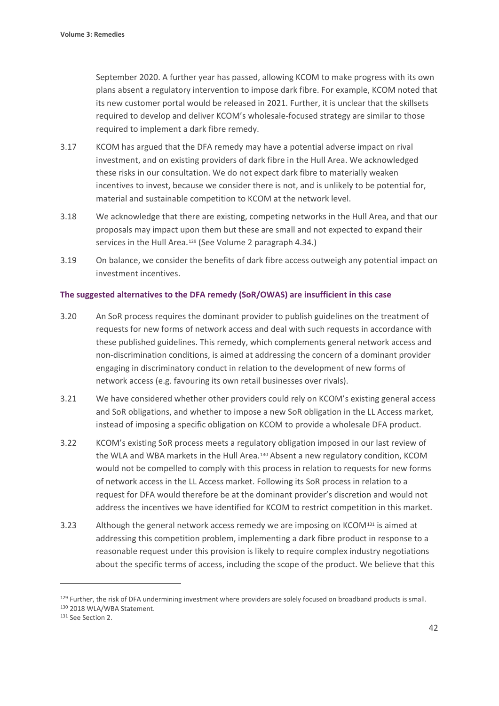September 2020. A further year has passed, allowing KCOM to make progress with its own plans absent a regulatory intervention to impose dark fibre. For example, KCOM noted that its new customer portal would be released in 2021. Further, it is unclear that the skillsets required to develop and deliver KCOM's wholesale-focused strategy are similar to those required to implement a dark fibre remedy.

- 3.17 KCOM has argued that the DFA remedy may have a potential adverse impact on rival investment, and on existing providers of dark fibre in the Hull Area. We acknowledged these risks in our consultation. We do not expect dark fibre to materially weaken incentives to invest, because we consider there is not, and is unlikely to be potential for, material and sustainable competition to KCOM at the network level.
- 3.18 We acknowledge that there are existing, competing networks in the Hull Area, and that our proposals may impact upon them but these are small and not expected to expand their services in the Hull Area.<sup>[129](#page-43-0)</sup> (See Volume 2 paragraph 4.34.)
- 3.19 On balance, we consider the benefits of dark fibre access outweigh any potential impact on investment incentives.

#### **The suggested alternatives to the DFA remedy (SoR/OWAS) are insufficient in this case**

- 3.20 An SoR process requires the dominant provider to publish guidelines on the treatment of requests for new forms of network access and deal with such requests in accordance with these published guidelines. This remedy, which complements general network access and non-discrimination conditions, is aimed at addressing the concern of a dominant provider engaging in discriminatory conduct in relation to the development of new forms of network access (e.g. favouring its own retail businesses over rivals).
- 3.21 We have considered whether other providers could rely on KCOM's existing general access and SoR obligations, and whether to impose a new SoR obligation in the LL Access market, instead of imposing a specific obligation on KCOM to provide a wholesale DFA product.
- 3.22 KCOM's existing SoR process meets a regulatory obligation imposed in our last review of the WLA and WBA markets in the Hull Area.<sup>[130](#page-43-1)</sup> Absent a new regulatory condition, KCOM would not be compelled to comply with this process in relation to requests for new forms of network access in the LL Access market. Following its SoR process in relation to a request for DFA would therefore be at the dominant provider's discretion and would not address the incentives we have identified for KCOM to restrict competition in this market.
- 3.23 Although the general network access remedy we are imposing on KCOM[131](#page-43-2) is aimed at addressing this competition problem, implementing a dark fibre product in response to a reasonable request under this provision is likely to require complex industry negotiations about the specific terms of access, including the scope of the product. We believe that this

<span id="page-43-0"></span><sup>&</sup>lt;sup>129</sup> Further, the risk of DFA undermining investment where providers are solely focused on broadband products is small. <sup>130</sup> 2018 WLA/WBA Statement.

<span id="page-43-2"></span><span id="page-43-1"></span><sup>&</sup>lt;sup>131</sup> See Section 2.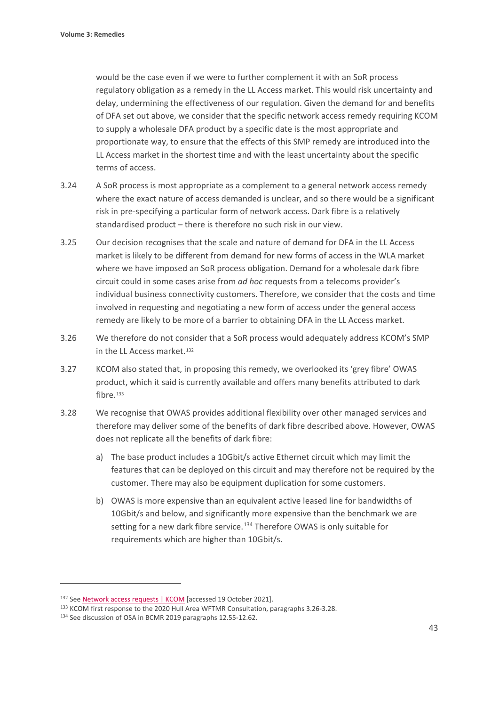would be the case even if we were to further complement it with an SoR process regulatory obligation as a remedy in the LL Access market. This would risk uncertainty and delay, undermining the effectiveness of our regulation. Given the demand for and benefits of DFA set out above, we consider that the specific network access remedy requiring KCOM to supply a wholesale DFA product by a specific date is the most appropriate and proportionate way, to ensure that the effects of this SMP remedy are introduced into the LL Access market in the shortest time and with the least uncertainty about the specific terms of access.

- 3.24 A SoR process is most appropriate as a complement to a general network access remedy where the exact nature of access demanded is unclear, and so there would be a significant risk in pre-specifying a particular form of network access. Dark fibre is a relatively standardised product – there is therefore no such risk in our view.
- 3.25 Our decision recognises that the scale and nature of demand for DFA in the LL Access market is likely to be different from demand for new forms of access in the WLA market where we have imposed an SoR process obligation. Demand for a wholesale dark fibre circuit could in some cases arise from *ad hoc* requests from a telecoms provider's individual business connectivity customers. Therefore, we consider that the costs and time involved in requesting and negotiating a new form of access under the general access remedy are likely to be more of a barrier to obtaining DFA in the LL Access market.
- 3.26 We therefore do not consider that a SoR process would adequately address KCOM's SMP in the LL Access market.[132](#page-44-0)
- 3.27 KCOM also stated that, in proposing this remedy, we overlooked its 'grey fibre' OWAS product, which it said is currently available and offers many benefits attributed to dark fibre.<sup>[133](#page-44-1)</sup>
- 3.28 We recognise that OWAS provides additional flexibility over other managed services and therefore may deliver some of the benefits of dark fibre described above. However, OWAS does not replicate all the benefits of dark fibre:
	- a) The base product includes a 10Gbit/s active Ethernet circuit which may limit the features that can be deployed on this circuit and may therefore not be required by the customer. There may also be equipment duplication for some customers.
	- b) OWAS is more expensive than an equivalent active leased line for bandwidths of 10Gbit/s and below, and significantly more expensive than the benchmark we are setting for a new dark fibre service.<sup>[134](#page-44-2)</sup> Therefore OWAS is only suitable for requirements which are higher than 10Gbit/s.

<span id="page-44-0"></span><sup>132</sup> Se[e Network access requests | KCOM](https://www.kcom.com/wholesale/products/service-information/network-access-requests/) [accessed 19 October 2021].

<span id="page-44-1"></span><sup>133</sup> KCOM first response to the 2020 Hull Area WFTMR Consultation, paragraphs 3.26-3.28.

<span id="page-44-2"></span><sup>134</sup> See discussion of OSA in BCMR 2019 paragraphs 12.55-12.62.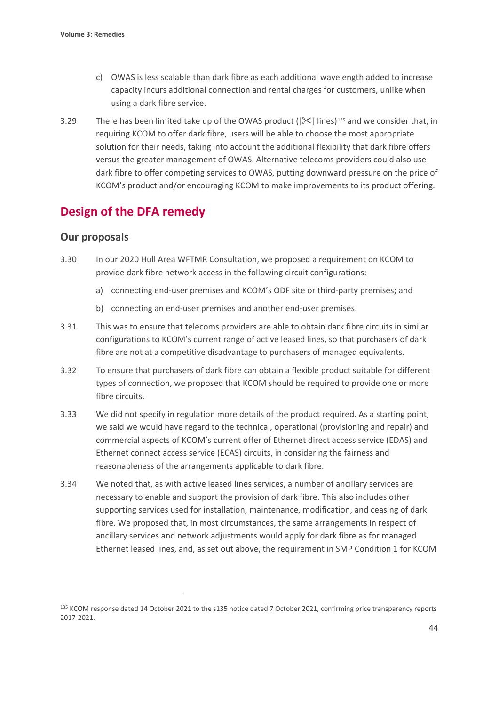- c) OWAS is less scalable than dark fibre as each additional wavelength added to increase capacity incurs additional connection and rental charges for customers, unlike when using a dark fibre service.
- 3.29 There has been limited take up of the OWAS product ( $[\&$ ] lines)<sup>[135](#page-45-0)</sup> and we consider that, in requiring KCOM to offer dark fibre, users will be able to choose the most appropriate solution for their needs, taking into account the additional flexibility that dark fibre offers versus the greater management of OWAS. Alternative telecoms providers could also use dark fibre to offer competing services to OWAS, putting downward pressure on the price of KCOM's product and/or encouraging KCOM to make improvements to its product offering.

# **Design of the DFA remedy**

## **Our proposals**

- 3.30 In our 2020 Hull Area WFTMR Consultation, we proposed a requirement on KCOM to provide dark fibre network access in the following circuit configurations:
	- a) connecting end-user premises and KCOM's ODF site or third-party premises; and
	- b) connecting an end-user premises and another end-user premises.
- 3.31 This was to ensure that telecoms providers are able to obtain dark fibre circuits in similar configurations to KCOM's current range of active leased lines, so that purchasers of dark fibre are not at a competitive disadvantage to purchasers of managed equivalents.
- 3.32 To ensure that purchasers of dark fibre can obtain a flexible product suitable for different types of connection, we proposed that KCOM should be required to provide one or more fibre circuits.
- 3.33 We did not specify in regulation more details of the product required. As a starting point, we said we would have regard to the technical, operational (provisioning and repair) and commercial aspects of KCOM's current offer of Ethernet direct access service (EDAS) and Ethernet connect access service (ECAS) circuits, in considering the fairness and reasonableness of the arrangements applicable to dark fibre.
- 3.34 We noted that, as with active leased lines services, a number of ancillary services are necessary to enable and support the provision of dark fibre. This also includes other supporting services used for installation, maintenance, modification, and ceasing of dark fibre. We proposed that, in most circumstances, the same arrangements in respect of ancillary services and network adjustments would apply for dark fibre as for managed Ethernet leased lines, and, as set out above, the requirement in SMP Condition 1 for KCOM

<span id="page-45-0"></span><sup>135</sup> KCOM response dated 14 October 2021 to the s135 notice dated 7 October 2021, confirming price transparency reports 2017-2021.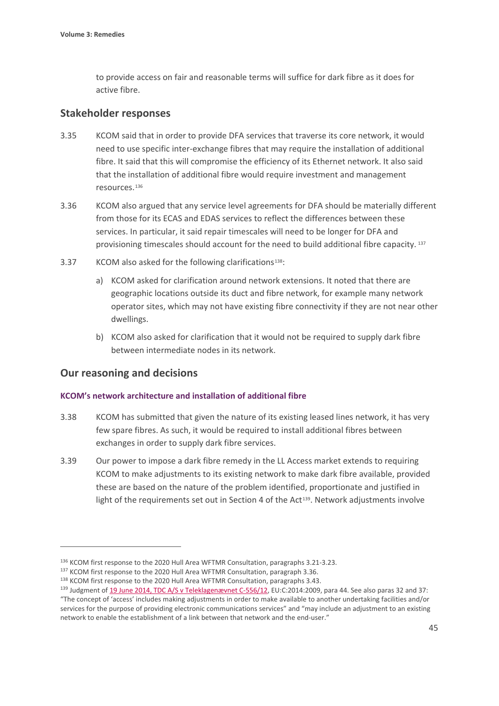to provide access on fair and reasonable terms will suffice for dark fibre as it does for active fibre.

#### **Stakeholder responses**

- 3.35 KCOM said that in order to provide DFA services that traverse its core network, it would need to use specific inter-exchange fibres that may require the installation of additional fibre. It said that this will compromise the efficiency of its Ethernet network. It also said that the installation of additional fibre would require investment and management resources.[136](#page-46-0)
- 3.36 KCOM also argued that any service level agreements for DFA should be materially different from those for its ECAS and EDAS services to reflect the differences between these services. In particular, it said repair timescales will need to be longer for DFA and provisioning timescales should account for the need to build additional fibre capacity. [137](#page-46-1)
- 3.37 KCOM also asked for the following clarifications<sup>[138](#page-46-2)</sup>:
	- a) KCOM asked for clarification around network extensions. It noted that there are geographic locations outside its duct and fibre network, for example many network operator sites, which may not have existing fibre connectivity if they are not near other dwellings.
	- b) KCOM also asked for clarification that it would not be required to supply dark fibre between intermediate nodes in its network.

## **Our reasoning and decisions**

#### **KCOM's network architecture and installation of additional fibre**

- 3.38 KCOM has submitted that given the nature of its existing leased lines network, it has very few spare fibres. As such, it would be required to install additional fibres between exchanges in order to supply dark fibre services.
- 3.39 Our power to impose a dark fibre remedy in the LL Access market extends to requiring KCOM to make adjustments to its existing network to make dark fibre available, provided these are based on the nature of the problem identified, proportionate and justified in light of the requirements set out in Section 4 of the Act<sup>[139](#page-46-3)</sup>. Network adjustments involve

<span id="page-46-0"></span><sup>136</sup> KCOM first response to the 2020 Hull Area WFTMR Consultation, paragraphs 3.21-3.23.

<span id="page-46-1"></span><sup>&</sup>lt;sup>137</sup> KCOM first response to the 2020 Hull Area WFTMR Consultation, paragraph 3.36.

<span id="page-46-2"></span><sup>138</sup> KCOM first response to the 2020 Hull Area WFTMR Consultation, paragraphs 3.43.

<span id="page-46-3"></span><sup>139</sup> Judgment o[f 19 June 2014, TDC A/S v Teleklagenævnet C-556/12,](https://curia.europa.eu/juris/document/document.jsf?text=&docid=153818&pageIndex=0&doclang=en&mode=lst&dir=&occ=first&part=1&cid=211756) EU:C:2014:2009, para 44. See also paras 32 and 37: "The concept of 'access' includes making adjustments in order to make available to another undertaking facilities and/or services for the purpose of providing electronic communications services" and "may include an adjustment to an existing network to enable the establishment of a link between that network and the end-user."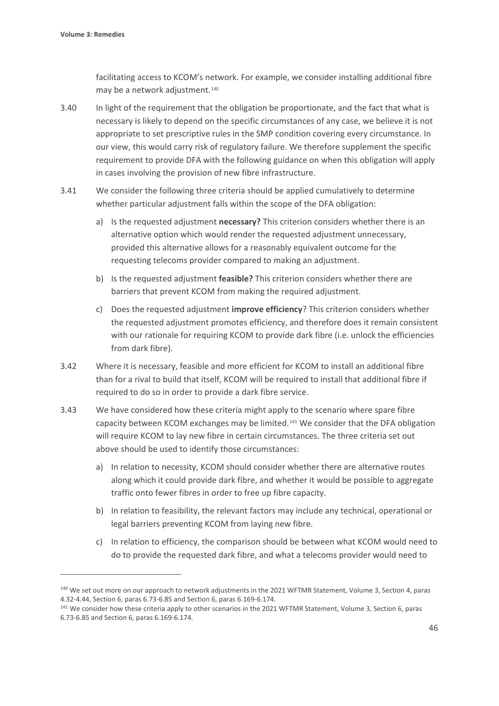facilitating access to KCOM's network. For example, we consider installing additional fibre may be a network adjustment.<sup>[140](#page-47-0)</sup>

- 3.40 In light of the requirement that the obligation be proportionate, and the fact that what is necessary is likely to depend on the specific circumstances of any case, we believe it is not appropriate to set prescriptive rules in the SMP condition covering every circumstance. In our view, this would carry risk of regulatory failure. We therefore supplement the specific requirement to provide DFA with the following guidance on when this obligation will apply in cases involving the provision of new fibre infrastructure.
- 3.41 We consider the following three criteria should be applied cumulatively to determine whether particular adjustment falls within the scope of the DFA obligation:
	- a) Is the requested adjustment **necessary?** This criterion considers whether there is an alternative option which would render the requested adjustment unnecessary, provided this alternative allows for a reasonably equivalent outcome for the requesting telecoms provider compared to making an adjustment.
	- b) Is the requested adjustment **feasible?** This criterion considers whether there are barriers that prevent KCOM from making the required adjustment.
	- c) Does the requested adjustment **improve efficiency**? This criterion considers whether the requested adjustment promotes efficiency, and therefore does it remain consistent with our rationale for requiring KCOM to provide dark fibre (i.e. unlock the efficiencies from dark fibre).
- 3.42 Where it is necessary, feasible and more efficient for KCOM to install an additional fibre than for a rival to build that itself, KCOM will be required to install that additional fibre if required to do so in order to provide a dark fibre service.
- 3.43 We have considered how these criteria might apply to the scenario where spare fibre capacity between KCOM exchanges may be limited.[141](#page-47-1) We consider that the DFA obligation will require KCOM to lay new fibre in certain circumstances. The three criteria set out above should be used to identify those circumstances:
	- a) In relation to necessity, KCOM should consider whether there are alternative routes along which it could provide dark fibre, and whether it would be possible to aggregate traffic onto fewer fibres in order to free up fibre capacity.
	- b) In relation to feasibility, the relevant factors may include any technical, operational or legal barriers preventing KCOM from laying new fibre.
	- c) In relation to efficiency, the comparison should be between what KCOM would need to do to provide the requested dark fibre, and what a telecoms provider would need to

<span id="page-47-0"></span><sup>&</sup>lt;sup>140</sup> We set out more on our approach to network adjustments in the 2021 WFTMR Statement, Volume 3, Section 4, paras 4.32-4.44, Section 6, paras 6.73-6.85 and Section 6, paras 6.169-6.174.

<span id="page-47-1"></span><sup>141</sup> We consider how these criteria apply to other scenarios in the 2021 WFTMR Statement, Volume 3, Section 6, paras 6.73-6.85 and Section 6, paras 6.169-6.174.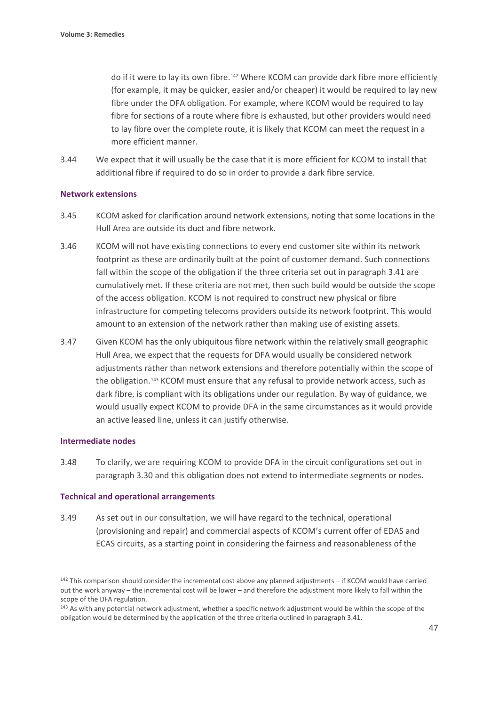do if it were to lay its own fibre.[142](#page-48-0) Where KCOM can provide dark fibre more efficiently (for example, it may be quicker, easier and/or cheaper) it would be required to lay new fibre under the DFA obligation. For example, where KCOM would be required to lay fibre for sections of a route where fibre is exhausted, but other providers would need to lay fibre over the complete route, it is likely that KCOM can meet the request in a more efficient manner.

3.44 We expect that it will usually be the case that it is more efficient for KCOM to install that additional fibre if required to do so in order to provide a dark fibre service.

#### **Network extensions**

- 3.45 KCOM asked for clarification around network extensions, noting that some locations in the Hull Area are outside its duct and fibre network.
- 3.46 KCOM will not have existing connections to every end customer site within its network footprint as these are ordinarily built at the point of customer demand. Such connections fall within the scope of the obligation if the three criteria set out in paragraph 3.41 are cumulatively met. If these criteria are not met, then such build would be outside the scope of the access obligation. KCOM is not required to construct new physical or fibre infrastructure for competing telecoms providers outside its network footprint. This would amount to an extension of the network rather than making use of existing assets.
- 3.47 Given KCOM has the only ubiquitous fibre network within the relatively small geographic Hull Area, we expect that the requests for DFA would usually be considered network adjustments rather than network extensions and therefore potentially within the scope of the obligation.<sup>[143](#page-48-1)</sup> KCOM must ensure that any refusal to provide network access, such as dark fibre, is compliant with its obligations under our regulation. By way of guidance, we would usually expect KCOM to provide DFA in the same circumstances as it would provide an active leased line, unless it can justify otherwise.

#### **Intermediate nodes**

3.48 To clarify, we are requiring KCOM to provide DFA in the circuit configurations set out in paragraph 3.30 and this obligation does not extend to intermediate segments or nodes.

#### **Technical and operational arrangements**

3.49 As set out in our consultation, we will have regard to the technical, operational (provisioning and repair) and commercial aspects of KCOM's current offer of EDAS and ECAS circuits, as a starting point in considering the fairness and reasonableness of the

<span id="page-48-0"></span> $142$  This comparison should consider the incremental cost above any planned adjustments – if KCOM would have carried out the work anyway – the incremental cost will be lower – and therefore the adjustment more likely to fall within the scope of the DFA regulation.

<span id="page-48-1"></span><sup>&</sup>lt;sup>143</sup> As with any potential network adjustment, whether a specific network adjustment would be within the scope of the obligation would be determined by the application of the three criteria outlined in paragraph 3.41.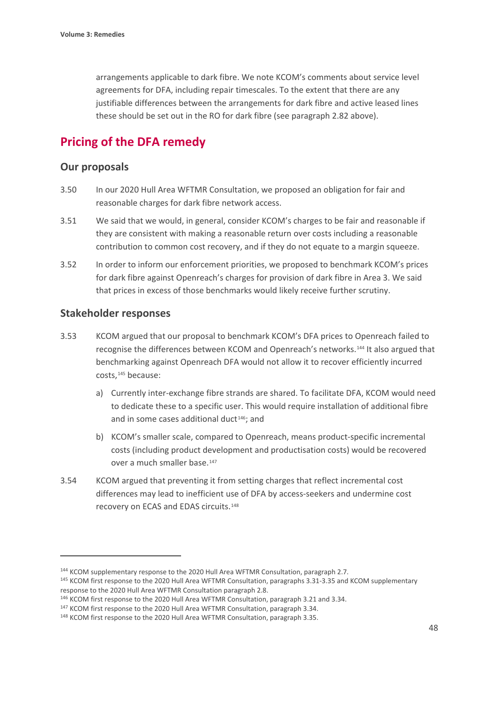arrangements applicable to dark fibre. We note KCOM's comments about service level agreements for DFA, including repair timescales. To the extent that there are any justifiable differences between the arrangements for dark fibre and active leased lines these should be set out in the RO for dark fibre (see paragraph 2.82 above).

# **Pricing of the DFA remedy**

#### **Our proposals**

- 3.50 In our 2020 Hull Area WFTMR Consultation, we proposed an obligation for fair and reasonable charges for dark fibre network access.
- 3.51 We said that we would, in general, consider KCOM's charges to be fair and reasonable if they are consistent with making a reasonable return over costs including a reasonable contribution to common cost recovery, and if they do not equate to a margin squeeze.
- 3.52 In order to inform our enforcement priorities, we proposed to benchmark KCOM's prices for dark fibre against Openreach's charges for provision of dark fibre in Area 3. We said that prices in excess of those benchmarks would likely receive further scrutiny.

### **Stakeholder responses**

- 3.53 KCOM argued that our proposal to benchmark KCOM's DFA prices to Openreach failed to recognise the differences between KCOM and Openreach's networks.[144](#page-49-0) It also argued that benchmarking against Openreach DFA would not allow it to recover efficiently incurred costs,<sup>[145](#page-49-1)</sup> because:
	- a) Currently inter-exchange fibre strands are shared. To facilitate DFA, KCOM would need to dedicate these to a specific user. This would require installation of additional fibre and in some cases additional duct<sup>[146](#page-49-2)</sup>; and
	- b) KCOM's smaller scale, compared to Openreach, means product-specific incremental costs (including product development and productisation costs) would be recovered over a much smaller base.<sup>[147](#page-49-3)</sup>
- 3.54 KCOM argued that preventing it from setting charges that reflect incremental cost differences may lead to inefficient use of DFA by access-seekers and undermine cost recovery on ECAS and EDAS circuits.[148](#page-49-4)

<span id="page-49-0"></span><sup>&</sup>lt;sup>144</sup> KCOM supplementary response to the 2020 Hull Area WFTMR Consultation, paragraph 2.7.

<span id="page-49-1"></span><sup>145</sup> KCOM first response to the 2020 Hull Area WFTMR Consultation, paragraphs 3.31-3.35 and KCOM supplementary response to the 2020 Hull Area WFTMR Consultation paragraph 2.8.

<span id="page-49-2"></span><sup>146</sup> KCOM first response to the 2020 Hull Area WFTMR Consultation, paragraph 3.21 and 3.34.

<span id="page-49-3"></span><sup>&</sup>lt;sup>147</sup> KCOM first response to the 2020 Hull Area WFTMR Consultation, paragraph 3.34.

<span id="page-49-4"></span><sup>148</sup> KCOM first response to the 2020 Hull Area WFTMR Consultation, paragraph 3.35.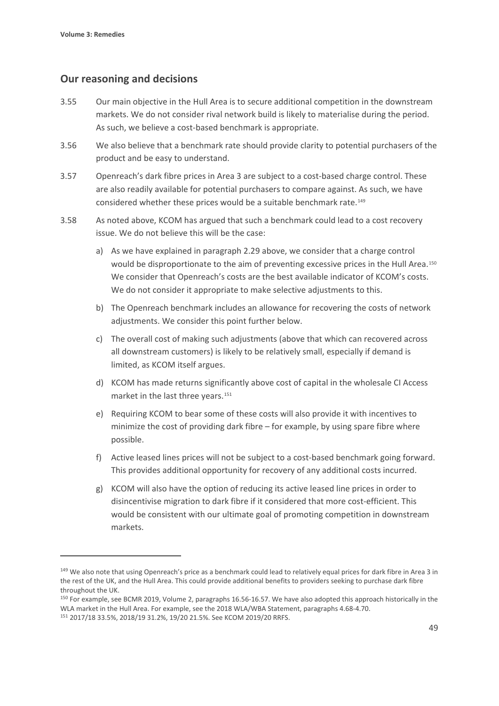## **Our reasoning and decisions**

- 3.55 Our main objective in the Hull Area is to secure additional competition in the downstream markets. We do not consider rival network build is likely to materialise during the period. As such, we believe a cost-based benchmark is appropriate.
- 3.56 We also believe that a benchmark rate should provide clarity to potential purchasers of the product and be easy to understand.
- 3.57 Openreach's dark fibre prices in Area 3 are subject to a cost-based charge control. These are also readily available for potential purchasers to compare against. As such, we have considered whether these prices would be a suitable benchmark rate.[149](#page-50-0)
- 3.58 As noted above, KCOM has argued that such a benchmark could lead to a cost recovery issue. We do not believe this will be the case:
	- a) As we have explained in paragraph 2.29 above, we consider that a charge control would be disproportionate to the aim of preventing excessive prices in the Hull Area.<sup>[150](#page-50-1)</sup> We consider that Openreach's costs are the best available indicator of KCOM's costs. We do not consider it appropriate to make selective adjustments to this.
	- b) The Openreach benchmark includes an allowance for recovering the costs of network adjustments. We consider this point further below.
	- c) The overall cost of making such adjustments (above that which can recovered across all downstream customers) is likely to be relatively small, especially if demand is limited, as KCOM itself argues.
	- d) KCOM has made returns significantly above cost of capital in the wholesale CI Access market in the last three years.<sup>[151](#page-50-2)</sup>
	- e) Requiring KCOM to bear some of these costs will also provide it with incentives to minimize the cost of providing dark fibre – for example, by using spare fibre where possible.
	- f) Active leased lines prices will not be subject to a cost-based benchmark going forward. This provides additional opportunity for recovery of any additional costs incurred.
	- g) KCOM will also have the option of reducing its active leased line prices in order to disincentivise migration to dark fibre if it considered that more cost-efficient. This would be consistent with our ultimate goal of promoting competition in downstream markets.

<span id="page-50-0"></span><sup>&</sup>lt;sup>149</sup> We also note that using Openreach's price as a benchmark could lead to relatively equal prices for dark fibre in Area 3 in the rest of the UK, and the Hull Area. This could provide additional benefits to providers seeking to purchase dark fibre throughout the UK.<br><sup>150</sup> For example, see BCMR 2019, Volume 2, paragraphs 16.56-16.57. We have also adopted this approach historically in the

<span id="page-50-1"></span>WLA market in the Hull Area. For example, see the 2018 WLA/WBA Statement, paragraphs 4.68-4.70.

<span id="page-50-2"></span><sup>151</sup> 2017/18 33.5%, 2018/19 31.2%, 19/20 21.5%. See KCOM 2019/20 RRFS.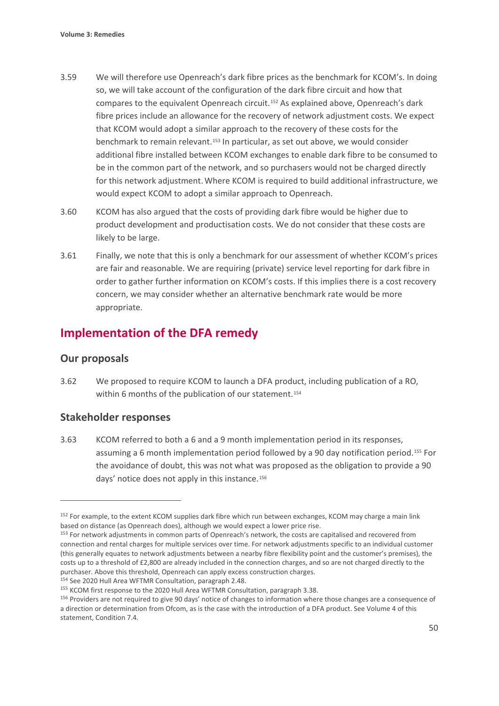- 3.59 We will therefore use Openreach's dark fibre prices as the benchmark for KCOM's. In doing so, we will take account of the configuration of the dark fibre circuit and how that compares to the equivalent Openreach circuit.[152](#page-51-0) As explained above, Openreach's dark fibre prices include an allowance for the recovery of network adjustment costs. We expect that KCOM would adopt a similar approach to the recovery of these costs for the benchmark to remain relevant.<sup>[153](#page-51-1)</sup> In particular, as set out above, we would consider additional fibre installed between KCOM exchanges to enable dark fibre to be consumed to be in the common part of the network, and so purchasers would not be charged directly for this network adjustment.Where KCOM is required to build additional infrastructure, we would expect KCOM to adopt a similar approach to Openreach.
- 3.60 KCOM has also argued that the costs of providing dark fibre would be higher due to product development and productisation costs. We do not consider that these costs are likely to be large.
- 3.61 Finally, we note that this is only a benchmark for our assessment of whether KCOM's prices are fair and reasonable. We are requiring (private) service level reporting for dark fibre in order to gather further information on KCOM's costs. If this implies there is a cost recovery concern, we may consider whether an alternative benchmark rate would be more appropriate.

# **Implementation of the DFA remedy**

# **Our proposals**

3.62 We proposed to require KCOM to launch a DFA product, including publication of a RO, within 6 months of the publication of our statement.<sup>[154](#page-51-2)</sup>

# **Stakeholder responses**

3.63 KCOM referred to both a 6 and a 9 month implementation period in its responses, assuming a 6 month implementation period followed by a 90 day notification period.[155](#page-51-3) For the avoidance of doubt, this was not what was proposed as the obligation to provide a 90 days' notice does not apply in this instance.<sup>[156](#page-51-4)</sup>

<span id="page-51-0"></span><sup>&</sup>lt;sup>152</sup> For example, to the extent KCOM supplies dark fibre which run between exchanges, KCOM may charge a main link based on distance (as Openreach does), although we would expect a lower price rise.<br><sup>153</sup> For network adjustments in common parts of Openreach's network, the costs are capitalised and recovered from

<span id="page-51-1"></span>connection and rental charges for multiple services over time. For network adjustments specific to an individual customer (this generally equates to network adjustments between a nearby fibre flexibility point and the customer's premises), the costs up to a threshold of £2,800 are already included in the connection charges, and so are not charged directly to the purchaser. Above this threshold, Openreach can apply excess construction charges.

<span id="page-51-2"></span><sup>154</sup> See 2020 Hull Area WFTMR Consultation, paragraph 2.48.

<span id="page-51-3"></span><sup>&</sup>lt;sup>155</sup> KCOM first response to the 2020 Hull Area WFTMR Consultation, paragraph 3.38.

<span id="page-51-4"></span><sup>156</sup> Providers are not required to give 90 days' notice of changes to information where those changes are a consequence of a direction or determination from Ofcom, as is the case with the introduction of a DFA product. See Volume 4 of this statement, Condition 7.4.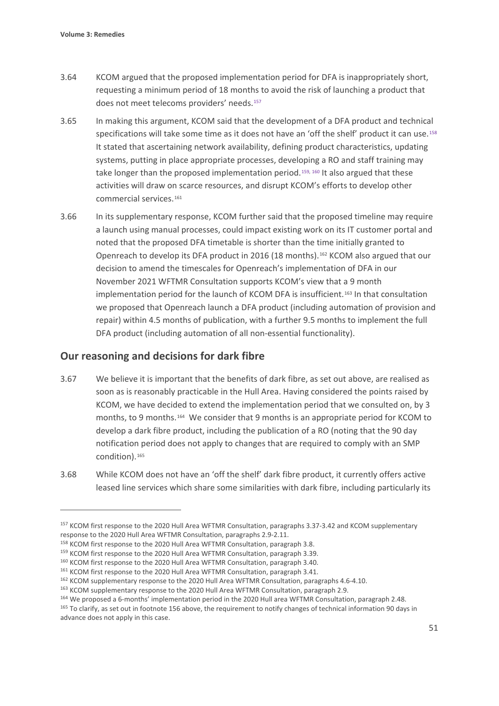- 3.64 KCOM argued that the proposed implementation period for DFA is inappropriately short, requesting a minimum period of 18 months to avoid the risk of launching a product that does not meet telecoms providers' needs.[157](#page-52-0)
- 3.65 In making this argument, KCOM said that the development of a DFA product and technical specifications will take some time as it does not have an 'off the shelf' product it can use.<sup>[158](#page-52-1)</sup> It stated that ascertaining network availability, defining product characteristics, updating systems, putting in place appropriate processes, developing a RO and staff training may take longer than the proposed implementation period.<sup>[159](#page-52-2), [160](#page-52-3)</sup> It also argued that these activities will draw on scarce resources, and disrupt KCOM's efforts to develop other commercial services.[161](#page-52-4)
- 3.66 In its supplementary response, KCOM further said that the proposed timeline may require a launch using manual processes, could impact existing work on its IT customer portal and noted that the proposed DFA timetable is shorter than the time initially granted to Openreach to develop its DFA product in 2016 (18 months).<sup>[162](#page-52-5)</sup> KCOM also argued that our decision to amend the timescales for Openreach's implementation of DFA in our November 2021 WFTMR Consultation supports KCOM's view that a 9 month implementation period for the launch of KCOM DFA is insufficient.[163](#page-52-6) In that consultation we proposed that Openreach launch a DFA product (including automation of provision and repair) within 4.5 months of publication, with a further 9.5 months to implement the full DFA product (including automation of all non-essential functionality).

## **Our reasoning and decisions for dark fibre**

- 3.67 We believe it is important that the benefits of dark fibre, as set out above, are realised as soon as is reasonably practicable in the Hull Area. Having considered the points raised by KCOM, we have decided to extend the implementation period that we consulted on, by 3 months, to 9 months.[164](#page-52-7) We consider that 9 months is an appropriate period for KCOM to develop a dark fibre product, including the publication of a RO (noting that the 90 day notification period does not apply to changes that are required to comply with an SMP condition).[165](#page-52-8)
- 3.68 While KCOM does not have an 'off the shelf' dark fibre product, it currently offers active leased line services which share some similarities with dark fibre, including particularly its

<span id="page-52-0"></span><sup>157</sup> KCOM first response to the 2020 Hull Area WFTMR Consultation, paragraphs 3.37-3.42 and KCOM supplementary response to the 2020 Hull Area WFTMR Consultation, paragraphs 2.9-2.11.

<span id="page-52-1"></span><sup>158</sup> KCOM first response to the 2020 Hull Area WFTMR Consultation, paragraph 3.8.

<span id="page-52-2"></span><sup>&</sup>lt;sup>159</sup> KCOM first response to the 2020 Hull Area WFTMR Consultation, paragraph 3.39.

<span id="page-52-3"></span><sup>160</sup> KCOM first response to the 2020 Hull Area WFTMR Consultation, paragraph 3.40.

<span id="page-52-4"></span><sup>&</sup>lt;sup>161</sup> KCOM first response to the 2020 Hull Area WFTMR Consultation, paragraph 3.41.

<span id="page-52-5"></span><sup>162</sup> KCOM supplementary response to the 2020 Hull Area WFTMR Consultation, paragraphs 4.6-4.10.

<span id="page-52-6"></span><sup>&</sup>lt;sup>163</sup> KCOM supplementary response to the 2020 Hull Area WFTMR Consultation, paragraph 2.9.

<span id="page-52-7"></span><sup>164</sup> We proposed a 6-months' implementation period in the 2020 Hull area WFTMR Consultation, paragraph 2.48.

<span id="page-52-8"></span><sup>165</sup> To clarify, as set out in footnote 156 above, the requirement to notify changes of technical information 90 days in advance does not apply in this case.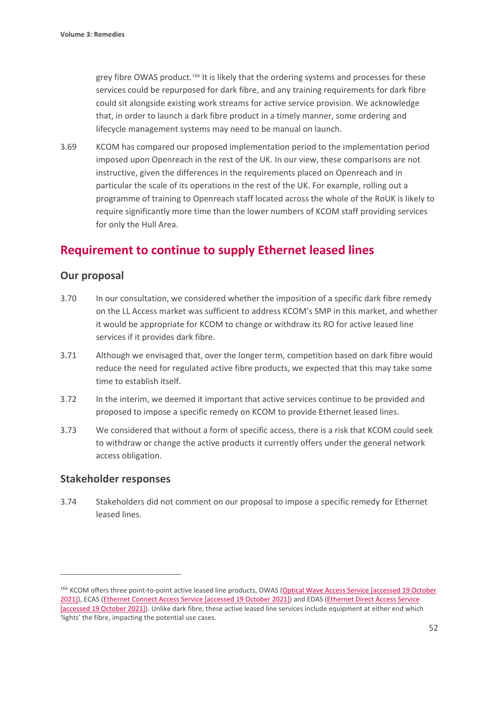grey fibre OWAS product.<sup>[166](#page-53-0)</sup> It is likely that the ordering systems and processes for these services could be repurposed for dark fibre, and any training requirements for dark fibre could sit alongside existing work streams for active service provision. We acknowledge that, in order to launch a dark fibre product in a timely manner, some ordering and lifecycle management systems may need to be manual on launch.

3.69 KCOM has compared our proposed implementation period to the implementation period imposed upon Openreach in the rest of the UK. In our view, these comparisons are not instructive, given the differences in the requirements placed on Openreach and in particular the scale of its operations in the rest of the UK. For example, rolling out a programme of training to Openreach staff located across the whole of the RoUK is likely to require significantly more time than the lower numbers of KCOM staff providing services for only the Hull Area.

# **Requirement to continue to supply Ethernet leased lines**

## **Our proposal**

- 3.70 In our consultation, we considered whether the imposition of a specific dark fibre remedy on the LL Access market was sufficient to address KCOM's SMP in this market, and whether it would be appropriate for KCOM to change or withdraw its RO for active leased line services if it provides dark fibre.
- 3.71 Although we envisaged that, over the longer term, competition based on dark fibre would reduce the need for regulated active fibre products, we expected that this may take some time to establish itself.
- 3.72 In the interim, we deemed it important that active services continue to be provided and proposed to impose a specific remedy on KCOM to provide Ethernet leased lines.
- 3.73 We considered that without a form of specific access, there is a risk that KCOM could seek to withdraw or change the active products it currently offers under the general network access obligation.

#### **Stakeholder responses**

3.74 Stakeholders did not comment on our proposal to impose a specific remedy for Ethernet leased lines.

<span id="page-53-0"></span><sup>166</sup> KCOM offers three point-to-point active leased line products, OWAS [\(Optical Wave Access Service](http://pricing.kcomhome.com/media/1584/p13-s37_optical_wave_access_service.pdf) [accessed 19 October 2021]), ECAS [\(Ethernet Connect Access Service](http://pricing.kcomhome.com/media/1476/p13-s19_ethernet_connect_access_service.pdf) [accessed 19 October 2021]) and EDAS [\(Ethernet Direct Access Service](http://pricing.kcomhome.com/media/1475/p13-s10_ethernet_direct_access_service.pdf) [accessed 19 October 2021]). Unlike dark fibre, these active leased line services include equipment at either end which 'lights' the fibre, impacting the potential use cases.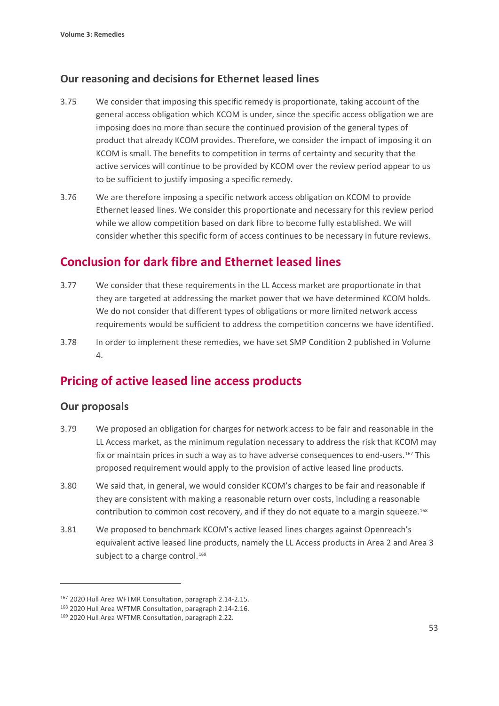# **Our reasoning and decisions for Ethernet leased lines**

- 3.75 We consider that imposing this specific remedy is proportionate, taking account of the general access obligation which KCOM is under, since the specific access obligation we are imposing does no more than secure the continued provision of the general types of product that already KCOM provides. Therefore, we consider the impact of imposing it on KCOM is small. The benefits to competition in terms of certainty and security that the active services will continue to be provided by KCOM over the review period appear to us to be sufficient to justify imposing a specific remedy.
- 3.76 We are therefore imposing a specific network access obligation on KCOM to provide Ethernet leased lines. We consider this proportionate and necessary for this review period while we allow competition based on dark fibre to become fully established. We will consider whether this specific form of access continues to be necessary in future reviews.

# **Conclusion for dark fibre and Ethernet leased lines**

- 3.77 We consider that these requirements in the LL Access market are proportionate in that they are targeted at addressing the market power that we have determined KCOM holds. We do not consider that different types of obligations or more limited network access requirements would be sufficient to address the competition concerns we have identified.
- 3.78 In order to implement these remedies, we have set SMP Condition 2 published in Volume 4.

# **Pricing of active leased line access products**

## **Our proposals**

- 3.79 We proposed an obligation for charges for network access to be fair and reasonable in the LL Access market, as the minimum regulation necessary to address the risk that KCOM may fix or maintain prices in such a way as to have adverse consequences to end-users.[167](#page-54-0) This proposed requirement would apply to the provision of active leased line products.
- 3.80 We said that, in general, we would consider KCOM's charges to be fair and reasonable if they are consistent with making a reasonable return over costs, including a reasonable contribution to common cost recovery, and if they do not equate to a margin squeeze.[168](#page-54-1)
- 3.81 We proposed to benchmark KCOM's active leased lines charges against Openreach's equivalent active leased line products, namely the LL Access products in Area 2 and Area 3 subject to a charge control.<sup>[169](#page-54-2)</sup>

<span id="page-54-0"></span><sup>167</sup> 2020 Hull Area WFTMR Consultation, paragraph 2.14-2.15.

<span id="page-54-1"></span><sup>168</sup> 2020 Hull Area WFTMR Consultation, paragraph 2.14-2.16.

<span id="page-54-2"></span><sup>169 2020</sup> Hull Area WFTMR Consultation, paragraph 2.22.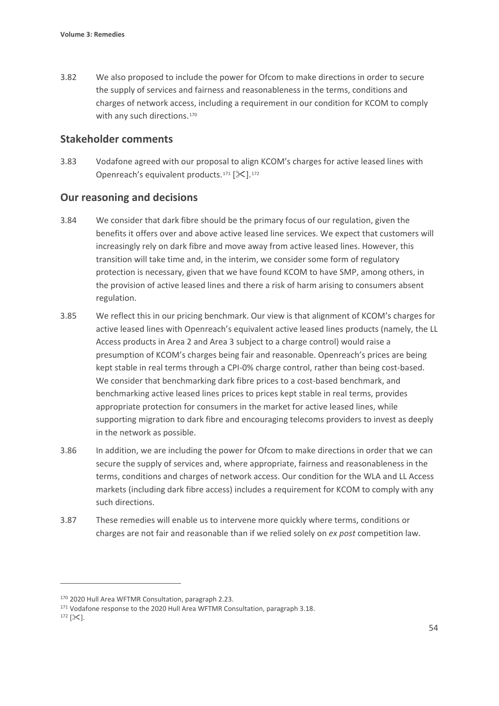3.82 We also proposed to include the power for Ofcom to make directions in order to secure the supply of services and fairness and reasonableness in the terms, conditions and charges of network access, including a requirement in our condition for KCOM to comply with any such directions.<sup>[170](#page-55-0)</sup>

### **Stakeholder comments**

3.83 Vodafone agreed with our proposal to align KCOM's charges for active leased lines with Openreach's equivalent products.<sup>[171](#page-55-1)</sup> [ $\ll$ ].<sup>[172](#page-55-2)</sup>

## **Our reasoning and decisions**

- 3.84 We consider that dark fibre should be the primary focus of our regulation, given the benefits it offers over and above active leased line services. We expect that customers will increasingly rely on dark fibre and move away from active leased lines. However, this transition will take time and, in the interim, we consider some form of regulatory protection is necessary, given that we have found KCOM to have SMP, among others, in the provision of active leased lines and there a risk of harm arising to consumers absent regulation.
- 3.85 We reflect this in our pricing benchmark. Our view is that alignment of KCOM's charges for active leased lines with Openreach's equivalent active leased lines products (namely, the LL Access products in Area 2 and Area 3 subject to a charge control) would raise a presumption of KCOM's charges being fair and reasonable. Openreach's prices are being kept stable in real terms through a CPI-0% charge control, rather than being cost-based. We consider that benchmarking dark fibre prices to a cost-based benchmark, and benchmarking active leased lines prices to prices kept stable in real terms, provides appropriate protection for consumers in the market for active leased lines, while supporting migration to dark fibre and encouraging telecoms providers to invest as deeply in the network as possible.
- 3.86 In addition, we are including the power for Ofcom to make directions in order that we can secure the supply of services and, where appropriate, fairness and reasonableness in the terms, conditions and charges of network access. Our condition for the WLA and LL Access markets (including dark fibre access) includes a requirement for KCOM to comply with any such directions.
- 3.87 These remedies will enable us to intervene more quickly where terms, conditions or charges are not fair and reasonable than if we relied solely on *ex post* competition law.

<span id="page-55-0"></span><sup>170</sup> 2020 Hull Area WFTMR Consultation, paragraph 2.23.

<span id="page-55-1"></span><sup>&</sup>lt;sup>171</sup> Vodafone response to the 2020 Hull Area WFTMR Consultation, paragraph 3.18.

<span id="page-55-2"></span> $172$  [ $\times$ ].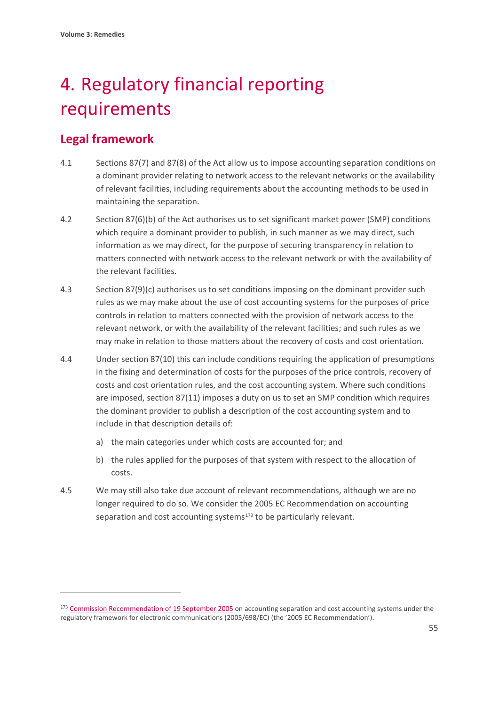# 4. Regulatory financial reporting requirements

# **Legal framework**

- 4.1 Sections 87(7) and 87(8) of the Act allow us to impose accounting separation conditions on a dominant provider relating to network access to the relevant networks or the availability of relevant facilities, including requirements about the accounting methods to be used in maintaining the separation.
- 4.2 Section 87(6)(b) of the Act authorises us to set significant market power (SMP) conditions which require a dominant provider to publish, in such manner as we may direct, such information as we may direct, for the purpose of securing transparency in relation to matters connected with network access to the relevant network or with the availability of the relevant facilities.
- 4.3 Section 87(9)(c) authorises us to set conditions imposing on the dominant provider such rules as we may make about the use of cost accounting systems for the purposes of price controls in relation to matters connected with the provision of network access to the relevant network, or with the availability of the relevant facilities; and such rules as we may make in relation to those matters about the recovery of costs and cost orientation.
- 4.4 Under section 87(10) this can include conditions requiring the application of presumptions in the fixing and determination of costs for the purposes of the price controls, recovery of costs and cost orientation rules, and the cost accounting system. Where such conditions are imposed, section 87(11) imposes a duty on us to set an SMP condition which requires the dominant provider to publish a description of the cost accounting system and to include in that description details of:
	- a) the main categories under which costs are accounted for; and
	- b) the rules applied for the purposes of that system with respect to the allocation of costs.
- 4.5 We may still also take due account of relevant recommendations, although we are no longer required to do so. We consider the 2005 EC Recommendation on accounting separation and cost accounting systems<sup>[173](#page-56-0)</sup> to be particularly relevant.

<span id="page-56-0"></span><sup>&</sup>lt;sup>173</sup> [Commission Recommendation of 19 September 2005](https://eur-lex.europa.eu/LexUriServ/LexUriServ.do?uri=OJ:L:2005:266:0064:0069:EN:PDF) on accounting separation and cost accounting systems under the regulatory framework for electronic communications (2005/698/EC) (the '2005 EC Recommendation').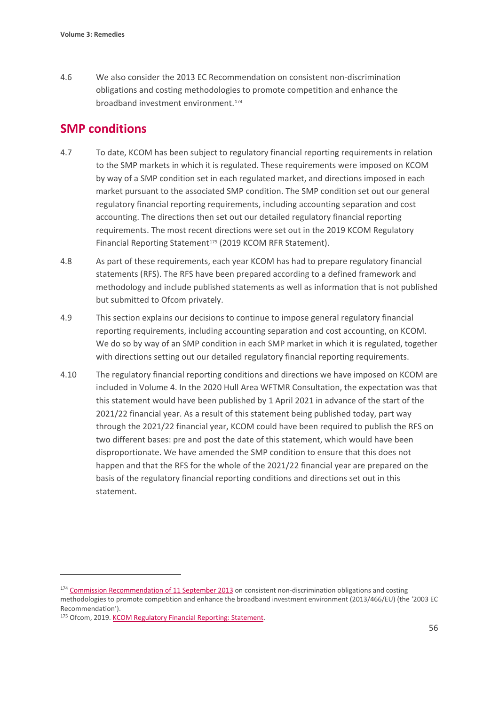4.6 We also consider the 2013 EC Recommendation on consistent non-discrimination obligations and costing methodologies to promote competition and enhance the broadband investment environment.[174](#page-57-0)

# **SMP conditions**

- 4.7 To date, KCOM has been subject to regulatory financial reporting requirements in relation to the SMP markets in which it is regulated. These requirements were imposed on KCOM by way of a SMP condition set in each regulated market, and directions imposed in each market pursuant to the associated SMP condition. The SMP condition set out our general regulatory financial reporting requirements, including accounting separation and cost accounting. The directions then set out our detailed regulatory financial reporting requirements. The most recent directions were set out in the 2019 KCOM Regulatory Financial Reporting Statement<sup>[175](#page-57-1)</sup> (2019 KCOM RFR Statement).
- 4.8 As part of these requirements, each year KCOM has had to prepare regulatory financial statements (RFS). The RFS have been prepared according to a defined framework and methodology and include published statements as well as information that is not published but submitted to Ofcom privately.
- 4.9 This section explains our decisions to continue to impose general regulatory financial reporting requirements, including accounting separation and cost accounting, on KCOM. We do so by way of an SMP condition in each SMP market in which it is regulated, together with directions setting out our detailed regulatory financial reporting requirements.
- 4.10 The regulatory financial reporting conditions and directions we have imposed on KCOM are included in Volume 4. In the 2020 Hull Area WFTMR Consultation, the expectation was that this statement would have been published by 1 April 2021 in advance of the start of the 2021/22 financial year. As a result of this statement being published today, part way through the 2021/22 financial year, KCOM could have been required to publish the RFS on two different bases: pre and post the date of this statement, which would have been disproportionate. We have amended the SMP condition to ensure that this does not happen and that the RFS for the whole of the 2021/22 financial year are prepared on the basis of the regulatory financial reporting conditions and directions set out in this statement.

<span id="page-57-0"></span><sup>&</sup>lt;sup>174</sup> [Commission Recommendation of 11 September 2013](https://eur-lex.europa.eu/legal-content/EN/TXT/?uri=celex%3A32013H0466) on consistent non-discrimination obligations and costing methodologies to promote competition and enhance the broadband investment environment (2013/466/EU) (the '2003 EC Recommendation').

<span id="page-57-1"></span><sup>175</sup> Ofcom, 2019. KCOM Regulatory Financial Reporting: Statement.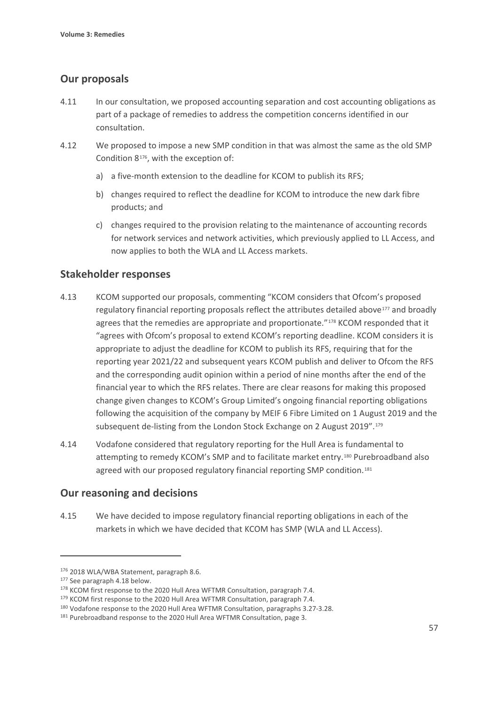# **Our proposals**

- 4.11 In our consultation, we proposed accounting separation and cost accounting obligations as part of a package of remedies to address the competition concerns identified in our consultation.
- 4.12 We proposed to impose a new SMP condition in that was almost the same as the old SMP Condition 8[176,](#page-58-0) with the exception of:
	- a) a five-month extension to the deadline for KCOM to publish its RFS;
	- b) changes required to reflect the deadline for KCOM to introduce the new dark fibre products; and
	- c) changes required to the provision relating to the maintenance of accounting records for network services and network activities, which previously applied to LL Access, and now applies to both the WLA and LL Access markets.

## **Stakeholder responses**

- 4.13 KCOM supported our proposals, commenting "KCOM considers that Ofcom's proposed regulatory financial reporting proposals reflect the attributes detailed above<sup>[177](#page-58-1)</sup> and broadly agrees that the remedies are appropriate and proportionate."<sup>[178](#page-58-2)</sup> KCOM responded that it "agrees with Ofcom's proposal to extend KCOM's reporting deadline. KCOM considers it is appropriate to adjust the deadline for KCOM to publish its RFS, requiring that for the reporting year 2021/22 and subsequent years KCOM publish and deliver to Ofcom the RFS and the corresponding audit opinion within a period of nine months after the end of the financial year to which the RFS relates. There are clear reasons for making this proposed change given changes to KCOM's Group Limited's ongoing financial reporting obligations following the acquisition of the company by MEIF 6 Fibre Limited on 1 August 2019 and the subsequent de-listing from the London Stock Exchange on 2 August 2019".<sup>[179](#page-58-3)</sup>
- 4.14 Vodafone considered that regulatory reporting for the Hull Area is fundamental to attempting to remedy KCOM's SMP and to facilitate market entry.[180](#page-58-4) Purebroadband also agreed with our proposed regulatory financial reporting SMP condition.<sup>[181](#page-58-5)</sup>

# **Our reasoning and decisions**

4.15 We have decided to impose regulatory financial reporting obligations in each of the markets in which we have decided that KCOM has SMP (WLA and LL Access).

<span id="page-58-0"></span><sup>176 2018</sup> WLA/WBA Statement, paragraph 8.6.

<span id="page-58-1"></span><sup>177</sup> See paragraph 4.18 below.

<span id="page-58-2"></span><sup>&</sup>lt;sup>178</sup> KCOM first response to the 2020 Hull Area WFTMR Consultation, paragraph 7.4.

<span id="page-58-3"></span><sup>&</sup>lt;sup>179</sup> KCOM first response to the 2020 Hull Area WFTMR Consultation, paragraph 7.4.

<span id="page-58-4"></span><sup>180</sup> Vodafone response to the 2020 Hull Area WFTMR Consultation, paragraphs 3.27-3.28.

<span id="page-58-5"></span><sup>181</sup> Purebroadband response to the 2020 Hull Area WFTMR Consultation, page 3.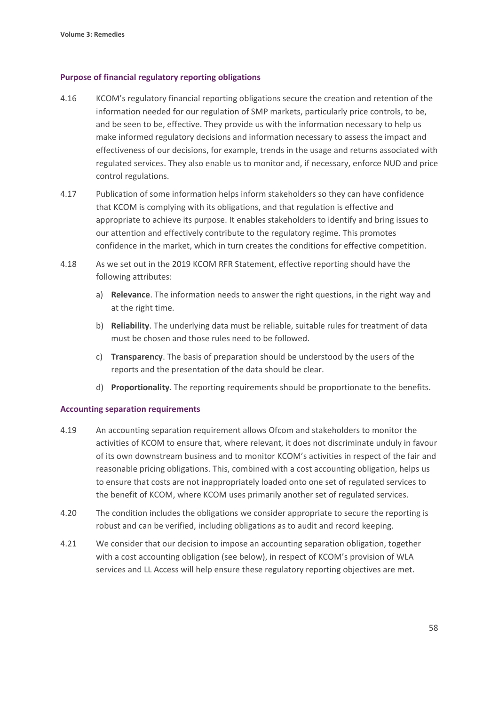#### **Purpose of financial regulatory reporting obligations**

- 4.16 KCOM's regulatory financial reporting obligations secure the creation and retention of the information needed for our regulation of SMP markets, particularly price controls, to be, and be seen to be, effective. They provide us with the information necessary to help us make informed regulatory decisions and information necessary to assess the impact and effectiveness of our decisions, for example, trends in the usage and returns associated with regulated services. They also enable us to monitor and, if necessary, enforce NUD and price control regulations.
- 4.17 Publication of some information helps inform stakeholders so they can have confidence that KCOM is complying with its obligations, and that regulation is effective and appropriate to achieve its purpose. It enables stakeholders to identify and bring issues to our attention and effectively contribute to the regulatory regime. This promotes confidence in the market, which in turn creates the conditions for effective competition.
- 4.18 As we set out in the 2019 KCOM RFR Statement, effective reporting should have the following attributes:
	- a) **Relevance**. The information needs to answer the right questions, in the right way and at the right time.
	- b) **Reliability**. The underlying data must be reliable, suitable rules for treatment of data must be chosen and those rules need to be followed.
	- c) **Transparency**. The basis of preparation should be understood by the users of the reports and the presentation of the data should be clear.
	- d) **Proportionality**. The reporting requirements should be proportionate to the benefits.

#### **Accounting separation requirements**

- 4.19 An accounting separation requirement allows Ofcom and stakeholders to monitor the activities of KCOM to ensure that, where relevant, it does not discriminate unduly in favour of its own downstream business and to monitor KCOM's activities in respect of the fair and reasonable pricing obligations. This, combined with a cost accounting obligation, helps us to ensure that costs are not inappropriately loaded onto one set of regulated services to the benefit of KCOM, where KCOM uses primarily another set of regulated services.
- 4.20 The condition includes the obligations we consider appropriate to secure the reporting is robust and can be verified, including obligations as to audit and record keeping.
- 4.21 We consider that our decision to impose an accounting separation obligation, together with a cost accounting obligation (see below), in respect of KCOM's provision of WLA services and LL Access will help ensure these regulatory reporting objectives are met.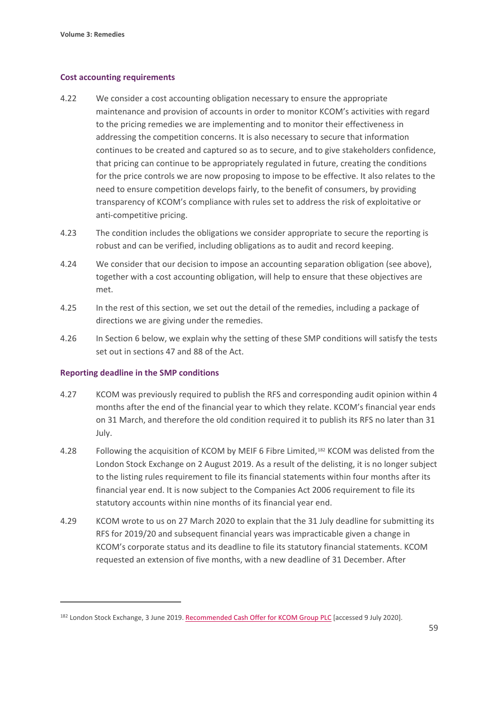#### **Cost accounting requirements**

- 4.22 We consider a cost accounting obligation necessary to ensure the appropriate maintenance and provision of accounts in order to monitor KCOM's activities with regard to the pricing remedies we are implementing and to monitor their effectiveness in addressing the competition concerns. It is also necessary to secure that information continues to be created and captured so as to secure, and to give stakeholders confidence, that pricing can continue to be appropriately regulated in future, creating the conditions for the price controls we are now proposing to impose to be effective. It also relates to the need to ensure competition develops fairly, to the benefit of consumers, by providing transparency of KCOM's compliance with rules set to address the risk of exploitative or anti-competitive pricing.
- 4.23 The condition includes the obligations we consider appropriate to secure the reporting is robust and can be verified, including obligations as to audit and record keeping.
- 4.24 We consider that our decision to impose an accounting separation obligation (see above), together with a cost accounting obligation, will help to ensure that these objectives are met.
- 4.25 In the rest of this section, we set out the detail of the remedies, including a package of directions we are giving under the remedies.
- 4.26 In Section 6 below, we explain why the setting of these SMP conditions will satisfy the tests set out in sections 47 and 88 of the Act.

#### **Reporting deadline in the SMP conditions**

- 4.27 KCOM was previously required to publish the RFS and corresponding audit opinion within 4 months after the end of the financial year to which they relate. KCOM's financial year ends on 31 March, and therefore the old condition required it to publish its RFS no later than 31 July.
- 4.28 Following the acquisition of KCOM by MEIF 6 Fibre Limited,<sup>[182](#page-60-0)</sup> KCOM was delisted from the London Stock Exchange on 2 August 2019. As a result of the delisting, it is no longer subject to the listing rules requirement to file its financial statements within four months after its financial year end. It is now subject to the Companies Act 2006 requirement to file its statutory accounts within nine months of its financial year end.
- 4.29 KCOM wrote to us on 27 March 2020 to explain that the 31 July deadline for submitting its RFS for 2019/20 and subsequent financial years was impracticable given a change in KCOM's corporate status and its deadline to file its statutory financial statements. KCOM requested an extension of five months, with a new deadline of 31 December. After

<span id="page-60-0"></span><sup>182</sup> London Stock Exchange, 3 June 2019[. Recommended Cash Offer for KCOM Group PLC](https://www.londonstockexchange.com/news-article/market-news/recommended-cash-offer-for-kcom-group-plc/14095189) [accessed 9 July 2020].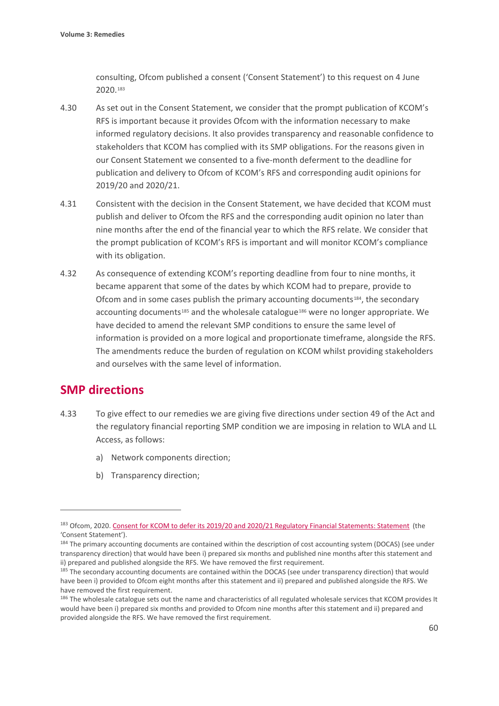consulting, Ofcom published a consent ('Consent Statement') to this request on 4 June 2020.[183](#page-61-0)

- 4.30 As set out in the Consent Statement, we consider that the prompt publication of KCOM's RFS is important because it provides Ofcom with the information necessary to make informed regulatory decisions. It also provides transparency and reasonable confidence to stakeholders that KCOM has complied with its SMP obligations. For the reasons given in our Consent Statement we consented to a five-month deferment to the deadline for publication and delivery to Ofcom of KCOM's RFS and corresponding audit opinions for 2019/20 and 2020/21.
- 4.31 Consistent with the decision in the Consent Statement, we have decided that KCOM must publish and deliver to Ofcom the RFS and the corresponding audit opinion no later than nine months after the end of the financial year to which the RFS relate. We consider that the prompt publication of KCOM's RFS is important and will monitor KCOM's compliance with its obligation.
- 4.32 As consequence of extending KCOM's reporting deadline from four to nine months, it became apparent that some of the dates by which KCOM had to prepare, provide to Ofcom and in some cases publish the primary accounting documents<sup>[184](#page-61-1)</sup>, the secondary accounting documents<sup>[185](#page-61-2)</sup> and the wholesale catalogue<sup>[186](#page-61-3)</sup> were no longer appropriate. We have decided to amend the relevant SMP conditions to ensure the same level of information is provided on a more logical and proportionate timeframe, alongside the RFS. The amendments reduce the burden of regulation on KCOM whilst providing stakeholders and ourselves with the same level of information.

# **SMP directions**

- 4.33 To give effect to our remedies we are giving five directions under section 49 of the Act and the regulatory financial reporting SMP condition we are imposing in relation to WLA and LL Access, as follows:
	- a) Network components direction;
	- b) Transparency direction;

<span id="page-61-0"></span><sup>183</sup> Ofcom, 2020[. Consent for KCOM to defer its 2019/20 and 2020/21 Regulatory Financial Statements: Statement](https://www.ofcom.org.uk/__data/assets/pdf_file/0037/198937/statement-kcom-defer-regulatory-financial-statements.pdf) (the 'Consent Statement').

<span id="page-61-1"></span> $184$  The primary accounting documents are contained within the description of cost accounting system (DOCAS) (see under transparency direction) that would have been i) prepared six months and published nine months after this statement and ii) prepared and published alongside the RFS. We have removed the first requirement.

<span id="page-61-2"></span><sup>&</sup>lt;sup>185</sup> The secondary accounting documents are contained within the DOCAS (see under transparency direction) that would have been i) provided to Ofcom eight months after this statement and ii) prepared and published alongside the RFS. We have removed the first requirement.

<span id="page-61-3"></span><sup>&</sup>lt;sup>186</sup> The wholesale catalogue sets out the name and characteristics of all regulated wholesale services that KCOM provides It would have been i) prepared six months and provided to Ofcom nine months after this statement and ii) prepared and provided alongside the RFS. We have removed the first requirement.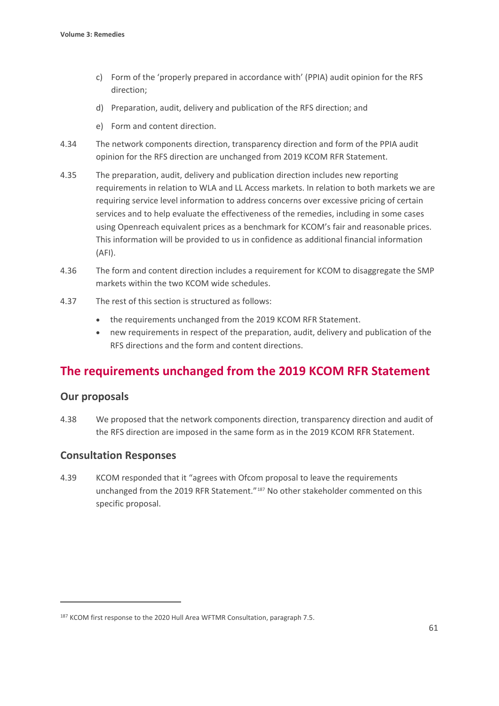- c) Form of the 'properly prepared in accordance with' (PPIA) audit opinion for the RFS direction;
- d) Preparation, audit, delivery and publication of the RFS direction; and
- e) Form and content direction.
- 4.34 The network components direction, transparency direction and form of the PPIA audit opinion for the RFS direction are unchanged from 2019 KCOM RFR Statement.
- 4.35 The preparation, audit, delivery and publication direction includes new reporting requirements in relation to WLA and LL Access markets. In relation to both markets we are requiring service level information to address concerns over excessive pricing of certain services and to help evaluate the effectiveness of the remedies, including in some cases using Openreach equivalent prices as a benchmark for KCOM's fair and reasonable prices. This information will be provided to us in confidence as additional financial information (AFI).
- 4.36 The form and content direction includes a requirement for KCOM to disaggregate the SMP markets within the two KCOM wide schedules.
- 4.37 The rest of this section is structured as follows:
	- the requirements unchanged from the 2019 KCOM RFR Statement.
	- new requirements in respect of the preparation, audit, delivery and publication of the RFS directions and the form and content directions.

# **The requirements unchanged from the 2019 KCOM RFR Statement**

## **Our proposals**

4.38 We proposed that the network components direction, transparency direction and audit of the RFS direction are imposed in the same form as in the 2019 KCOM RFR Statement.

## **Consultation Responses**

4.39 KCOM responded that it "agrees with Ofcom proposal to leave the requirements unchanged from the 2019 RFR Statement."[187](#page-62-0) No other stakeholder commented on this specific proposal.

<span id="page-62-0"></span><sup>&</sup>lt;sup>187</sup> KCOM first response to the 2020 Hull Area WFTMR Consultation, paragraph 7.5.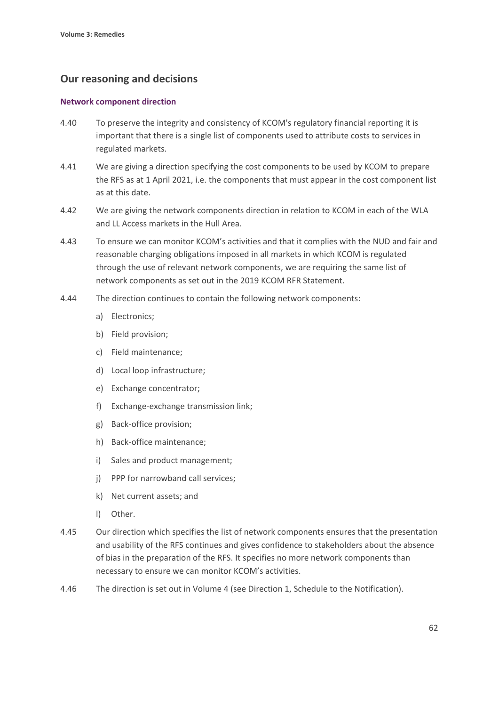# **Our reasoning and decisions**

#### **Network component direction**

- 4.40 To preserve the integrity and consistency of KCOM's regulatory financial reporting it is important that there is a single list of components used to attribute costs to services in regulated markets.
- 4.41 We are giving a direction specifying the cost components to be used by KCOM to prepare the RFS as at 1 April 2021, i.e. the components that must appear in the cost component list as at this date.
- 4.42 We are giving the network components direction in relation to KCOM in each of the WLA and LL Access markets in the Hull Area.
- 4.43 To ensure we can monitor KCOM's activities and that it complies with the NUD and fair and reasonable charging obligations imposed in all markets in which KCOM is regulated through the use of relevant network components, we are requiring the same list of network components as set out in the 2019 KCOM RFR Statement.
- 4.44 The direction continues to contain the following network components:
	- a) Electronics;
	- b) Field provision;
	- c) Field maintenance;
	- d) Local loop infrastructure;
	- e) Exchange concentrator;
	- f) Exchange-exchange transmission link;
	- g) Back-office provision;
	- h) Back-office maintenance;
	- i) Sales and product management;
	- j) PPP for narrowband call services;
	- k) Net current assets; and
	- l) Other.
- 4.45 Our direction which specifies the list of network components ensures that the presentation and usability of the RFS continues and gives confidence to stakeholders about the absence of bias in the preparation of the RFS. It specifies no more network components than necessary to ensure we can monitor KCOM's activities.
- 4.46 The direction is set out in Volume 4 (see Direction 1, Schedule to the Notification).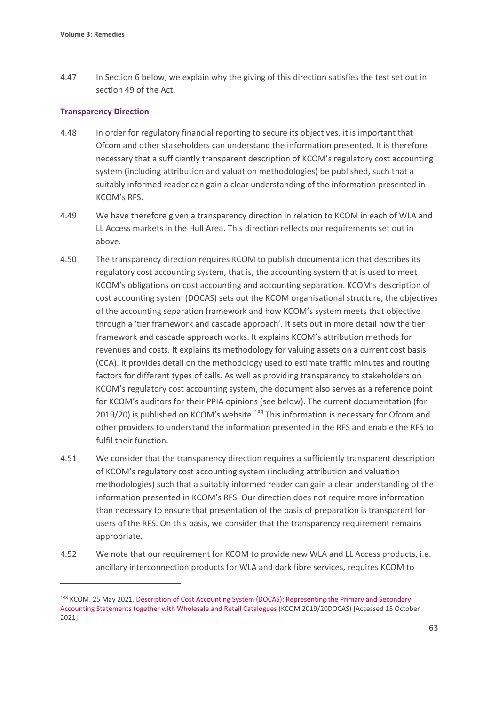4.47 In Section 6 below, we explain why the giving of this direction satisfies the test set out in section 49 of the Act.

#### **Transparency Direction**

- 4.48 In order for regulatory financial reporting to secure its objectives, it is important that Ofcom and other stakeholders can understand the information presented. It is therefore necessary that a sufficiently transparent description of KCOM's regulatory cost accounting system (including attribution and valuation methodologies) be published, such that a suitably informed reader can gain a clear understanding of the information presented in KCOM's RFS.
- 4.49 We have therefore given a transparency direction in relation to KCOM in each of WLA and LL Access markets in the Hull Area. This direction reflects our requirements set out in above.
- 4.50 The transparency direction requires KCOM to publish documentation that describes its regulatory cost accounting system, that is, the accounting system that is used to meet KCOM's obligations on cost accounting and accounting separation. KCOM's description of cost accounting system (DOCAS) sets out the KCOM organisational structure, the objectives of the accounting separation framework and how KCOM's system meets that objective through a 'tier framework and cascade approach'. It sets out in more detail how the tier framework and cascade approach works. It explains KCOM's attribution methods for revenues and costs. It explains its methodology for valuing assets on a current cost basis (CCA). It provides detail on the methodology used to estimate traffic minutes and routing factors for different types of calls. As well as providing transparency to stakeholders on KCOM's regulatory cost accounting system, the document also serves as a reference point for KCOM's auditors for their PPIA opinions (see below). The current documentation (for 2019/20) is published on KCOM's website.<sup>[188](#page-64-0)</sup> This information is necessary for Ofcom and other providers to understand the information presented in the RFS and enable the RFS to fulfil their function.
- 4.51 We consider that the transparency direction requires a sufficiently transparent description of KCOM's regulatory cost accounting system (including attribution and valuation methodologies) such that a suitably informed reader can gain a clear understanding of the information presented in KCOM's RFS. Our direction does not require more information than necessary to ensure that presentation of the basis of preparation is transparent for users of the RFS. On this basis, we consider that the transparency requirement remains appropriate.
- 4.52 We note that our requirement for KCOM to provide new WLA and LL Access products, i.e. ancillary interconnection products for WLA and dark fibre services, requires KCOM to

<span id="page-64-0"></span><sup>188</sup> KCOM, 25 May 2021. Description of Cost Accounting System (DOCAS): Representing the Primary and Secondary [Accounting Statements together with Wholesale and Retail Catalogues](https://www.kcom.com/media/f45bhizu/kcom-docas-2020-final.pdf) (KCOM 2019/20DOCAS) [Accessed 15 October 2021].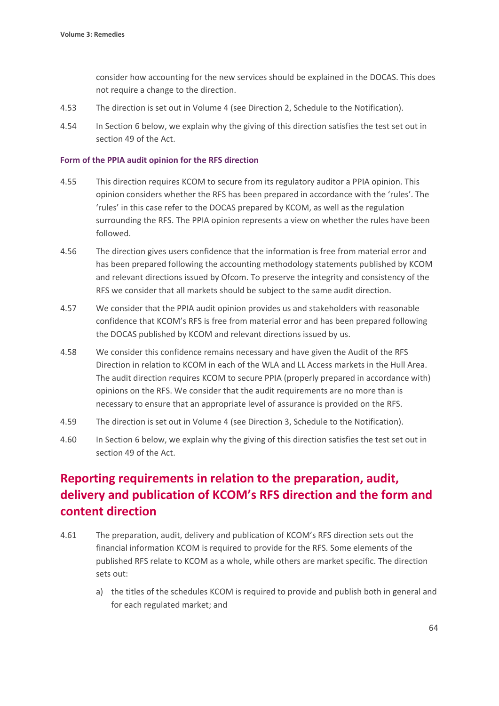consider how accounting for the new services should be explained in the DOCAS. This does not require a change to the direction.

- 4.53 The direction is set out in Volume 4 (see Direction 2, Schedule to the Notification).
- 4.54 In Section 6 below, we explain why the giving of this direction satisfies the test set out in section 49 of the Act.

#### **Form of the PPIA audit opinion for the RFS direction**

- 4.55 This direction requires KCOM to secure from its regulatory auditor a PPIA opinion. This opinion considers whether the RFS has been prepared in accordance with the 'rules'. The 'rules' in this case refer to the DOCAS prepared by KCOM, as well as the regulation surrounding the RFS. The PPIA opinion represents a view on whether the rules have been followed.
- 4.56 The direction gives users confidence that the information is free from material error and has been prepared following the accounting methodology statements published by KCOM and relevant directions issued by Ofcom. To preserve the integrity and consistency of the RFS we consider that all markets should be subject to the same audit direction.
- 4.57 We consider that the PPIA audit opinion provides us and stakeholders with reasonable confidence that KCOM's RFS is free from material error and has been prepared following the DOCAS published by KCOM and relevant directions issued by us.
- 4.58 We consider this confidence remains necessary and have given the Audit of the RFS Direction in relation to KCOM in each of the WLA and LL Access markets in the Hull Area. The audit direction requires KCOM to secure PPIA (properly prepared in accordance with) opinions on the RFS. We consider that the audit requirements are no more than is necessary to ensure that an appropriate level of assurance is provided on the RFS.
- 4.59 The direction is set out in Volume 4 (see Direction 3, Schedule to the Notification).
- 4.60 In Section 6 below, we explain why the giving of this direction satisfies the test set out in section 49 of the Act.

# **Reporting requirements in relation to the preparation, audit, delivery and publication of KCOM's RFS direction and the form and content direction**

- 4.61 The preparation, audit, delivery and publication of KCOM's RFS direction sets out the financial information KCOM is required to provide for the RFS. Some elements of the published RFS relate to KCOM as a whole, while others are market specific. The direction sets out:
	- a) the titles of the schedules KCOM is required to provide and publish both in general and for each regulated market; and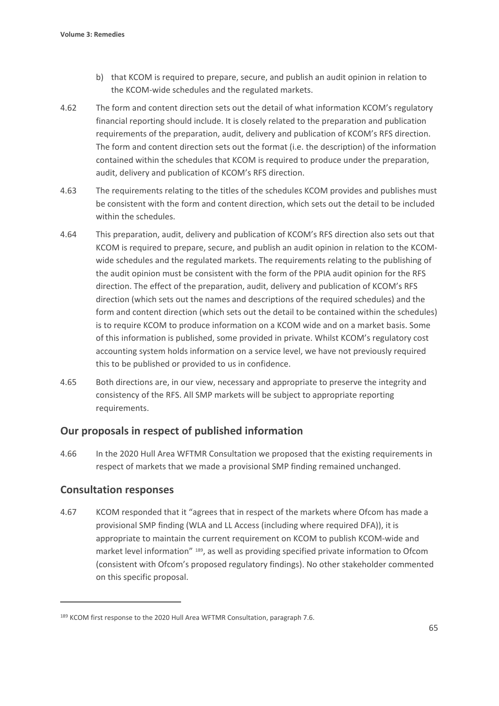- b) that KCOM is required to prepare, secure, and publish an audit opinion in relation to the KCOM-wide schedules and the regulated markets.
- 4.62 The form and content direction sets out the detail of what information KCOM's regulatory financial reporting should include. It is closely related to the preparation and publication requirements of the preparation, audit, delivery and publication of KCOM's RFS direction. The form and content direction sets out the format (i.e. the description) of the information contained within the schedules that KCOM is required to produce under the preparation, audit, delivery and publication of KCOM's RFS direction.
- 4.63 The requirements relating to the titles of the schedules KCOM provides and publishes must be consistent with the form and content direction, which sets out the detail to be included within the schedules.
- 4.64 This preparation, audit, delivery and publication of KCOM's RFS direction also sets out that KCOM is required to prepare, secure, and publish an audit opinion in relation to the KCOMwide schedules and the regulated markets. The requirements relating to the publishing of the audit opinion must be consistent with the form of the PPIA audit opinion for the RFS direction. The effect of the preparation, audit, delivery and publication of KCOM's RFS direction (which sets out the names and descriptions of the required schedules) and the form and content direction (which sets out the detail to be contained within the schedules) is to require KCOM to produce information on a KCOM wide and on a market basis. Some of this information is published, some provided in private. Whilst KCOM's regulatory cost accounting system holds information on a service level, we have not previously required this to be published or provided to us in confidence.
- 4.65 Both directions are, in our view, necessary and appropriate to preserve the integrity and consistency of the RFS. All SMP markets will be subject to appropriate reporting requirements.

## **Our proposals in respect of published information**

4.66 In the 2020 Hull Area WFTMR Consultation we proposed that the existing requirements in respect of markets that we made a provisional SMP finding remained unchanged.

# **Consultation responses**

4.67 KCOM responded that it "agrees that in respect of the markets where Ofcom has made a provisional SMP finding (WLA and LL Access (including where required DFA)), it is appropriate to maintain the current requirement on KCOM to publish KCOM-wide and market level information" [189](#page-66-0), as well as providing specified private information to Ofcom (consistent with Ofcom's proposed regulatory findings). No other stakeholder commented on this specific proposal.

<span id="page-66-0"></span><sup>&</sup>lt;sup>189</sup> KCOM first response to the 2020 Hull Area WFTMR Consultation, paragraph 7.6.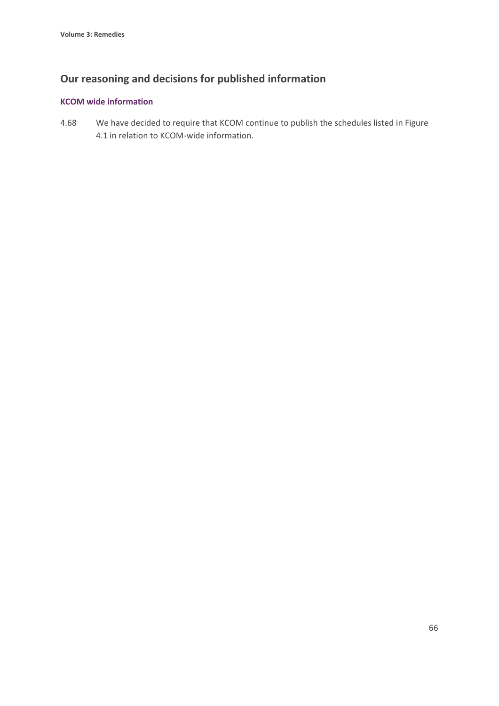# **Our reasoning and decisions for published information**

#### **KCOM wide information**

4.68 We have decided to require that KCOM continue to publish the schedules listed in Figure 4.1 in relation to KCOM-wide information.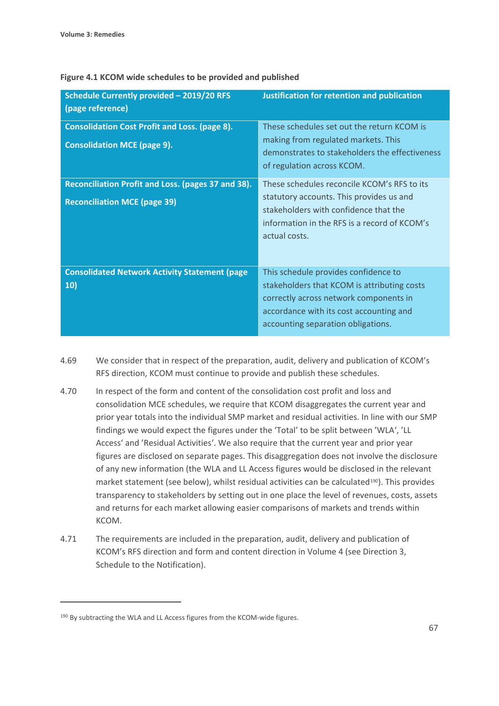| Schedule Currently provided - 2019/20 RFS<br>(page reference)                              | Justification for retention and publication                                                                                                                                                                    |
|--------------------------------------------------------------------------------------------|----------------------------------------------------------------------------------------------------------------------------------------------------------------------------------------------------------------|
| <b>Consolidation Cost Profit and Loss. (page 8).</b><br><b>Consolidation MCE (page 9).</b> | These schedules set out the return KCOM is<br>making from regulated markets. This<br>demonstrates to stakeholders the effectiveness<br>of regulation across KCOM.                                              |
| Reconciliation Profit and Loss. (pages 37 and 38).<br><b>Reconciliation MCE (page 39)</b>  | These schedules reconcile KCOM's RFS to its<br>statutory accounts. This provides us and<br>stakeholders with confidence that the<br>information in the RFS is a record of KCOM's<br>actual costs.              |
| <b>Consolidated Network Activity Statement (page</b><br>10)                                | This schedule provides confidence to<br>stakeholders that KCOM is attributing costs<br>correctly across network components in<br>accordance with its cost accounting and<br>accounting separation obligations. |

#### **Figure 4.1 KCOM wide schedules to be provided and published**

- 4.69 We consider that in respect of the preparation, audit, delivery and publication of KCOM's RFS direction, KCOM must continue to provide and publish these schedules.
- 4.70 In respect of the form and content of the consolidation cost profit and loss and consolidation MCE schedules, we require that KCOM disaggregates the current year and prior year totals into the individual SMP market and residual activities. In line with our SMP findings we would expect the figures under the 'Total' to be split between 'WLA', 'LL Access' and 'Residual Activities'. We also require that the current year and prior year figures are disclosed on separate pages. This disaggregation does not involve the disclosure of any new information (the WLA and LL Access figures would be disclosed in the relevant market statement (see below), whilst residual activities can be calculated<sup>[190](#page-68-0)</sup>). This provides transparency to stakeholders by setting out in one place the level of revenues, costs, assets and returns for each market allowing easier comparisons of markets and trends within KCOM.
- 4.71 The requirements are included in the preparation, audit, delivery and publication of KCOM's RFS direction and form and content direction in Volume 4 (see Direction 3, Schedule to the Notification).

<span id="page-68-0"></span><sup>&</sup>lt;sup>190</sup> By subtracting the WLA and LL Access figures from the KCOM-wide figures.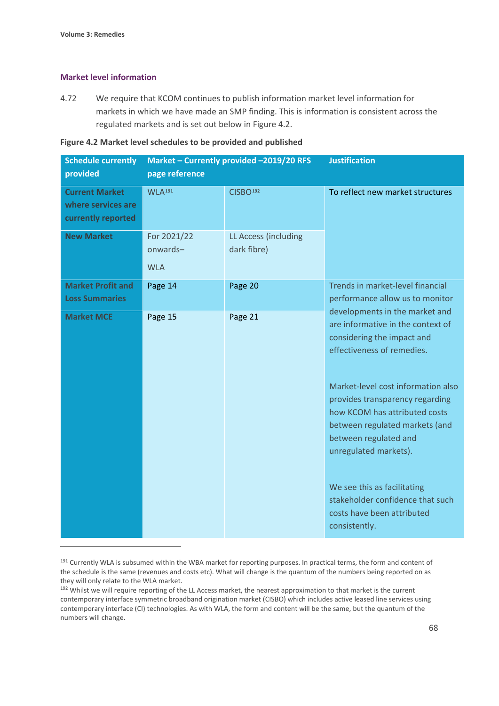#### **Market level information**

4.72 We require that KCOM continues to publish information market level information for markets in which we have made an SMP finding. This is information is consistent across the regulated markets and is set out below in Figure 4.2.

#### **Figure 4.2 Market level schedules to be provided and published**

| <b>Schedule currently</b><br>provided                             | Market - Currently provided -2019/20 RFS<br>page reference |                                     | <b>Justification</b>                                                                                                                                                                       |
|-------------------------------------------------------------------|------------------------------------------------------------|-------------------------------------|--------------------------------------------------------------------------------------------------------------------------------------------------------------------------------------------|
| <b>Current Market</b><br>where services are<br>currently reported | WLA <sup>191</sup>                                         | CISBO <sup>192</sup>                | To reflect new market structures                                                                                                                                                           |
| <b>New Market</b>                                                 | For 2021/22<br>onwards-<br><b>WLA</b>                      | LL Access (including<br>dark fibre) |                                                                                                                                                                                            |
| <b>Market Profit and</b><br><b>Loss Summaries</b>                 | Page 14                                                    | Page 20                             | Trends in market-level financial<br>performance allow us to monitor                                                                                                                        |
| <b>Market MCE</b>                                                 | Page 15                                                    | Page 21                             | developments in the market and<br>are informative in the context of<br>considering the impact and<br>effectiveness of remedies.                                                            |
|                                                                   |                                                            |                                     | Market-level cost information also<br>provides transparency regarding<br>how KCOM has attributed costs<br>between regulated markets (and<br>between regulated and<br>unregulated markets). |
|                                                                   |                                                            |                                     | We see this as facilitating<br>stakeholder confidence that such<br>costs have been attributed<br>consistently.                                                                             |

<span id="page-69-0"></span><sup>&</sup>lt;sup>191</sup> Currently WLA is subsumed within the WBA market for reporting purposes. In practical terms, the form and content of the schedule is the same (revenues and costs etc). What will change is the quantum of the numbers being reported on as they will only relate to the WLA market.

<span id="page-69-1"></span><sup>&</sup>lt;sup>192</sup> Whilst we will require reporting of the LL Access market, the nearest approximation to that market is the current contemporary interface symmetric broadband origination market (CISBO) which includes active leased line services using contemporary interface (CI) technologies. As with WLA, the form and content will be the same, but the quantum of the numbers will change.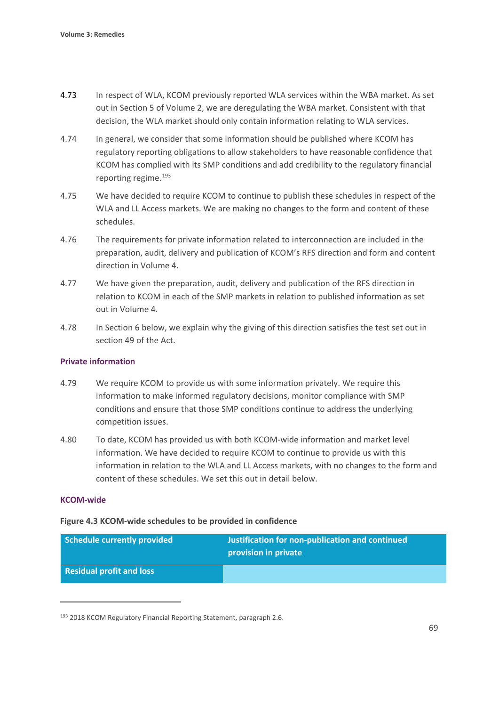- 4.73 In respect of WLA, KCOM previously reported WLA services within the WBA market. As set out in Section 5 of Volume 2, we are deregulating the WBA market. Consistent with that decision, the WLA market should only contain information relating to WLA services.
- 4.74 In general, we consider that some information should be published where KCOM has regulatory reporting obligations to allow stakeholders to have reasonable confidence that KCOM has complied with its SMP conditions and add credibility to the regulatory financial reporting regime. [193](#page-70-0)
- 4.75 We have decided to require KCOM to continue to publish these schedules in respect of the WLA and LL Access markets. We are making no changes to the form and content of these schedules.
- 4.76 The requirements for private information related to interconnection are included in the preparation, audit, delivery and publication of KCOM's RFS direction and form and content direction in Volume 4.
- 4.77 We have given the preparation, audit, delivery and publication of the RFS direction in relation to KCOM in each of the SMP markets in relation to published information as set out in Volume 4.
- 4.78 In Section 6 below, we explain why the giving of this direction satisfies the test set out in section 49 of the Act.

#### **Private information**

- 4.79 We require KCOM to provide us with some information privately. We require this information to make informed regulatory decisions, monitor compliance with SMP conditions and ensure that those SMP conditions continue to address the underlying competition issues.
- 4.80 To date, KCOM has provided us with both KCOM-wide information and market level information. We have decided to require KCOM to continue to provide us with this information in relation to the WLA and LL Access markets, with no changes to the form and content of these schedules. We set this out in detail below.

#### **KCOM-wide**

#### **Figure 4.3 KCOM-wide schedules to be provided in confidence**

| Schedule currently provided     | Justification for non-publication and continued<br>provision in private |
|---------------------------------|-------------------------------------------------------------------------|
| <b>Residual profit and loss</b> |                                                                         |

<span id="page-70-0"></span><sup>193 2018</sup> KCOM Regulatory Financial Reporting Statement, paragraph 2.6.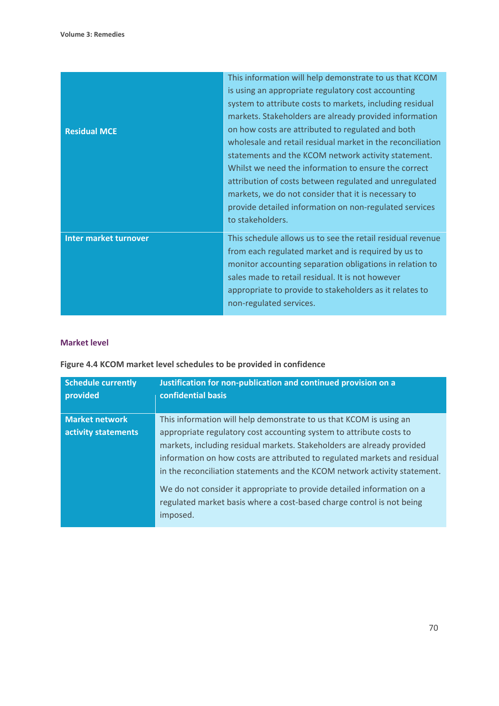| <b>Residual MCE</b>          | This information will help demonstrate to us that KCOM<br>is using an appropriate regulatory cost accounting<br>system to attribute costs to markets, including residual<br>markets. Stakeholders are already provided information<br>on how costs are attributed to regulated and both<br>wholesale and retail residual market in the reconciliation<br>statements and the KCOM network activity statement.<br>Whilst we need the information to ensure the correct<br>attribution of costs between regulated and unregulated<br>markets, we do not consider that it is necessary to<br>provide detailed information on non-regulated services<br>to stakeholders. |
|------------------------------|---------------------------------------------------------------------------------------------------------------------------------------------------------------------------------------------------------------------------------------------------------------------------------------------------------------------------------------------------------------------------------------------------------------------------------------------------------------------------------------------------------------------------------------------------------------------------------------------------------------------------------------------------------------------|
| <b>Inter market turnover</b> | This schedule allows us to see the retail residual revenue<br>from each regulated market and is required by us to<br>monitor accounting separation obligations in relation to<br>sales made to retail residual. It is not however<br>appropriate to provide to stakeholders as it relates to<br>non-regulated services.                                                                                                                                                                                                                                                                                                                                             |

#### **Market level**

# **Figure 4.4 KCOM market level schedules to be provided in confidence**

| <b>Schedule currently</b><br>provided | Justification for non-publication and continued provision on a<br>confidential basis |
|---------------------------------------|--------------------------------------------------------------------------------------|
| <b>Market network</b>                 | This information will help demonstrate to us that KCOM is using an                   |
| activity statements                   | appropriate regulatory cost accounting system to attribute costs to                  |
|                                       | markets, including residual markets. Stakeholders are already provided               |
|                                       | information on how costs are attributed to regulated markets and residual            |
|                                       | in the reconciliation statements and the KCOM network activity statement.            |
|                                       | We do not consider it appropriate to provide detailed information on a               |
|                                       | regulated market basis where a cost-based charge control is not being                |
|                                       | imposed.                                                                             |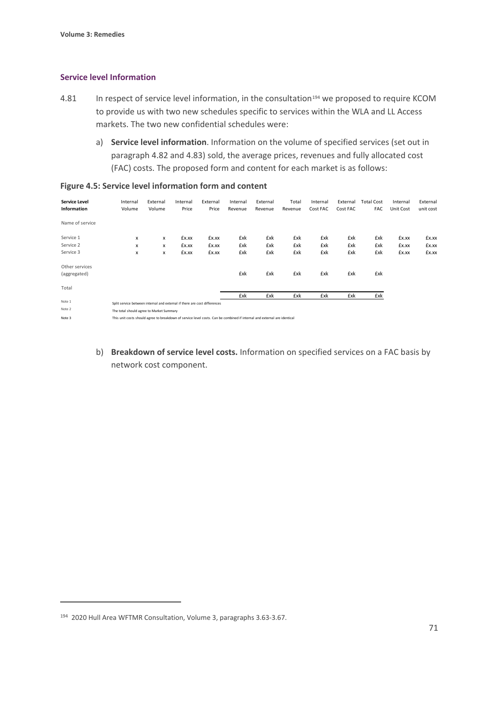#### **Service level Information**

- 4.81 In respect of service level information, in the consultation<sup>[194](#page-72-0)</sup> we proposed to require KCOM to provide us with two new schedules specific to services within the WLA and LL Access markets. The two new confidential schedules were:
	- a) **Service level information**. Information on the volume of specified services (set out in paragraph 4.82 and 4.83) sold, the average prices, revenues and fully allocated cost (FAC) costs. The proposed form and content for each market is as follows:

| <b>Service Level</b><br><b>Information</b> | Internal<br>Volume                                                                                                       | External<br>Volume | Internal<br>Price | External<br>Price | Internal<br>Revenue | External<br>Revenue | Total<br>Revenue | Internal<br>Cost FAC | External<br>Cost FAC | <b>Total Cost</b><br>FAC | Internal<br>Unit Cost | External<br>unit cost |
|--------------------------------------------|--------------------------------------------------------------------------------------------------------------------------|--------------------|-------------------|-------------------|---------------------|---------------------|------------------|----------------------|----------------------|--------------------------|-----------------------|-----------------------|
| Name of service                            |                                                                                                                          |                    |                   |                   |                     |                     |                  |                      |                      |                          |                       |                       |
| Service 1                                  | x                                                                                                                        | x                  | £x.xx             | £x.xx             | £xk                 | £xk                 | £xk              | £xk                  | £xk                  | £xk                      | £x.xx                 | £x.xx                 |
| Service 2                                  | X                                                                                                                        | x                  | £x.xx             | £x.xx             | £xk                 | £xk                 | £xk              | £xk                  | £xk                  | £xk                      | £x.xx                 | £x.xx                 |
| Service 3                                  | x                                                                                                                        | x                  | £x.xx             | £x.xx             | £xk                 | £xk                 | £xk              | £xk                  | £xk                  | £xk                      | £x.xx                 | £x.xx                 |
| Other services<br>(aggregated)             |                                                                                                                          |                    |                   |                   | £xk                 | £xk                 | £xk              | £xk                  | £xk                  | £xk                      |                       |                       |
| Total                                      |                                                                                                                          |                    |                   |                   | £xk                 | £xk                 | £xk              | £xk                  | £xk                  | £xk                      |                       |                       |
| Note 1                                     |                                                                                                                          |                    |                   |                   |                     |                     |                  |                      |                      |                          |                       |                       |
| Note 2                                     | Split service between internal and external if there are cost differences                                                |                    |                   |                   |                     |                     |                  |                      |                      |                          |                       |                       |
|                                            | The total should agree to Market Summary                                                                                 |                    |                   |                   |                     |                     |                  |                      |                      |                          |                       |                       |
| Note 3                                     | This unit costs should agree to breakdown of service level costs. Can be combined if internal and external are identical |                    |                   |                   |                     |                     |                  |                      |                      |                          |                       |                       |

#### **Figure 4.5: Service level information form and content**

b) **Breakdown of service level costs.** Information on specified services on a FAC basis by network cost component.

<span id="page-72-0"></span><sup>194 2020</sup> Hull Area WFTMR Consultation, Volume 3, paragraphs 3.63-3.67.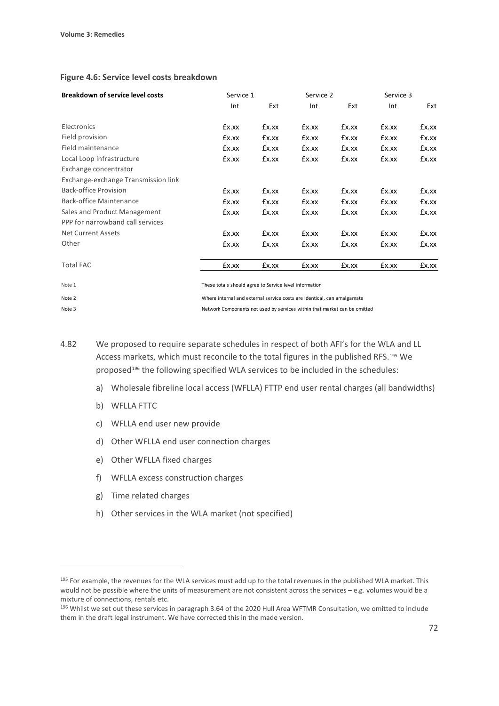| <b>Breakdown of service level costs</b> | Service 1                                              |       | Service 2 |       | Service 3 |       |
|-----------------------------------------|--------------------------------------------------------|-------|-----------|-------|-----------|-------|
|                                         | Int                                                    | Ext   | Int       | Ext   | Int       | Ext   |
| Electronics                             | £x.xx                                                  | £x.xx | £x.xx     | £x.xx | £x.xx     | £x.xx |
| Field provision                         | £x.xx                                                  | £x.xx | £x.xx     | £x.xx | £x.xx     | £x.xx |
| Field maintenance                       | £x.xx                                                  | £x.xx | £x.xx     | £x.xx | £x.xx     | £x.xx |
| Local Loop infrastructure               | £x.xx                                                  | £x.xx | £x.xx     | £x.xx | £x.xx     | £x.xx |
| Exchange concentrator                   |                                                        |       |           |       |           |       |
| Exchange-exchange Transmission link     |                                                        |       |           |       |           |       |
| <b>Back-office Provision</b>            | £x.xx                                                  | £x.xx | £x.xx     | £x.xx | £x.xx     | £x.xx |
| Back-office Maintenance                 | £x.xx                                                  | £x.xx | £x.xx     | £x.xx | £x.xx     | £x.xx |
| Sales and Product Management            | £x.xx                                                  | £x.xx | £x.xx     | £x.xx | £x.xx     | £x.xx |
| PPP for narrowband call services        |                                                        |       |           |       |           |       |
| <b>Net Current Assets</b>               | £x.xx                                                  | £x.xx | £x.xx     | £x.xx | £x.xx     | £x.xx |
| Other                                   | £x.xx                                                  | £x.xx | £x.xx     | £x.xx | £x.xx     | £x.xx |
| <b>Total FAC</b>                        | £x.xx                                                  | £x.xx | £x.xx     | £x.xx | £x.xx     | £x.xx |
| Note 1                                  | These totals should agree to Service level information |       |           |       |           |       |

#### **Figure 4.6: Service level costs breakdown**

Note 2 Where internal and external service costs are identical, can amalgamate Note 3 Network Components not used by services within that market can be omitted

4.82 We proposed to require separate schedules in respect of both AFI's for the WLA and LL Access markets, which must reconcile to the total figures in the published RFS.[195](#page-73-0) We proposed<sup>[196](#page-73-1)</sup> the following specified WLA services to be included in the schedules:

- a) Wholesale fibreline local access (WFLLA) FTTP end user rental charges (all bandwidths)
- b) WFLLA FTTC
- c) WFLLA end user new provide
- d) Other WFLLA end user connection charges
- e) Other WFLLA fixed charges
- f) WFLLA excess construction charges
- g) Time related charges
- h) Other services in the WLA market (not specified)

<span id="page-73-0"></span><sup>&</sup>lt;sup>195</sup> For example, the revenues for the WLA services must add up to the total revenues in the published WLA market. This would not be possible where the units of measurement are not consistent across the services – e.g. volumes would be a mixture of connections, rentals etc.

<span id="page-73-1"></span><sup>196</sup> Whilst we set out these services in paragraph 3.64 of the 2020 Hull Area WFTMR Consultation, we omitted to include them in the draft legal instrument. We have corrected this in the made version.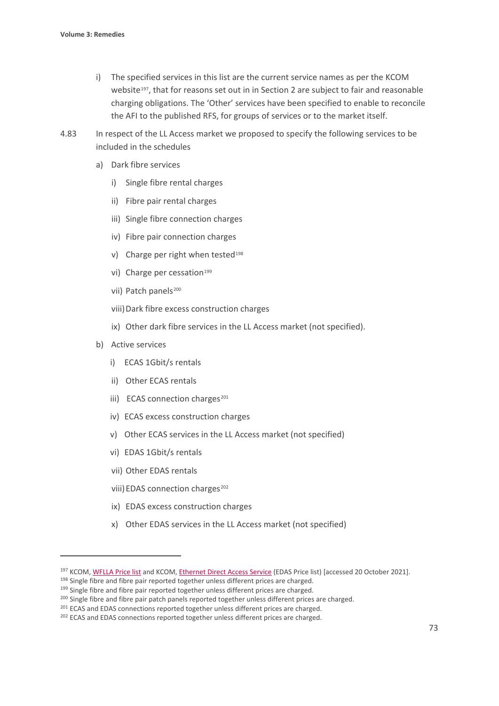- i) The specified services in this list are the current service names as per the KCOM website<sup>[197](#page-74-0)</sup>, that for reasons set out in in Section 2 are subject to fair and reasonable charging obligations. The 'Other' services have been specified to enable to reconcile the AFI to the published RFS, for groups of services or to the market itself.
- 4.83 In respect of the LL Access market we proposed to specify the following services to be included in the schedules
	- a) Dark fibre services
		- i) Single fibre rental charges
		- ii) Fibre pair rental charges
		- iii) Single fibre connection charges
		- iv) Fibre pair connection charges
		- v) Charge per right when tested<sup>[198](#page-74-1)</sup>
		- vi) Charge per cessation<sup>[199](#page-74-2)</sup>
		- vii) Patch panels<sup>[200](#page-74-3)</sup>
		- viii)Dark fibre excess construction charges
		- ix) Other dark fibre services in the LL Access market (not specified).
	- b) Active services
		- i) ECAS 1Gbit/s rentals
		- ii) Other ECAS rentals
		- iii) ECAS connection charges<sup>[201](#page-74-4)</sup>
		- iv) ECAS excess construction charges
		- v) Other ECAS services in the LL Access market (not specified)
		- vi) EDAS 1Gbit/s rentals
		- vii) Other EDAS rentals
		- viii) EDAS connection charges<sup>[202](#page-74-5)</sup>
		- ix) EDAS excess construction charges
		- x) Other EDAS services in the LL Access market (not specified)

<span id="page-74-0"></span><sup>197</sup> KCOM[, WFLLA Price list](http://pricing.kcomhome.com/media/1573/p13-s27_wholesale_fibreline_local_access.pdf) and KCOM[, Ethernet Direct Access Service](http://pricing.kcomhome.com/media/1475/p13-s10_ethernet_direct_access_service.pdf) (EDAS Price list) [accessed 20 October 2021].

<span id="page-74-1"></span><sup>&</sup>lt;sup>198</sup> Single fibre and fibre pair reported together unless different prices are charged.

<span id="page-74-2"></span><sup>&</sup>lt;sup>199</sup> Single fibre and fibre pair reported together unless different prices are charged.

<span id="page-74-3"></span><sup>&</sup>lt;sup>200</sup> Single fibre and fibre pair patch panels reported together unless different prices are charged.

<span id="page-74-4"></span><sup>&</sup>lt;sup>201</sup> ECAS and EDAS connections reported together unless different prices are charged.

<span id="page-74-5"></span><sup>&</sup>lt;sup>202</sup> ECAS and EDAS connections reported together unless different prices are charged.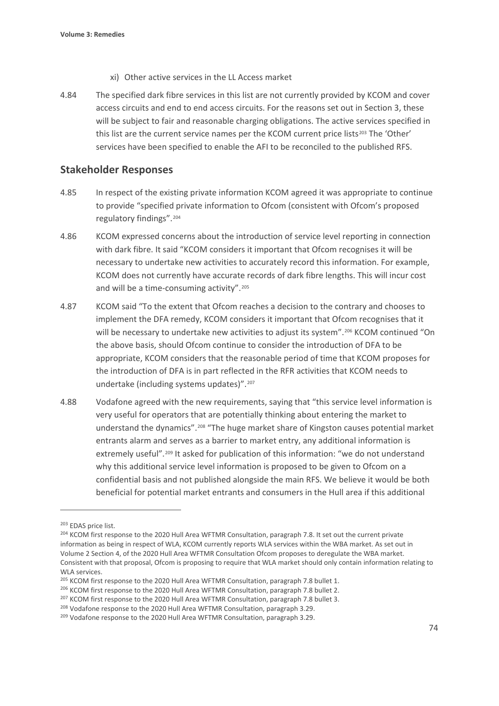- xi) Other active services in the LL Access market
- 4.84 The specified dark fibre services in this list are not currently provided by KCOM and cover access circuits and end to end access circuits. For the reasons set out in Section 3, these will be subject to fair and reasonable charging obligations. The active services specified in this list are the current service names per the KCOM current price lists<sup>[203](#page-75-0)</sup> The 'Other' services have been specified to enable the AFI to be reconciled to the published RFS.

## **Stakeholder Responses**

- 4.85 In respect of the existing private information KCOM agreed it was appropriate to continue to provide "specified private information to Ofcom (consistent with Ofcom's proposed regulatory findings".[204](#page-75-1)
- 4.86 KCOM expressed concerns about the introduction of service level reporting in connection with dark fibre. It said "KCOM considers it important that Ofcom recognises it will be necessary to undertake new activities to accurately record this information. For example, KCOM does not currently have accurate records of dark fibre lengths. This will incur cost and will be a time-consuming activity".<sup>[205](#page-75-2)</sup>
- 4.87 KCOM said "To the extent that Ofcom reaches a decision to the contrary and chooses to implement the DFA remedy, KCOM considers it important that Ofcom recognises that it will be necessary to undertake new activities to adjust its system".<sup>[206](#page-75-3)</sup> KCOM continued "On the above basis, should Ofcom continue to consider the introduction of DFA to be appropriate, KCOM considers that the reasonable period of time that KCOM proposes for the introduction of DFA is in part reflected in the RFR activities that KCOM needs to undertake (including systems updates)".[207](#page-75-4)
- 4.88 Vodafone agreed with the new requirements, saying that "this service level information is very useful for operators that are potentially thinking about entering the market to understand the dynamics".[208](#page-75-5) "The huge market share of Kingston causes potential market entrants alarm and serves as a barrier to market entry, any additional information is extremely useful".<sup>[209](#page-75-6)</sup> It asked for publication of this information: "we do not understand why this additional service level information is proposed to be given to Ofcom on a confidential basis and not published alongside the main RFS. We believe it would be both beneficial for potential market entrants and consumers in the Hull area if this additional

<span id="page-75-0"></span><sup>203</sup> EDAS price list.

<span id="page-75-1"></span><sup>&</sup>lt;sup>204</sup> KCOM first response to the 2020 Hull Area WFTMR Consultation, paragraph 7.8. It set out the current private information as being in respect of WLA, KCOM currently reports WLA services within the WBA market. As set out in Volume 2 Section 4, of the 2020 Hull Area WFTMR Consultation Ofcom proposes to deregulate the WBA market. Consistent with that proposal, Ofcom is proposing to require that WLA market should only contain information relating to WLA services.

<span id="page-75-2"></span><sup>&</sup>lt;sup>205</sup> KCOM first response to the 2020 Hull Area WFTMR Consultation, paragraph 7.8 bullet 1.

<span id="page-75-3"></span><sup>&</sup>lt;sup>206</sup> KCOM first response to the 2020 Hull Area WFTMR Consultation, paragraph 7.8 bullet 2.

<span id="page-75-4"></span><sup>&</sup>lt;sup>207</sup> KCOM first response to the 2020 Hull Area WFTMR Consultation, paragraph 7.8 bullet 3.

<span id="page-75-5"></span><sup>&</sup>lt;sup>208</sup> Vodafone response to the 2020 Hull Area WFTMR Consultation, paragraph 3.29.

<span id="page-75-6"></span><sup>&</sup>lt;sup>209</sup> Vodafone response to the 2020 Hull Area WFTMR Consultation, paragraph 3.29.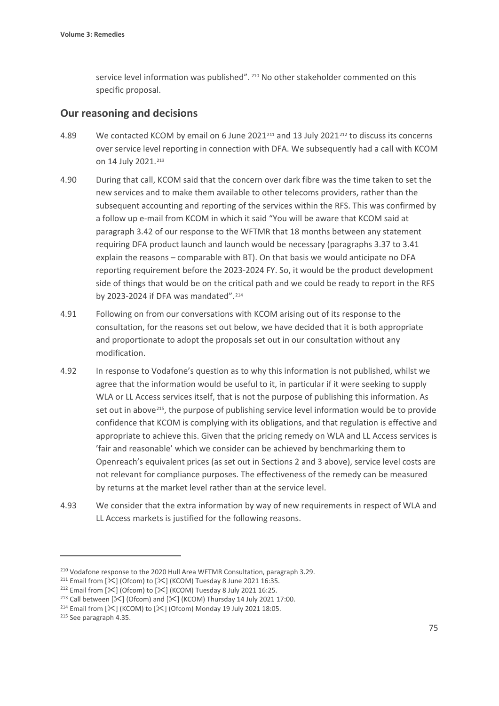service level information was published". <sup>[210](#page-76-0)</sup> No other stakeholder commented on this specific proposal.

## **Our reasoning and decisions**

- 4.89 We contacted KCOM by email on 6 June 2021<sup>[211](#page-76-1)</sup> and 13 July 2021<sup>[212](#page-76-2)</sup> to discuss its concerns over service level reporting in connection with DFA. We subsequently had a call with KCOM on 14 July 2021.<sup>[213](#page-76-3)</sup>
- 4.90 During that call, KCOM said that the concern over dark fibre was the time taken to set the new services and to make them available to other telecoms providers, rather than the subsequent accounting and reporting of the services within the RFS. This was confirmed by a follow up e-mail from KCOM in which it said "You will be aware that KCOM said at paragraph 3.42 of our response to the WFTMR that 18 months between any statement requiring DFA product launch and launch would be necessary (paragraphs 3.37 to 3.41 explain the reasons – comparable with BT). On that basis we would anticipate no DFA reporting requirement before the 2023-2024 FY. So, it would be the product development side of things that would be on the critical path and we could be ready to report in the RFS by 2023-2024 if DFA was mandated".[214](#page-76-4)
- 4.91 Following on from our conversations with KCOM arising out of its response to the consultation, for the reasons set out below, we have decided that it is both appropriate and proportionate to adopt the proposals set out in our consultation without any modification.
- 4.92 In response to Vodafone's question as to why this information is not published, whilst we agree that the information would be useful to it, in particular if it were seeking to supply WLA or LL Access services itself, that is not the purpose of publishing this information. As set out in above<sup>[215](#page-76-5)</sup>, the purpose of publishing service level information would be to provide confidence that KCOM is complying with its obligations, and that regulation is effective and appropriate to achieve this. Given that the pricing remedy on WLA and LL Access services is 'fair and reasonable' which we consider can be achieved by benchmarking them to Openreach's equivalent prices (as set out in Sections 2 and 3 above), service level costs are not relevant for compliance purposes. The effectiveness of the remedy can be measured by returns at the market level rather than at the service level.
- 4.93 We consider that the extra information by way of new requirements in respect of WLA and LL Access markets is justified for the following reasons.

<span id="page-76-5"></span><sup>215</sup> See paragraph 4.35.

<span id="page-76-0"></span><sup>&</sup>lt;sup>210</sup> Vodafone response to the 2020 Hull Area WFTMR Consultation, paragraph 3.29.

<span id="page-76-2"></span><span id="page-76-1"></span><sup>&</sup>lt;sup>211</sup> Email from [ $\mathcal{K}$ ] (Ofcom) to [ $\mathcal{K}$ ] (KCOM) Tuesday 8 June 2021 16:35.<br><sup>212</sup> Email from [ $\mathcal{K}$ ] (Ofcom) to [ $\mathcal{K}$ ] (KCOM) Tuesday 8 July 2021 16:25.

<span id="page-76-3"></span><sup>&</sup>lt;sup>213</sup> Call between  $[\frac{1}{3}]$  (Ofcom) and  $[\frac{1}{3}]$  (KCOM) Thursday 14 July 2021 17:00.

<span id="page-76-4"></span><sup>&</sup>lt;sup>214</sup> Email from  $[\mathcal{K}]$  (KCOM) to  $[\mathcal{K}]$  (Ofcom) Monday 19 July 2021 18:05.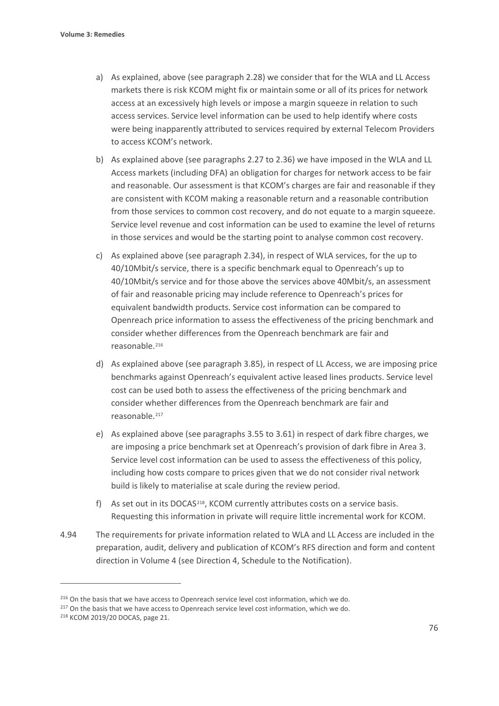- a) As explained, above (see paragraph 2.28) we consider that for the WLA and LL Access markets there is risk KCOM might fix or maintain some or all of its prices for network access at an excessively high levels or impose a margin squeeze in relation to such access services. Service level information can be used to help identify where costs were being inapparently attributed to services required by external Telecom Providers to access KCOM's network.
- b) As explained above (see paragraphs 2.27 to 2.36) we have imposed in the WLA and LL Access markets (including DFA) an obligation for charges for network access to be fair and reasonable. Our assessment is that KCOM's charges are fair and reasonable if they are consistent with KCOM making a reasonable return and a reasonable contribution from those services to common cost recovery, and do not equate to a margin squeeze. Service level revenue and cost information can be used to examine the level of returns in those services and would be the starting point to analyse common cost recovery.
- c) As explained above (see paragraph 2.34), in respect of WLA services, for the up to 40/10Mbit/s service, there is a specific benchmark equal to Openreach's up to 40/10Mbit/s service and for those above the services above 40Mbit/s, an assessment of fair and reasonable pricing may include reference to Openreach's prices for equivalent bandwidth products. Service cost information can be compared to Openreach price information to assess the effectiveness of the pricing benchmark and consider whether differences from the Openreach benchmark are fair and reasonable.<sup>[216](#page-77-0)</sup>
- d) As explained above (see paragraph 3.85), in respect of LL Access, we are imposing price benchmarks against Openreach's equivalent active leased lines products. Service level cost can be used both to assess the effectiveness of the pricing benchmark and consider whether differences from the Openreach benchmark are fair and reasonable.<sup>[217](#page-77-1)</sup>
- e) As explained above (see paragraphs 3.55 to 3.61) in respect of dark fibre charges, we are imposing a price benchmark set at Openreach's provision of dark fibre in Area 3. Service level cost information can be used to assess the effectiveness of this policy, including how costs compare to prices given that we do not consider rival network build is likely to materialise at scale during the review period.
- f) As set out in its DOCAS[218](#page-77-2), KCOM currently attributes costs on a service basis. Requesting this information in private will require little incremental work for KCOM.
- 4.94 The requirements for private information related to WLA and LL Access are included in the preparation, audit, delivery and publication of KCOM's RFS direction and form and content direction in Volume 4 (see Direction 4, Schedule to the Notification).

<span id="page-77-0"></span><sup>&</sup>lt;sup>216</sup> On the basis that we have access to Openreach service level cost information, which we do.

<span id="page-77-1"></span><sup>&</sup>lt;sup>217</sup> On the basis that we have access to Openreach service level cost information, which we do.

<span id="page-77-2"></span><sup>218</sup> KCOM 2019/20 DOCAS, page 21.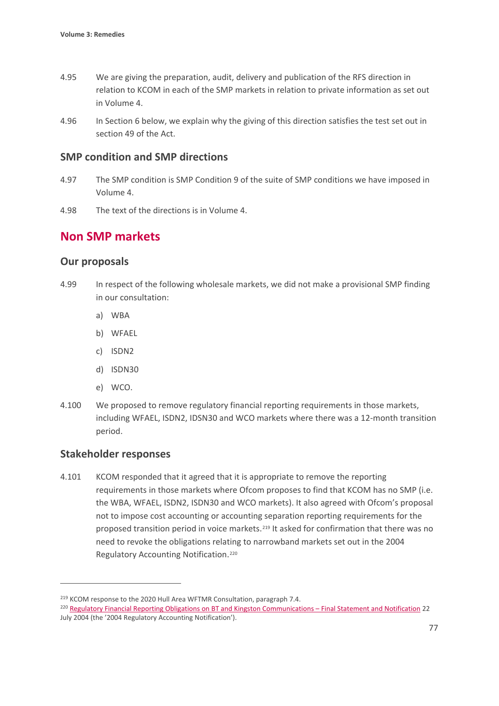- 4.95 We are giving the preparation, audit, delivery and publication of the RFS direction in relation to KCOM in each of the SMP markets in relation to private information as set out in Volume 4.
- 4.96 In Section 6 below, we explain why the giving of this direction satisfies the test set out in section 49 of the Act.

## **SMP condition and SMP directions**

- 4.97 The SMP condition is SMP Condition 9 of the suite of SMP conditions we have imposed in Volume 4.
- 4.98 The text of the directions is in Volume 4.

# **Non SMP markets**

## **Our proposals**

- 4.99 In respect of the following wholesale markets, we did not make a provisional SMP finding in our consultation:
	- a) WBA
	- b) WFAEL
	- c) ISDN2
	- d) ISDN30
	- e) WCO.
- 4.100 We proposed to remove regulatory financial reporting requirements in those markets, including WFAEL, ISDN2, IDSN30 and WCO markets where there was a 12-month transition period.

## **Stakeholder responses**

4.101 KCOM responded that it agreed that it is appropriate to remove the reporting requirements in those markets where Ofcom proposes to find that KCOM has no SMP (i.e. the WBA, WFAEL, ISDN2, ISDN30 and WCO markets). It also agreed with Ofcom's proposal not to impose cost accounting or accounting separation reporting requirements for the proposed transition period in voice markets.<sup>[219](#page-78-0)</sup> It asked for confirmation that there was no need to revoke the obligations relating to narrowband markets set out in the 2004 Regulatory Accounting Notification.[220](#page-78-1)

<span id="page-78-0"></span><sup>&</sup>lt;sup>219</sup> KCOM response to the 2020 Hull Area WFTMR Consultation, paragraph 7.4.

<span id="page-78-1"></span><sup>220</sup> [Regulatory Financial Reporting Obligations on BT and Kingston Communications –](https://www.ofcom.org.uk/__data/assets/pdf_file/0034/55969/finance_report.pdf) Final Statement and Notification 22 July 2004 (the '2004 Regulatory Accounting Notification').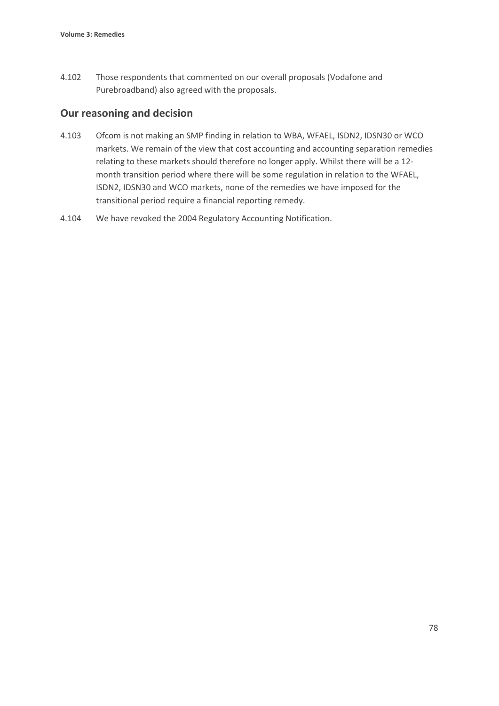4.102 Those respondents that commented on our overall proposals (Vodafone and Purebroadband) also agreed with the proposals.

## **Our reasoning and decision**

- 4.103 Ofcom is not making an SMP finding in relation to WBA, WFAEL, ISDN2, IDSN30 or WCO markets. We remain of the view that cost accounting and accounting separation remedies relating to these markets should therefore no longer apply. Whilst there will be a 12 month transition period where there will be some regulation in relation to the WFAEL, ISDN2, IDSN30 and WCO markets, none of the remedies we have imposed for the transitional period require a financial reporting remedy.
- 4.104 We have revoked the 2004 Regulatory Accounting Notification.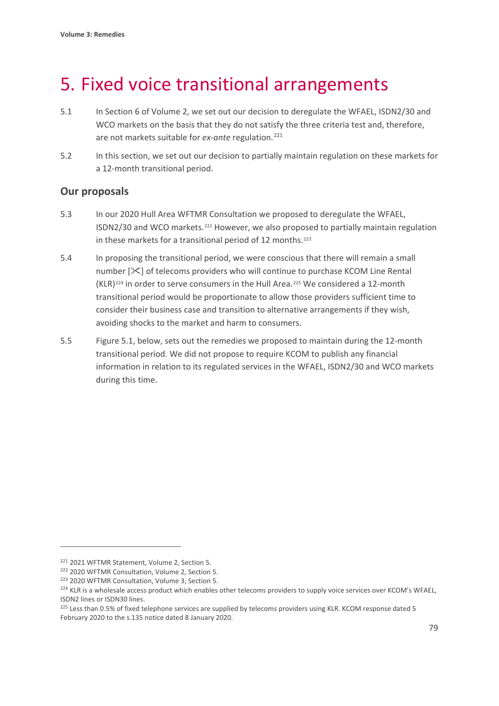# 5. Fixed voice transitional arrangements

- 5.1 In Section 6 of Volume 2, we set out our decision to deregulate the WFAEL, ISDN2/30 and WCO markets on the basis that they do not satisfy the three criteria test and, therefore, are not markets suitable for *ex-ante* regulation.<sup>[221](#page-80-0)</sup>
- 5.2 In this section, we set out our decision to partially maintain regulation on these markets for a 12-month transitional period.

## **Our proposals**

- 5.3 In our 2020 Hull Area WFTMR Consultation we proposed to deregulate the WFAEL, ISDN2/30 and WCO markets.[222](#page-80-1) However, we also proposed to partially maintain regulation in these markets for a transitional period of 12 months.<sup>[223](#page-80-2)</sup>
- 5.4 In proposing the transitional period, we were conscious that there will remain a small number  $[\&]$  of telecoms providers who will continue to purchase KCOM Line Rental (KLR)[224](#page-80-3) in order to serve consumers in the Hull Area.[225](#page-80-4) We considered a 12-month transitional period would be proportionate to allow those providers sufficient time to consider their business case and transition to alternative arrangements if they wish, avoiding shocks to the market and harm to consumers.
- 5.5 Figure 5.1, below, sets out the remedies we proposed to maintain during the 12-month transitional period. We did not propose to require KCOM to publish any financial information in relation to its regulated services in the WFAEL, ISDN2/30 and WCO markets during this time.

<span id="page-80-0"></span><sup>221</sup> 2021 WFTMR Statement, Volume 2, Section 5.

<span id="page-80-2"></span><span id="page-80-1"></span><sup>&</sup>lt;sup>222</sup> 2020 WFTMR Consultation, Volume 2, Section 5.<br><sup>223</sup> 2020 WFTMR Consultation, Volume 3, Section 5.

<span id="page-80-3"></span><sup>&</sup>lt;sup>224</sup> KLR is a wholesale access product which enables other telecoms providers to supply voice services over KCOM's WFAEL, ISDN2 lines or ISDN30 lines.

<span id="page-80-4"></span><sup>&</sup>lt;sup>225</sup> Less than 0.5% of fixed telephone services are supplied by telecoms providers using KLR. KCOM response dated 5 February 2020 to the s.135 notice dated 8 January 2020.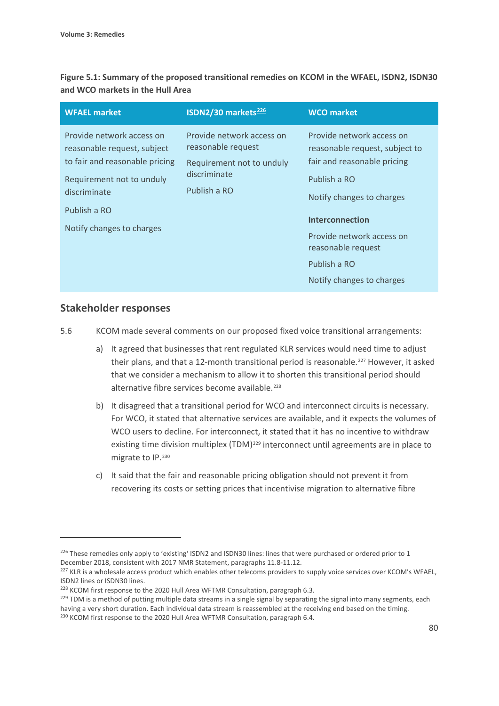**Figure 5.1: Summary of the proposed transitional remedies on KCOM in the WFAEL, ISDN2, ISDN30 and WCO markets in the Hull Area** 

| <b>WFAEL market</b>                                                                                                                                                                  | ISDN2/30 markets <sup>226</sup>                                                                              | <b>WCO</b> market                                                                                                                                                                                                                                                 |
|--------------------------------------------------------------------------------------------------------------------------------------------------------------------------------------|--------------------------------------------------------------------------------------------------------------|-------------------------------------------------------------------------------------------------------------------------------------------------------------------------------------------------------------------------------------------------------------------|
| Provide network access on<br>reasonable request, subject<br>to fair and reasonable pricing<br>Requirement not to unduly<br>discriminate<br>Publish a RO<br>Notify changes to charges | Provide network access on<br>reasonable request<br>Requirement not to unduly<br>discriminate<br>Publish a RO | Provide network access on<br>reasonable request, subject to<br>fair and reasonable pricing<br>Publish a RO<br>Notify changes to charges<br><b>Interconnection</b><br>Provide network access on<br>reasonable request<br>Publish a RO<br>Notify changes to charges |
|                                                                                                                                                                                      |                                                                                                              |                                                                                                                                                                                                                                                                   |

### **Stakeholder responses**

5.6 KCOM made several comments on our proposed fixed voice transitional arrangements:

- a) It agreed that businesses that rent regulated KLR services would need time to adjust their plans, and that a 12-month transitional period is reasonable.<sup>[227](#page-81-1)</sup> However, it asked that we consider a mechanism to allow it to shorten this transitional period should alternative fibre services become available.<sup>[228](#page-81-2)</sup>
- b) It disagreed that a transitional period for WCO and interconnect circuits is necessary. For WCO, it stated that alternative services are available, and it expects the volumes of WCO users to decline. For interconnect, it stated that it has no incentive to withdraw existing time division multiplex (TDM)<sup>[229](#page-81-3)</sup> interconnect until agreements are in place to migrate to IP.<sup>[230](#page-81-4)</sup>
- c) It said that the fair and reasonable pricing obligation should not prevent it from recovering its costs or setting prices that incentivise migration to alternative fibre

<span id="page-81-0"></span> $226$  These remedies only apply to 'existing' ISDN2 and ISDN30 lines: lines that were purchased or ordered prior to 1 December 2018, consistent with 2017 NMR Statement, paragraphs 11.8-11.12.

<span id="page-81-1"></span><sup>&</sup>lt;sup>227</sup> KLR is a wholesale access product which enables other telecoms providers to supply voice services over KCOM's WFAEL, ISDN2 lines or ISDN30 lines.

<span id="page-81-2"></span><sup>&</sup>lt;sup>228</sup> KCOM first response to the 2020 Hull Area WFTMR Consultation, paragraph 6.3.

<span id="page-81-3"></span><sup>&</sup>lt;sup>229</sup> TDM is a method of putting multiple data streams in a single signal by separating the signal into many segments, each having a very short duration. Each individual data stream is reassembled at the receiving end based on the timing.

<span id="page-81-4"></span><sup>&</sup>lt;sup>230</sup> KCOM first response to the 2020 Hull Area WFTMR Consultation, paragraph 6.4.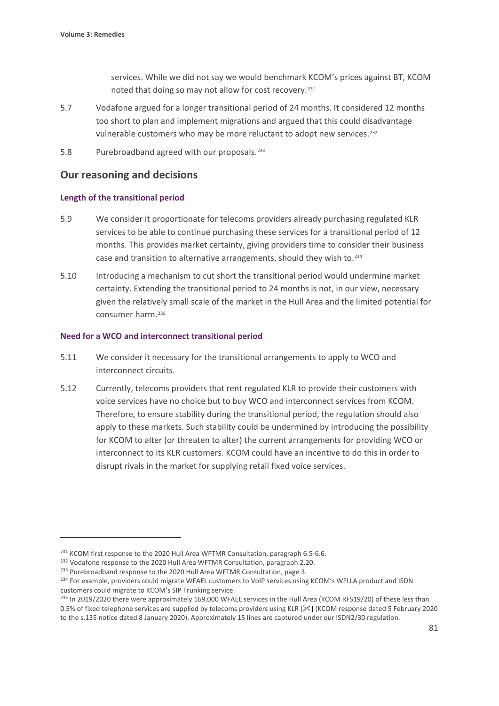services. While we did not say we would benchmark KCOM's prices against BT, KCOM noted that doing so may not allow for cost recovery.<sup>[231](#page-82-0)</sup>

- 5.7 Vodafone argued for a longer transitional period of 24 months. It considered 12 months too short to plan and implement migrations and argued that this could disadvantage vulnerable customers who may be more reluctant to adopt new services.<sup>[232](#page-82-1)</sup>
- 5.8 Purebroadband agreed with our proposals.[233](#page-82-2)

## **Our reasoning and decisions**

#### **Length of the transitional period**

- 5.9 We consider it proportionate for telecoms providers already purchasing regulated KLR services to be able to continue purchasing these services for a transitional period of 12 months. This provides market certainty, giving providers time to consider their business case and transition to alternative arrangements, should they wish to.[234](#page-82-3)
- 5.10 Introducing a mechanism to cut short the transitional period would undermine market certainty. Extending the transitional period to 24 months is not, in our view, necessary given the relatively small scale of the market in the Hull Area and the limited potential for consumer harm.[235](#page-82-4)

#### **Need for a WCO and interconnect transitional period**

- 5.11 We consider it necessary for the transitional arrangements to apply to WCO and interconnect circuits.
- 5.12 Currently, telecoms providers that rent regulated KLR to provide their customers with voice services have no choice but to buy WCO and interconnect services from KCOM. Therefore, to ensure stability during the transitional period, the regulation should also apply to these markets. Such stability could be undermined by introducing the possibility for KCOM to alter (or threaten to alter) the current arrangements for providing WCO or interconnect to its KLR customers. KCOM could have an incentive to do this in order to disrupt rivals in the market for supplying retail fixed voice services.

<span id="page-82-0"></span><sup>&</sup>lt;sup>231</sup> KCOM first response to the 2020 Hull Area WFTMR Consultation, paragraph 6.5-6.6.<br><sup>232</sup> Vodafone response to the 2020 Hull Area WFTMR Consultation, paragraph 2.20.

<span id="page-82-1"></span>

<span id="page-82-2"></span><sup>&</sup>lt;sup>233</sup> Purebroadband response to the 2020 Hull Area WFTMR Consultation, page 3.

<span id="page-82-3"></span><sup>&</sup>lt;sup>234</sup> For example, providers could migrate WFAEL customers to VoIP services using KCOM's WFLLA product and ISDN customers could migrate to KCOM's SIP Trunking service.

<span id="page-82-4"></span><sup>&</sup>lt;sup>235</sup> In 2019/2020 there were approximately 169,000 WFAEL services in the Hull Area (KCOM RFS19/20) of these less than 0.5% of fixed telephone services are supplied by telecoms providers using KLR [ $\leq$ ] (KCOM response dated 5 February 2020 to the s.135 notice dated 8 January 2020). Approximately 15 lines are captured under our ISDN2/30 regulation.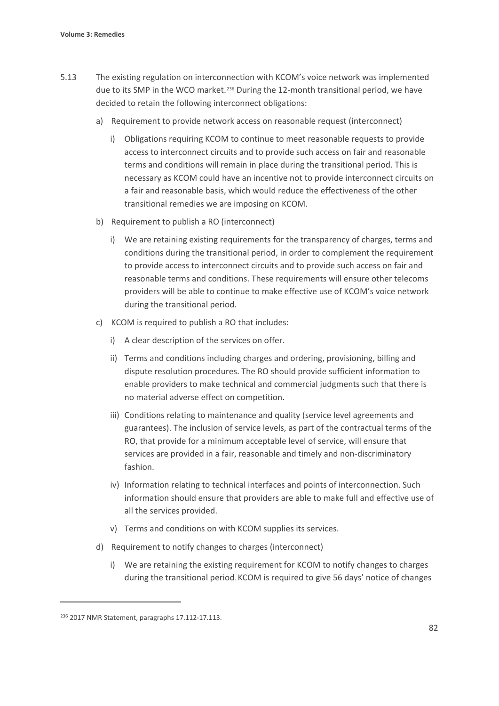- 5.13 The existing regulation on interconnection with KCOM's voice network was implemented due to its SMP in the WCO market.[236](#page-83-0) During the 12-month transitional period, we have decided to retain the following interconnect obligations:
	- a) Requirement to provide network access on reasonable request (interconnect)
		- i) Obligations requiring KCOM to continue to meet reasonable requests to provide access to interconnect circuits and to provide such access on fair and reasonable terms and conditions will remain in place during the transitional period. This is necessary as KCOM could have an incentive not to provide interconnect circuits on a fair and reasonable basis, which would reduce the effectiveness of the other transitional remedies we are imposing on KCOM.
	- b) Requirement to publish a RO (interconnect)
		- i) We are retaining existing requirements for the transparency of charges, terms and conditions during the transitional period, in order to complement the requirement to provide access to interconnect circuits and to provide such access on fair and reasonable terms and conditions. These requirements will ensure other telecoms providers will be able to continue to make effective use of KCOM's voice network during the transitional period.
	- c) KCOM is required to publish a RO that includes:
		- i) A clear description of the services on offer.
		- ii) Terms and conditions including charges and ordering, provisioning, billing and dispute resolution procedures. The RO should provide sufficient information to enable providers to make technical and commercial judgments such that there is no material adverse effect on competition.
		- iii) Conditions relating to maintenance and quality (service level agreements and guarantees). The inclusion of service levels, as part of the contractual terms of the RO, that provide for a minimum acceptable level of service, will ensure that services are provided in a fair, reasonable and timely and non-discriminatory fashion.
		- iv) Information relating to technical interfaces and points of interconnection. Such information should ensure that providers are able to make full and effective use of all the services provided.
		- v) Terms and conditions on with KCOM supplies its services.
	- d) Requirement to notify changes to charges (interconnect)
		- i) We are retaining the existing requirement for KCOM to notify changes to charges during the transitional period. KCOM is required to give 56 days' notice of changes

<span id="page-83-0"></span><sup>236</sup> 2017 NMR Statement, paragraphs 17.112-17.113.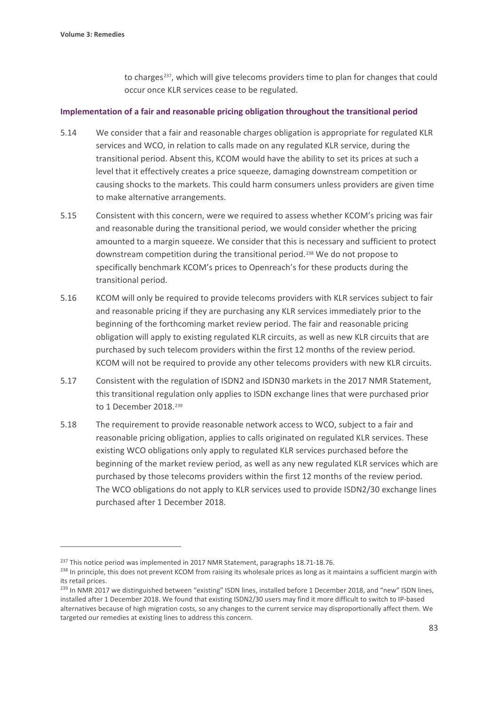to charges<sup>237</sup>, which will give telecoms providers time to plan for changes that could occur once KLR services cease to be regulated.

#### **Implementation of a fair and reasonable pricing obligation throughout the transitional period**

- 5.14 We consider that a fair and reasonable charges obligation is appropriate for regulated KLR services and WCO, in relation to calls made on any regulated KLR service, during the transitional period. Absent this, KCOM would have the ability to set its prices at such a level that it effectively creates a price squeeze, damaging downstream competition or causing shocks to the markets. This could harm consumers unless providers are given time to make alternative arrangements.
- 5.15 Consistent with this concern, were we required to assess whether KCOM's pricing was fair and reasonable during the transitional period, we would consider whether the pricing amounted to a margin squeeze. We consider that this is necessary and sufficient to protect downstream competition during the transitional period.[238](#page-84-1) We do not propose to specifically benchmark KCOM's prices to Openreach's for these products during the transitional period.
- 5.16 KCOM will only be required to provide telecoms providers with KLR services subject to fair and reasonable pricing if they are purchasing any KLR services immediately prior to the beginning of the forthcoming market review period. The fair and reasonable pricing obligation will apply to existing regulated KLR circuits, as well as new KLR circuits that are purchased by such telecom providers within the first 12 months of the review period. KCOM will not be required to provide any other telecoms providers with new KLR circuits.
- 5.17 Consistent with the regulation of ISDN2 and ISDN30 markets in the 2017 NMR Statement, this transitional regulation only applies to ISDN exchange lines that were purchased prior to 1 December 2018.<sup>[239](#page-84-2)</sup>
- 5.18 The requirement to provide reasonable network access to WCO, subject to a fair and reasonable pricing obligation, applies to calls originated on regulated KLR services. These existing WCO obligations only apply to regulated KLR services purchased before the beginning of the market review period, as well as any new regulated KLR services which are purchased by those telecoms providers within the first 12 months of the review period. The WCO obligations do not apply to KLR services used to provide ISDN2/30 exchange lines purchased after 1 December 2018.

<span id="page-84-0"></span><sup>&</sup>lt;sup>237</sup> This notice period was implemented in 2017 NMR Statement, paragraphs 18.71-18.76.

<span id="page-84-1"></span><sup>&</sup>lt;sup>238</sup> In principle, this does not prevent KCOM from raising its wholesale prices as long as it maintains a sufficient margin with its retail prices.

<span id="page-84-2"></span><sup>&</sup>lt;sup>239</sup> In NMR 2017 we distinguished between "existing" ISDN lines, installed before 1 December 2018, and "new" ISDN lines, installed after 1 December 2018. We found that existing ISDN2/30 users may find it more difficult to switch to IP-based alternatives because of high migration costs, so any changes to the current service may disproportionally affect them. We targeted our remedies at existing lines to address this concern.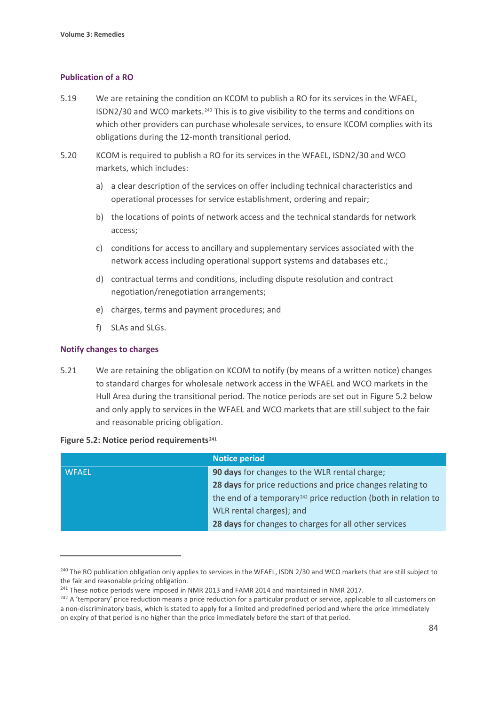#### **Publication of a RO**

- 5.19 We are retaining the condition on KCOM to publish a RO for its services in the WFAEL, ISDN2/30 and WCO markets.[240](#page-85-0) This is to give visibility to the terms and conditions on which other providers can purchase wholesale services, to ensure KCOM complies with its obligations during the 12-month transitional period.
- 5.20 KCOM is required to publish a RO for its services in the WFAEL, ISDN2/30 and WCO markets, which includes:
	- a) a clear description of the services on offer including technical characteristics and operational processes for service establishment, ordering and repair;
	- b) the locations of points of network access and the technical standards for network access;
	- c) conditions for access to ancillary and supplementary services associated with the network access including operational support systems and databases etc.;
	- d) contractual terms and conditions, including dispute resolution and contract negotiation/renegotiation arrangements;
	- e) charges, terms and payment procedures; and
	- f) SLAs and SLGs.

#### **Notify changes to charges**

5.21 We are retaining the obligation on KCOM to notify (by means of a written notice) changes to standard charges for wholesale network access in the WFAEL and WCO markets in the Hull Area during the transitional period. The notice periods are set out in Figure 5.2 below and only apply to services in the WFAEL and WCO markets that are still subject to the fair and reasonable pricing obligation.

#### **Figure 5.2: Notice period requirements[241](#page-85-1)**

|              | <b>Notice period</b>                                                       |
|--------------|----------------------------------------------------------------------------|
| <b>WFAEL</b> | 90 days for changes to the WLR rental charge;                              |
|              | 28 days for price reductions and price changes relating to                 |
|              | the end of a temporary <sup>242</sup> price reduction (both in relation to |
|              | WLR rental charges); and                                                   |
|              | 28 days for changes to charges for all other services                      |

<span id="page-85-0"></span><sup>&</sup>lt;sup>240</sup> The RO publication obligation only applies to services in the WFAEL, ISDN 2/30 and WCO markets that are still subject to the fair and reasonable pricing obligation.

<span id="page-85-1"></span><sup>&</sup>lt;sup>241</sup> These notice periods were imposed in NMR 2013 and FAMR 2014 and maintained in NMR 2017.

<span id="page-85-2"></span><sup>&</sup>lt;sup>242</sup> A 'temporary' price reduction means a price reduction for a particular product or service, applicable to all customers on a non-discriminatory basis, which is stated to apply for a limited and predefined period and where the price immediately on expiry of that period is no higher than the price immediately before the start of that period.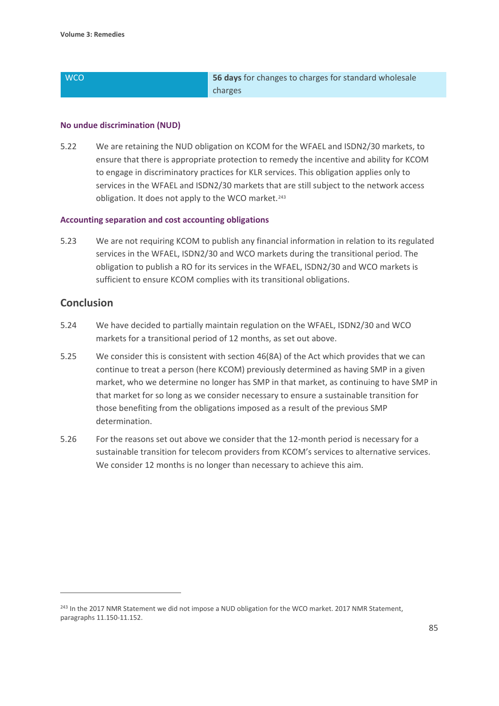## **S6 days** for changes to charges for standard wholesale charges

#### **No undue discrimination (NUD)**

5.22 We are retaining the NUD obligation on KCOM for the WFAEL and ISDN2/30 markets, to ensure that there is appropriate protection to remedy the incentive and ability for KCOM to engage in discriminatory practices for KLR services. This obligation applies only to services in the WFAEL and ISDN2/30 markets that are still subject to the network access obligation. It does not apply to the WCO market.<sup>[243](#page-86-0)</sup>

#### **Accounting separation and cost accounting obligations**

5.23 We are not requiring KCOM to publish any financial information in relation to its regulated services in the WFAEL, ISDN2/30 and WCO markets during the transitional period. The obligation to publish a RO for its services in the WFAEL, ISDN2/30 and WCO markets is sufficient to ensure KCOM complies with its transitional obligations.

## **Conclusion**

- 5.24 We have decided to partially maintain regulation on the WFAEL, ISDN2/30 and WCO markets for a transitional period of 12 months, as set out above.
- 5.25 We consider this is consistent with section 46(8A) of the Act which provides that we can continue to treat a person (here KCOM) previously determined as having SMP in a given market, who we determine no longer has SMP in that market, as continuing to have SMP in that market for so long as we consider necessary to ensure a sustainable transition for those benefiting from the obligations imposed as a result of the previous SMP determination.
- 5.26 For the reasons set out above we consider that the 12-month period is necessary for a sustainable transition for telecom providers from KCOM's services to alternative services. We consider 12 months is no longer than necessary to achieve this aim.

<span id="page-86-0"></span><sup>&</sup>lt;sup>243</sup> In the 2017 NMR Statement we did not impose a NUD obligation for the WCO market. 2017 NMR Statement, paragraphs 11.150-11.152.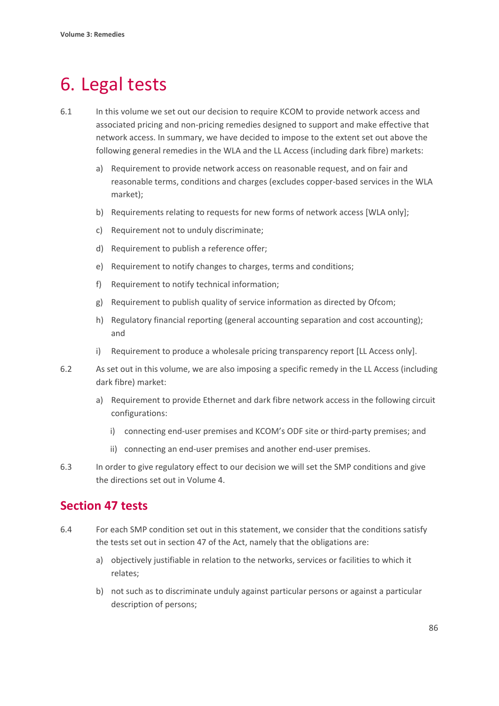# 6. Legal tests

- 6.1 In this volume we set out our decision to require KCOM to provide network access and associated pricing and non-pricing remedies designed to support and make effective that network access. In summary, we have decided to impose to the extent set out above the following general remedies in the WLA and the LL Access (including dark fibre) markets:
	- a) Requirement to provide network access on reasonable request, and on fair and reasonable terms, conditions and charges (excludes copper-based services in the WLA market);
	- b) Requirements relating to requests for new forms of network access [WLA only];
	- c) Requirement not to unduly discriminate;
	- d) Requirement to publish a reference offer;
	- e) Requirement to notify changes to charges, terms and conditions;
	- f) Requirement to notify technical information;
	- g) Requirement to publish quality of service information as directed by Ofcom;
	- h) Regulatory financial reporting (general accounting separation and cost accounting); and
	- i) Requirement to produce a wholesale pricing transparency report [LL Access only].
- 6.2 As set out in this volume, we are also imposing a specific remedy in the LL Access (including dark fibre) market:
	- a) Requirement to provide Ethernet and dark fibre network access in the following circuit configurations:
		- i) connecting end-user premises and KCOM's ODF site or third-party premises; and
		- ii) connecting an end-user premises and another end-user premises.
- 6.3 In order to give regulatory effect to our decision we will set the SMP conditions and give the directions set out in Volume 4.

## **Section 47 tests**

- 6.4 For each SMP condition set out in this statement, we consider that the conditions satisfy the tests set out in section 47 of the Act, namely that the obligations are:
	- a) objectively justifiable in relation to the networks, services or facilities to which it relates;
	- b) not such as to discriminate unduly against particular persons or against a particular description of persons;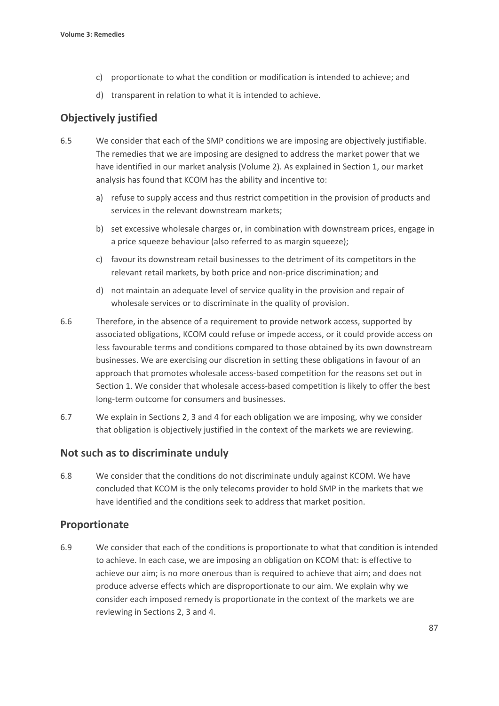- c) proportionate to what the condition or modification is intended to achieve; and
- d) transparent in relation to what it is intended to achieve.

## **Objectively justified**

- 6.5 We consider that each of the SMP conditions we are imposing are objectively justifiable. The remedies that we are imposing are designed to address the market power that we have identified in our market analysis (Volume 2). As explained in Section 1, our market analysis has found that KCOM has the ability and incentive to:
	- a) refuse to supply access and thus restrict competition in the provision of products and services in the relevant downstream markets;
	- b) set excessive wholesale charges or, in combination with downstream prices, engage in a price squeeze behaviour (also referred to as margin squeeze);
	- c) favour its downstream retail businesses to the detriment of its competitors in the relevant retail markets, by both price and non-price discrimination; and
	- d) not maintain an adequate level of service quality in the provision and repair of wholesale services or to discriminate in the quality of provision.
- 6.6 Therefore, in the absence of a requirement to provide network access, supported by associated obligations, KCOM could refuse or impede access, or it could provide access on less favourable terms and conditions compared to those obtained by its own downstream businesses. We are exercising our discretion in setting these obligations in favour of an approach that promotes wholesale access-based competition for the reasons set out in Section 1. We consider that wholesale access-based competition is likely to offer the best long-term outcome for consumers and businesses.
- 6.7 We explain in Sections 2, 3 and 4 for each obligation we are imposing, why we consider that obligation is objectively justified in the context of the markets we are reviewing.

### **Not such as to discriminate unduly**

6.8 We consider that the conditions do not discriminate unduly against KCOM. We have concluded that KCOM is the only telecoms provider to hold SMP in the markets that we have identified and the conditions seek to address that market position.

## **Proportionate**

6.9 We consider that each of the conditions is proportionate to what that condition is intended to achieve. In each case, we are imposing an obligation on KCOM that: is effective to achieve our aim; is no more onerous than is required to achieve that aim; and does not produce adverse effects which are disproportionate to our aim. We explain why we consider each imposed remedy is proportionate in the context of the markets we are reviewing in Sections 2, 3 and 4.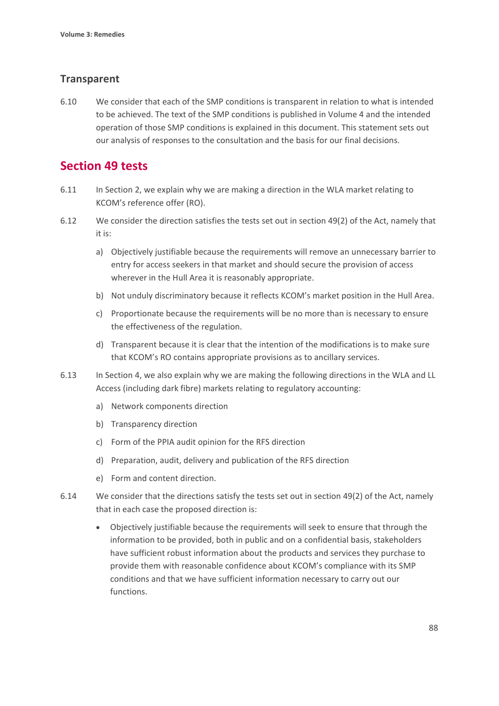## **Transparent**

6.10 We consider that each of the SMP conditions is transparent in relation to what is intended to be achieved. The text of the SMP conditions is published in Volume 4 and the intended operation of those SMP conditions is explained in this document. This statement sets out our analysis of responses to the consultation and the basis for our final decisions.

# **Section 49 tests**

- 6.11 In Section 2, we explain why we are making a direction in the WLA market relating to KCOM's reference offer (RO).
- 6.12 We consider the direction satisfies the tests set out in section 49(2) of the Act, namely that it is:
	- a) Objectively justifiable because the requirements will remove an unnecessary barrier to entry for access seekers in that market and should secure the provision of access wherever in the Hull Area it is reasonably appropriate.
	- b) Not unduly discriminatory because it reflects KCOM's market position in the Hull Area.
	- c) Proportionate because the requirements will be no more than is necessary to ensure the effectiveness of the regulation.
	- d) Transparent because it is clear that the intention of the modifications is to make sure that KCOM's RO contains appropriate provisions as to ancillary services.
- 6.13 In Section 4, we also explain why we are making the following directions in the WLA and LL Access (including dark fibre) markets relating to regulatory accounting:
	- a) Network components direction
	- b) Transparency direction
	- c) Form of the PPIA audit opinion for the RFS direction
	- d) Preparation, audit, delivery and publication of the RFS direction
	- e) Form and content direction.
- 6.14 We consider that the directions satisfy the tests set out in section 49(2) of the Act, namely that in each case the proposed direction is:
	- Objectively justifiable because the requirements will seek to ensure that through the information to be provided, both in public and on a confidential basis, stakeholders have sufficient robust information about the products and services they purchase to provide them with reasonable confidence about KCOM's compliance with its SMP conditions and that we have sufficient information necessary to carry out our functions.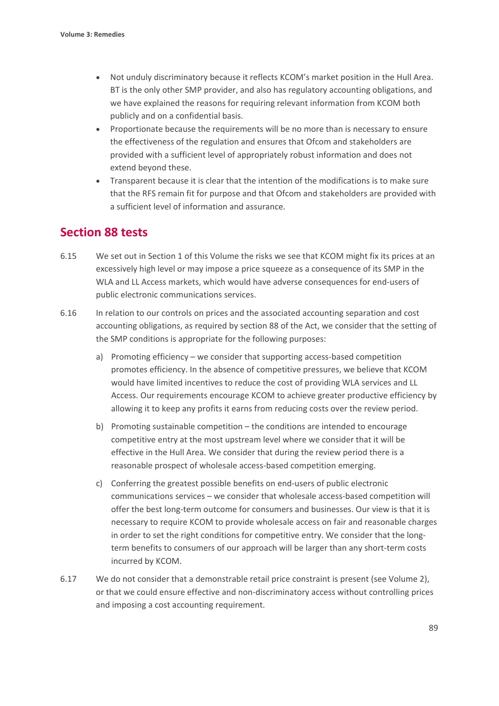- Not unduly discriminatory because it reflects KCOM's market position in the Hull Area. BT is the only other SMP provider, and also has regulatory accounting obligations, and we have explained the reasons for requiring relevant information from KCOM both publicly and on a confidential basis.
- Proportionate because the requirements will be no more than is necessary to ensure the effectiveness of the regulation and ensures that Ofcom and stakeholders are provided with a sufficient level of appropriately robust information and does not extend beyond these.
- Transparent because it is clear that the intention of the modifications is to make sure that the RFS remain fit for purpose and that Ofcom and stakeholders are provided with a sufficient level of information and assurance.

# **Section 88 tests**

- 6.15 We set out in Section 1 of this Volume the risks we see that KCOM might fix its prices at an excessively high level or may impose a price squeeze as a consequence of its SMP in the WLA and LL Access markets, which would have adverse consequences for end-users of public electronic communications services.
- 6.16 In relation to our controls on prices and the associated accounting separation and cost accounting obligations, as required by section 88 of the Act, we consider that the setting of the SMP conditions is appropriate for the following purposes:
	- a) Promoting efficiency we consider that supporting access-based competition promotes efficiency. In the absence of competitive pressures, we believe that KCOM would have limited incentives to reduce the cost of providing WLA services and LL Access. Our requirements encourage KCOM to achieve greater productive efficiency by allowing it to keep any profits it earns from reducing costs over the review period.
	- b) Promoting sustainable competition the conditions are intended to encourage competitive entry at the most upstream level where we consider that it will be effective in the Hull Area. We consider that during the review period there is a reasonable prospect of wholesale access-based competition emerging.
	- c) Conferring the greatest possible benefits on end-users of public electronic communications services – we consider that wholesale access-based competition will offer the best long-term outcome for consumers and businesses. Our view is that it is necessary to require KCOM to provide wholesale access on fair and reasonable charges in order to set the right conditions for competitive entry. We consider that the longterm benefits to consumers of our approach will be larger than any short-term costs incurred by KCOM.
- 6.17 We do not consider that a demonstrable retail price constraint is present (see Volume 2), or that we could ensure effective and non-discriminatory access without controlling prices and imposing a cost accounting requirement.